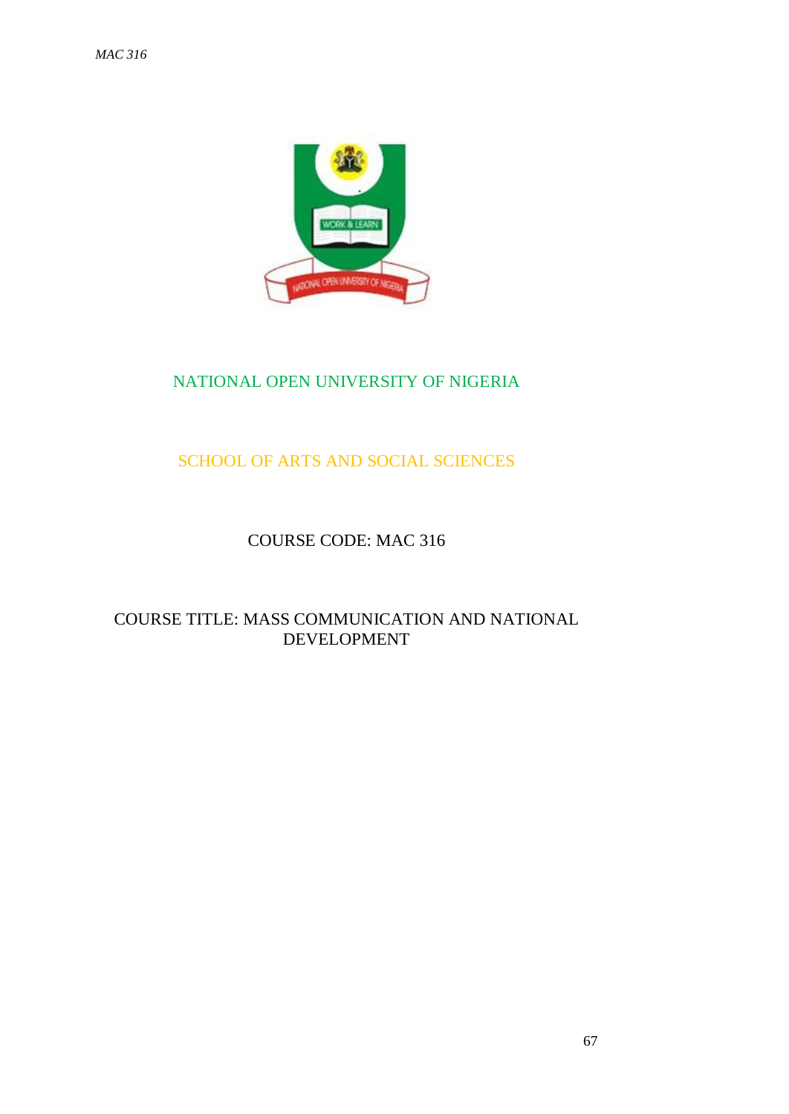

# NATIONAL OPEN UNIVERSITY OF NIGERIA

# SCHOOL OF ARTS AND SOCIAL SCIENCES

# COURSE CODE: MAC 316

# COURSE TITLE: MASS COMMUNICATION AND NATIONAL DEVELOPMENT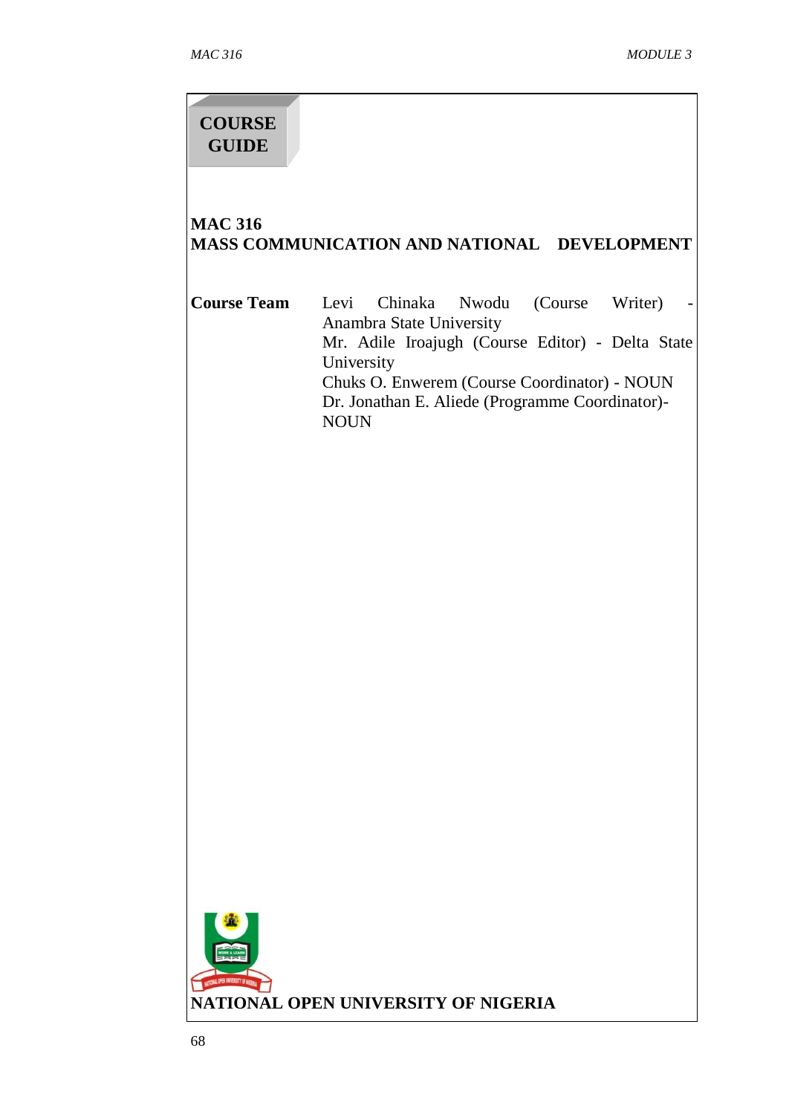# **COURSE GUIDE**

# **MAC 316 MASS COMMUNICATION AND NATIONAL DEVELOPMENT**

| Course Team |                                                 | Levi Chinaka Nwodu (Course Writer)               |  |  |  |
|-------------|-------------------------------------------------|--------------------------------------------------|--|--|--|
|             |                                                 | Anambra State University                         |  |  |  |
|             |                                                 | Mr. Adile Iroajugh (Course Editor) - Delta State |  |  |  |
|             | University                                      |                                                  |  |  |  |
|             | Chuks O. Enwerem (Course Coordinator) - NOUN    |                                                  |  |  |  |
|             | Dr. Jonathan E. Aliede (Programme Coordinator)- |                                                  |  |  |  |
|             | NOI IN                                          |                                                  |  |  |  |

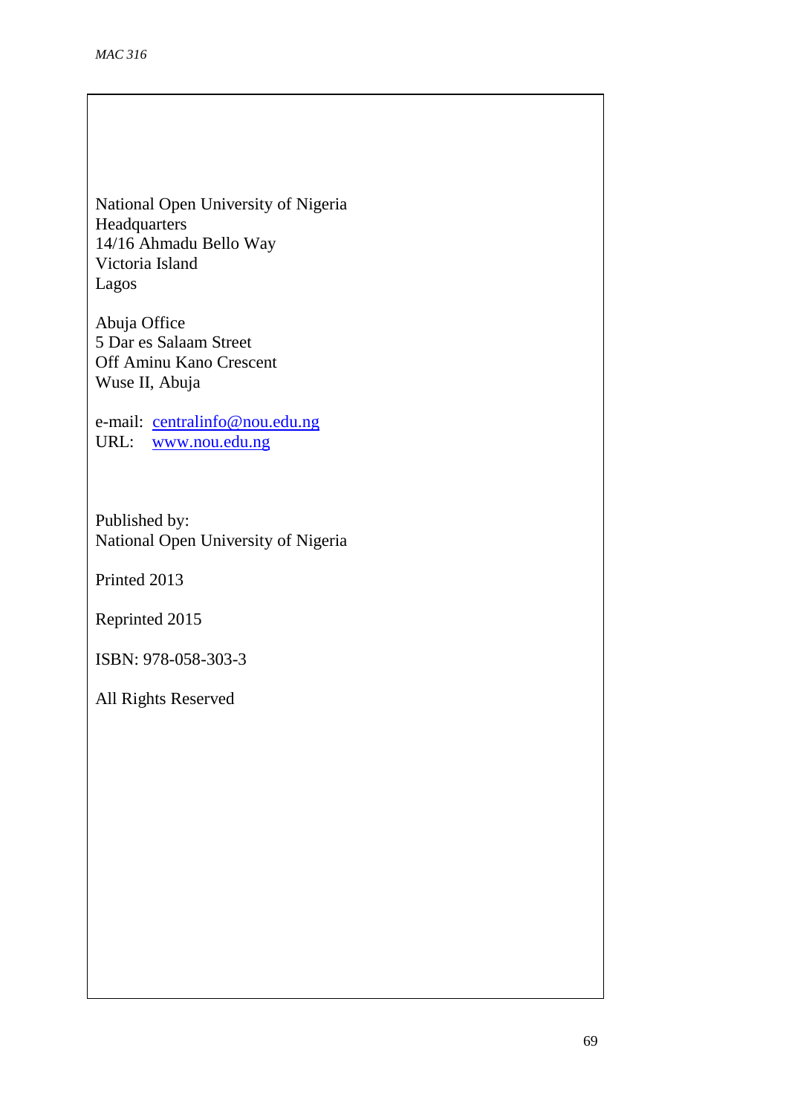National Open University of Nigeria Headquarters 14/16 Ahmadu Bello Way Victoria Island Lagos

Abuja Office 5 Dar es Salaam Street Off Aminu Kano Crescent Wuse II, Abuja

e-mail: [centralinfo@nou.edu.ng](mailto:centralinfo@nou.edu.ng) URL: [www.nou.edu.ng](http://www.nou.edu.ng/)

Published by: National Open University of Nigeria

Printed 2013

Reprinted 2015

ISBN: 978-058-303-3

All Rights Reserved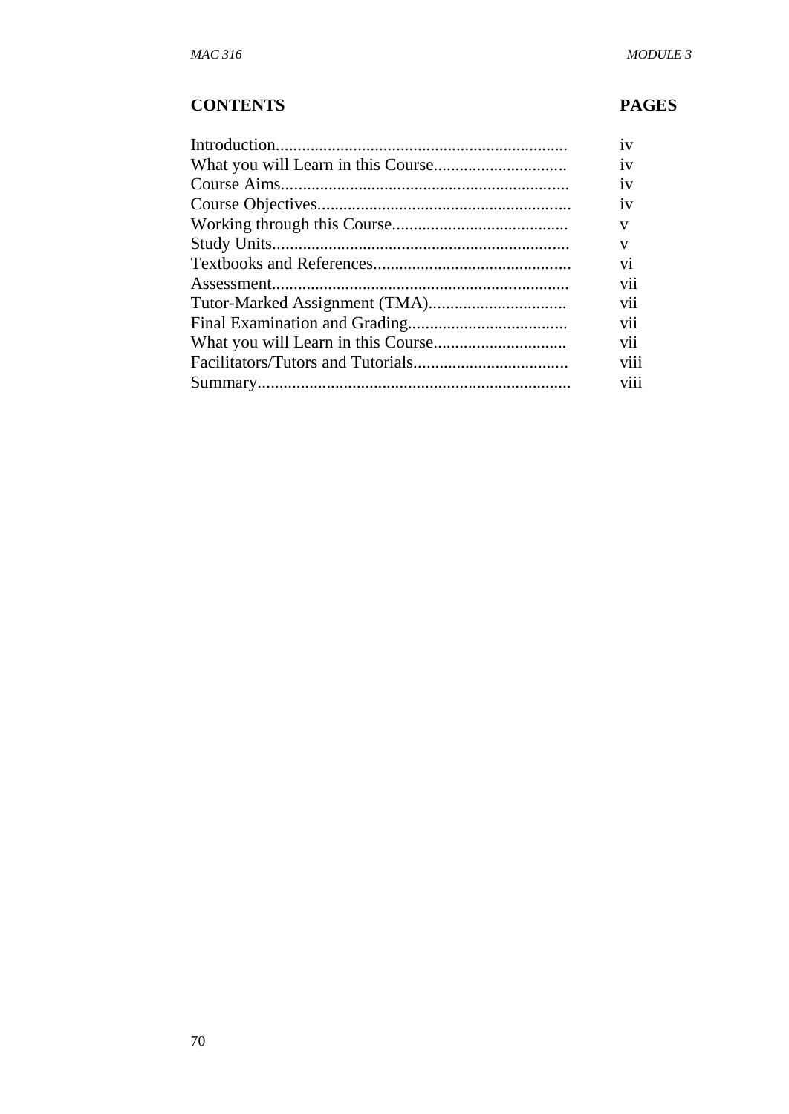# **CONTENTS PAGES**

| 1V   |
|------|
| 1V   |
| 1V   |
| 1V   |
| v    |
| V    |
| V1   |
| V11  |
| V11  |
| V11  |
| V11  |
| V111 |
| viii |
|      |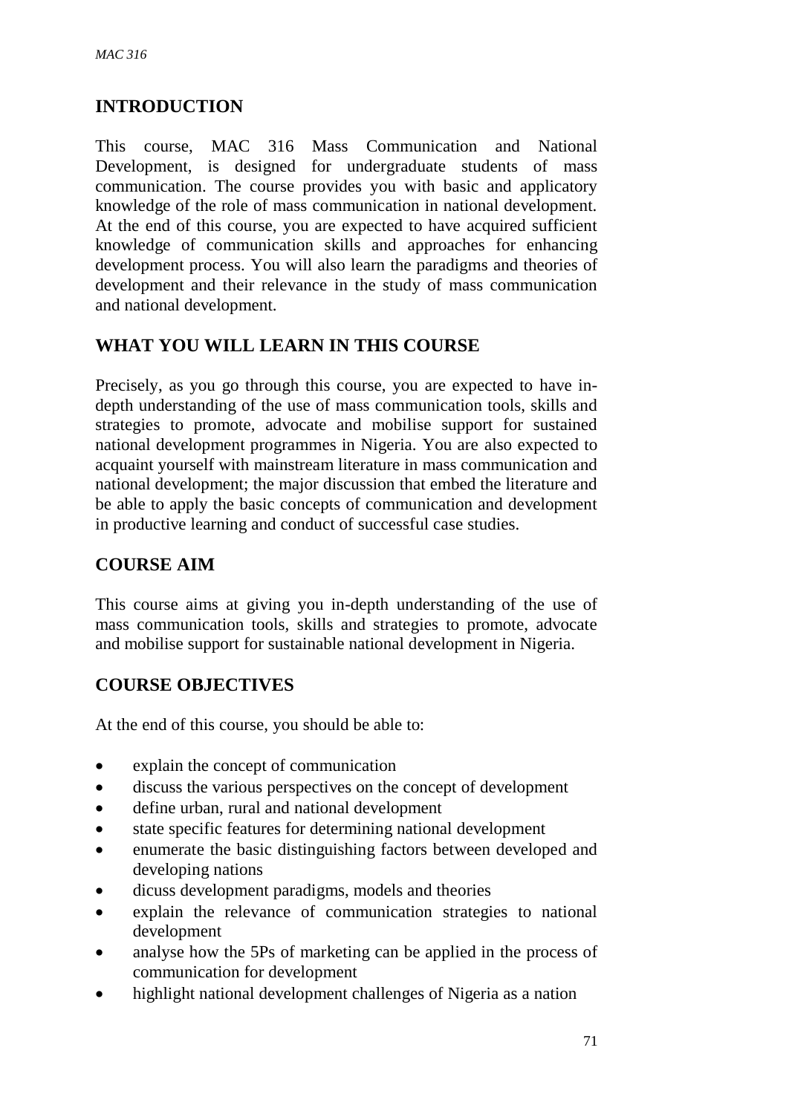# **INTRODUCTION**

This course, MAC 316 Mass Communication and National Development, is designed for undergraduate students of mass communication. The course provides you with basic and applicatory knowledge of the role of mass communication in national development. At the end of this course, you are expected to have acquired sufficient knowledge of communication skills and approaches for enhancing development process. You will also learn the paradigms and theories of development and their relevance in the study of mass communication and national development.

# **WHAT YOU WILL LEARN IN THIS COURSE**

Precisely, as you go through this course, you are expected to have indepth understanding of the use of mass communication tools, skills and strategies to promote, advocate and mobilise support for sustained national development programmes in Nigeria. You are also expected to acquaint yourself with mainstream literature in mass communication and national development; the major discussion that embed the literature and be able to apply the basic concepts of communication and development in productive learning and conduct of successful case studies.

# **COURSE AIM**

This course aims at giving you in-depth understanding of the use of mass communication tools, skills and strategies to promote, advocate and mobilise support for sustainable national development in Nigeria.

# **COURSE OBJECTIVES**

At the end of this course, you should be able to:

- explain the concept of communication
- discuss the various perspectives on the concept of development
- define urban, rural and national development
- state specific features for determining national development
- enumerate the basic distinguishing factors between developed and developing nations
- dicuss development paradigms, models and theories
- explain the relevance of communication strategies to national development
- analyse how the 5Ps of marketing can be applied in the process of communication for development
- highlight national development challenges of Nigeria as a nation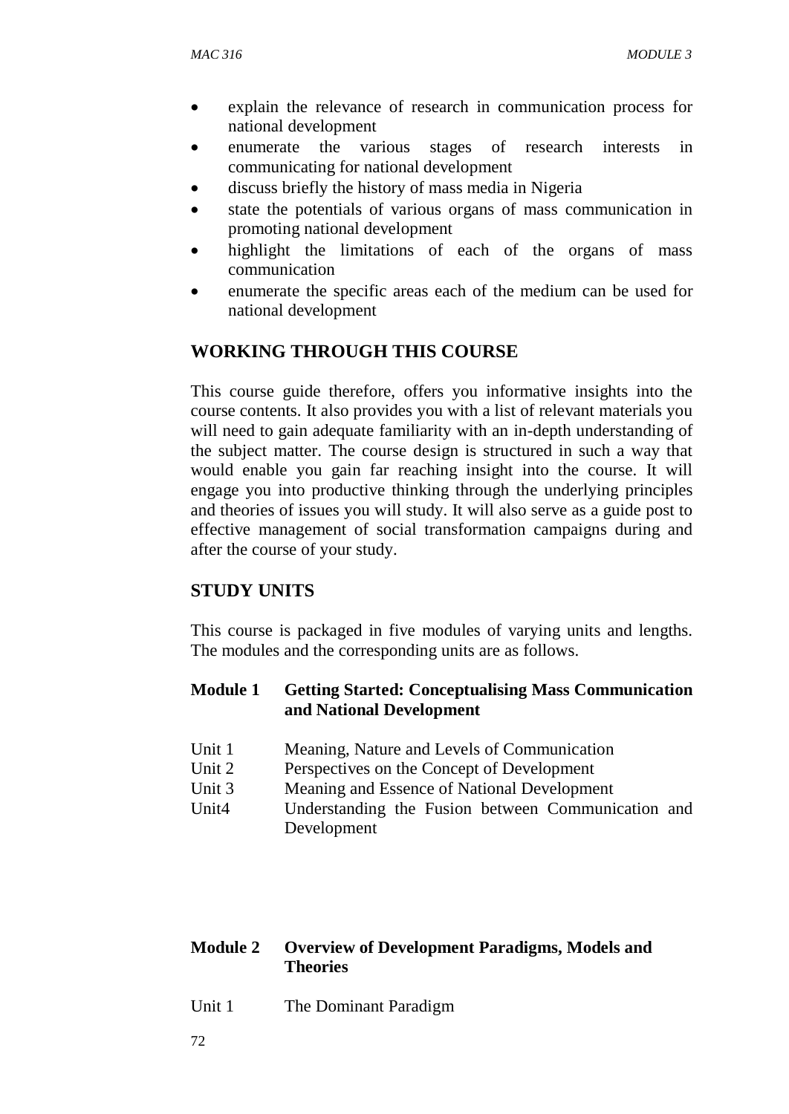- explain the relevance of research in communication process for national development
- enumerate the various stages of research interests in communicating for national development
- discuss briefly the history of mass media in Nigeria
- state the potentials of various organs of mass communication in promoting national development
- highlight the limitations of each of the organs of mass communication
- enumerate the specific areas each of the medium can be used for national development

# **WORKING THROUGH THIS COURSE**

This course guide therefore, offers you informative insights into the course contents. It also provides you with a list of relevant materials you will need to gain adequate familiarity with an in-depth understanding of the subject matter. The course design is structured in such a way that would enable you gain far reaching insight into the course. It will engage you into productive thinking through the underlying principles and theories of issues you will study. It will also serve as a guide post to effective management of social transformation campaigns during and after the course of your study.

# **STUDY UNITS**

This course is packaged in five modules of varying units and lengths. The modules and the corresponding units are as follows.

## **Module 1 Getting Started: Conceptualising Mass Communication and National Development**

- Unit 1 Meaning, Nature and Levels of Communication
- Unit 2 Perspectives on the Concept of Development
- Unit 3 Meaning and Essence of National Development
- Unit4 Understanding the Fusion between Communication and Development

### **Module 2 Overview of Development Paradigms, Models and Theories**

Unit 1 The Dominant Paradigm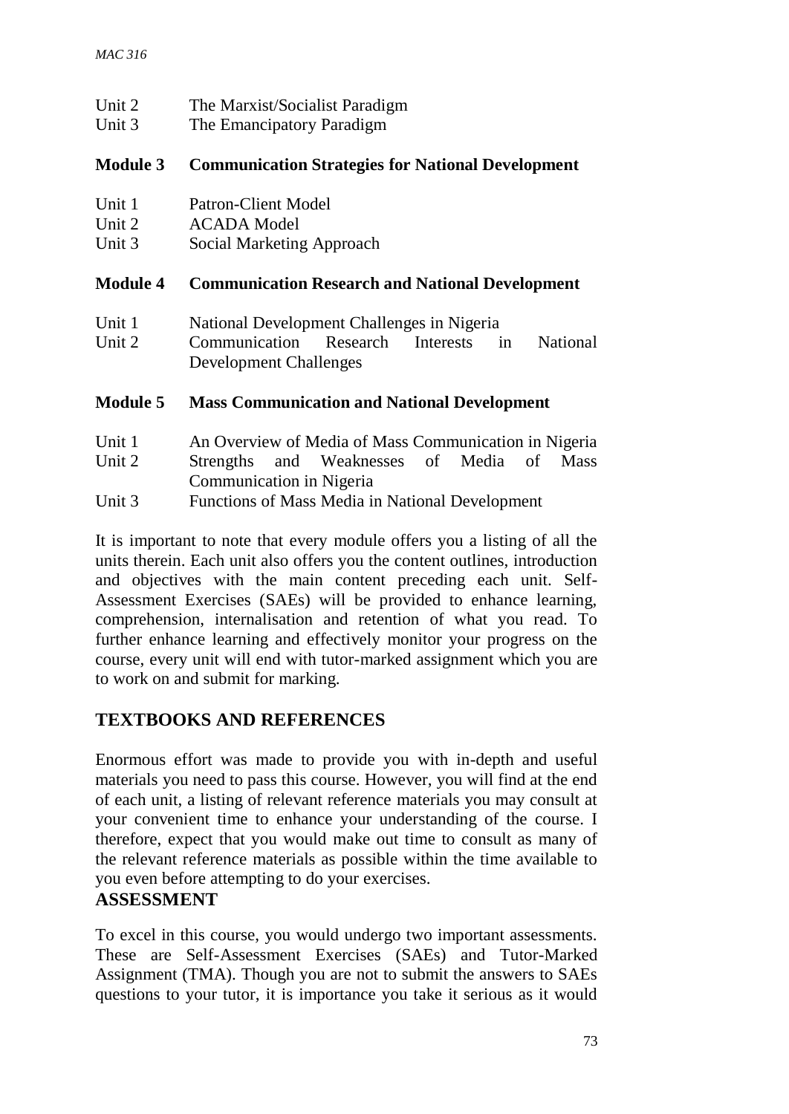| Unit 2<br>Unit 3            | The Marxist/Socialist Paradigm<br>The Emancipatory Paradigm                                        |  |  |
|-----------------------------|----------------------------------------------------------------------------------------------------|--|--|
| <b>Module 3</b>             | <b>Communication Strategies for National Development</b>                                           |  |  |
| Unit 1                      | <b>Patron-Client Model</b>                                                                         |  |  |
| Unit 2                      | <b>ACADA</b> Model                                                                                 |  |  |
| Unit 3                      | Social Marketing Approach                                                                          |  |  |
| <b>Module 4</b>             | <b>Communication Research and National Development</b>                                             |  |  |
| Unit 1                      | National Development Challenges in Nigeria                                                         |  |  |
| Unit 2                      | Communication Research Interests<br><b>National</b><br>in<br><b>Development Challenges</b>         |  |  |
| <b>Module 5</b>             | <b>Mass Communication and National Development</b>                                                 |  |  |
| Unit 1<br>$I$ Init $\gamma$ | An Overview of Media of Mass Communication in Nigeria<br>Strengths and Weaknesses of Media of Mass |  |  |

Unit 2 Strengths and Weaknesses of Media of Mass Communication in Nigeria

Unit 3 Functions of Mass Media in National Development

It is important to note that every module offers you a listing of all the units therein. Each unit also offers you the content outlines, introduction and objectives with the main content preceding each unit. Self-Assessment Exercises (SAEs) will be provided to enhance learning, comprehension, internalisation and retention of what you read. To further enhance learning and effectively monitor your progress on the course, every unit will end with tutor-marked assignment which you are to work on and submit for marking.

# **TEXTBOOKS AND REFERENCES**

Enormous effort was made to provide you with in-depth and useful materials you need to pass this course. However, you will find at the end of each unit, a listing of relevant reference materials you may consult at your convenient time to enhance your understanding of the course. I therefore, expect that you would make out time to consult as many of the relevant reference materials as possible within the time available to you even before attempting to do your exercises.

# **ASSESSMENT**

To excel in this course, you would undergo two important assessments. These are Self-Assessment Exercises (SAEs) and Tutor-Marked Assignment (TMA). Though you are not to submit the answers to SAEs questions to your tutor, it is importance you take it serious as it would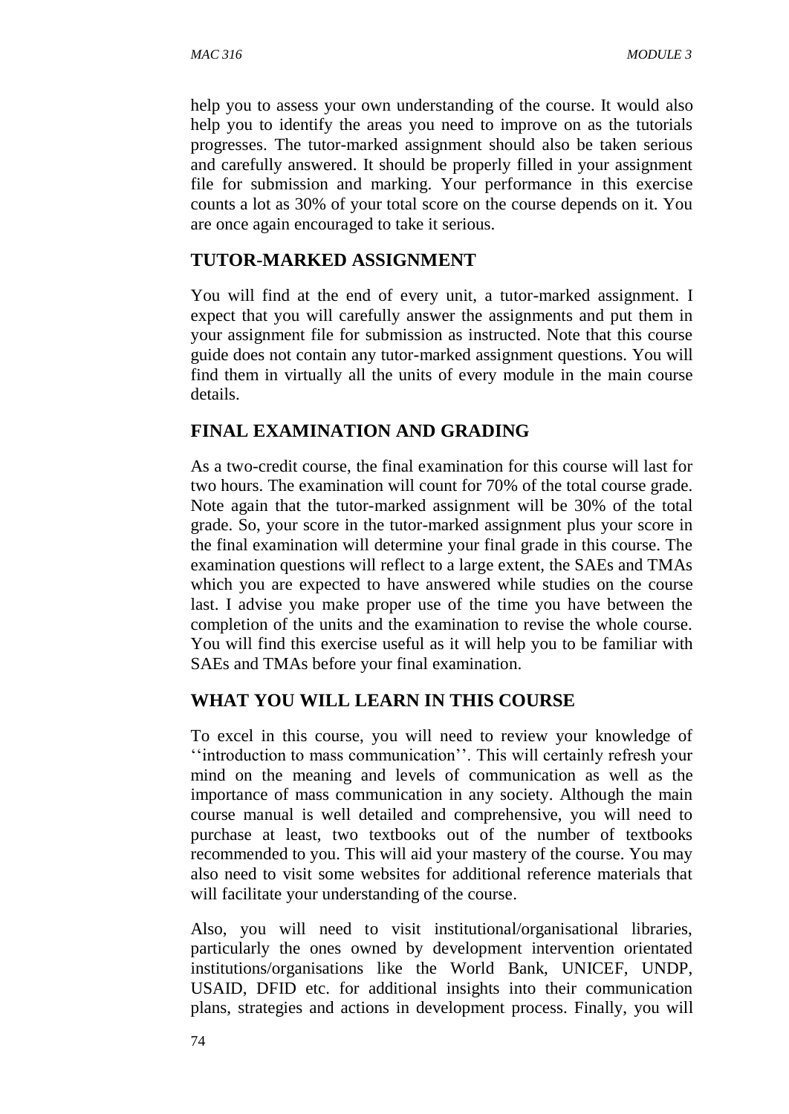help you to assess your own understanding of the course. It would also help you to identify the areas you need to improve on as the tutorials progresses. The tutor-marked assignment should also be taken serious and carefully answered. It should be properly filled in your assignment file for submission and marking. Your performance in this exercise counts a lot as 30% of your total score on the course depends on it. You are once again encouraged to take it serious.

#### **TUTOR-MARKED ASSIGNMENT**

You will find at the end of every unit, a tutor-marked assignment. I expect that you will carefully answer the assignments and put them in your assignment file for submission as instructed. Note that this course guide does not contain any tutor-marked assignment questions. You will find them in virtually all the units of every module in the main course details.

### **FINAL EXAMINATION AND GRADING**

As a two-credit course, the final examination for this course will last for two hours. The examination will count for 70% of the total course grade. Note again that the tutor-marked assignment will be 30% of the total grade. So, your score in the tutor-marked assignment plus your score in the final examination will determine your final grade in this course. The examination questions will reflect to a large extent, the SAEs and TMAs which you are expected to have answered while studies on the course last. I advise you make proper use of the time you have between the completion of the units and the examination to revise the whole course. You will find this exercise useful as it will help you to be familiar with SAEs and TMAs before your final examination.

### **WHAT YOU WILL LEARN IN THIS COURSE**

To excel in this course, you will need to review your knowledge of ''introduction to mass communication''. This will certainly refresh your mind on the meaning and levels of communication as well as the importance of mass communication in any society. Although the main course manual is well detailed and comprehensive, you will need to purchase at least, two textbooks out of the number of textbooks recommended to you. This will aid your mastery of the course. You may also need to visit some websites for additional reference materials that will facilitate your understanding of the course.

Also, you will need to visit institutional/organisational libraries, particularly the ones owned by development intervention orientated institutions/organisations like the World Bank, UNICEF, UNDP, USAID, DFID etc. for additional insights into their communication plans, strategies and actions in development process. Finally, you will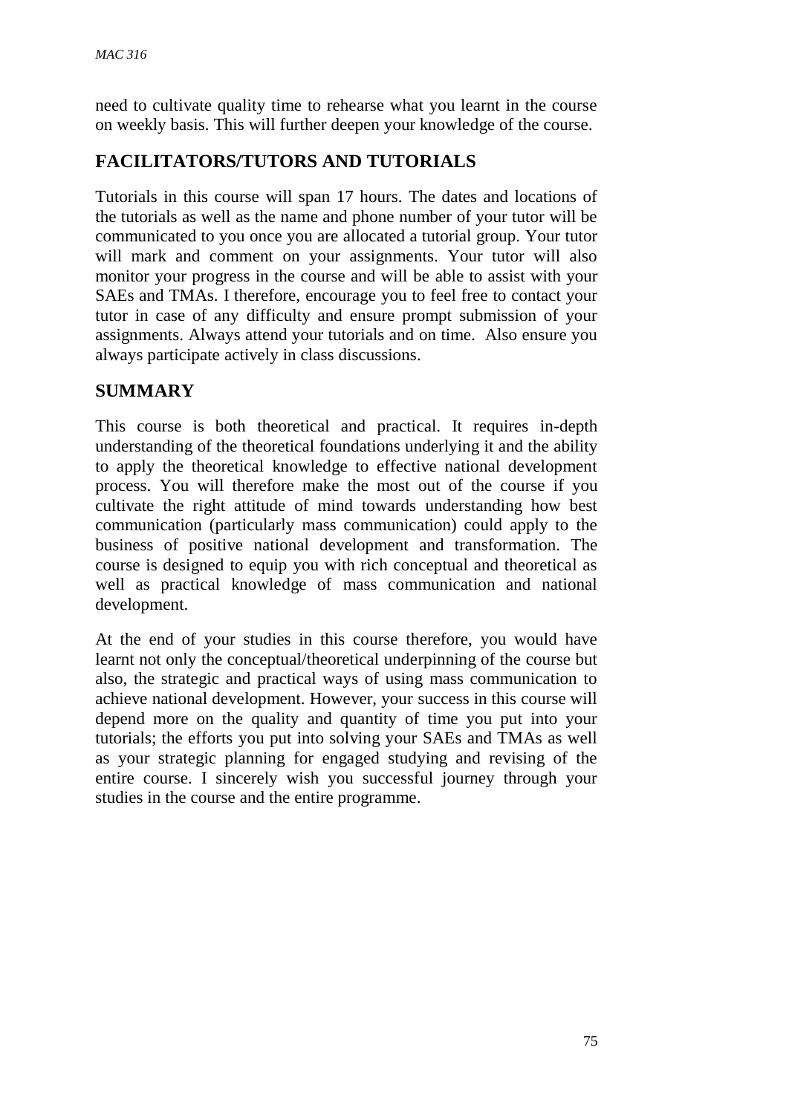need to cultivate quality time to rehearse what you learnt in the course on weekly basis. This will further deepen your knowledge of the course.

# **FACILITATORS/TUTORS AND TUTORIALS**

Tutorials in this course will span 17 hours. The dates and locations of the tutorials as well as the name and phone number of your tutor will be communicated to you once you are allocated a tutorial group. Your tutor will mark and comment on your assignments. Your tutor will also monitor your progress in the course and will be able to assist with your SAEs and TMAs. I therefore, encourage you to feel free to contact your tutor in case of any difficulty and ensure prompt submission of your assignments. Always attend your tutorials and on time. Also ensure you always participate actively in class discussions.

# **SUMMARY**

This course is both theoretical and practical. It requires in-depth understanding of the theoretical foundations underlying it and the ability to apply the theoretical knowledge to effective national development process. You will therefore make the most out of the course if you cultivate the right attitude of mind towards understanding how best communication (particularly mass communication) could apply to the business of positive national development and transformation. The course is designed to equip you with rich conceptual and theoretical as well as practical knowledge of mass communication and national development.

At the end of your studies in this course therefore, you would have learnt not only the conceptual/theoretical underpinning of the course but also, the strategic and practical ways of using mass communication to achieve national development. However, your success in this course will depend more on the quality and quantity of time you put into your tutorials; the efforts you put into solving your SAEs and TMAs as well as your strategic planning for engaged studying and revising of the entire course. I sincerely wish you successful journey through your studies in the course and the entire programme.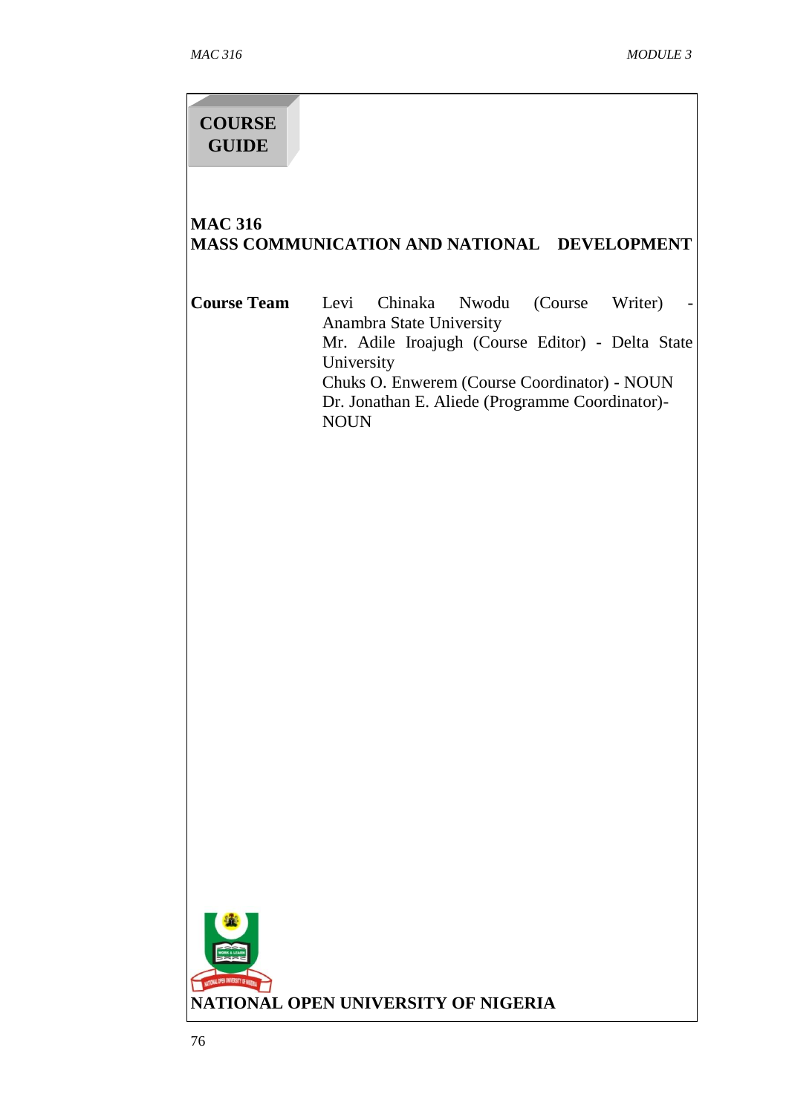# **COURSE GUIDE**

# **MAC 316 MASS COMMUNICATION AND NATIONAL DEVELOPMENT**

| Course Team |                                                 | Levi Chinaka Nwodu (Course Writer)               |  |  |  |
|-------------|-------------------------------------------------|--------------------------------------------------|--|--|--|
|             |                                                 | Anambra State University                         |  |  |  |
|             |                                                 | Mr. Adile Iroajugh (Course Editor) - Delta State |  |  |  |
|             | University                                      |                                                  |  |  |  |
|             | Chuks O. Enwerem (Course Coordinator) - NOUN    |                                                  |  |  |  |
|             | Dr. Jonathan E. Aliede (Programme Coordinator)- |                                                  |  |  |  |
|             | NOI IN                                          |                                                  |  |  |  |

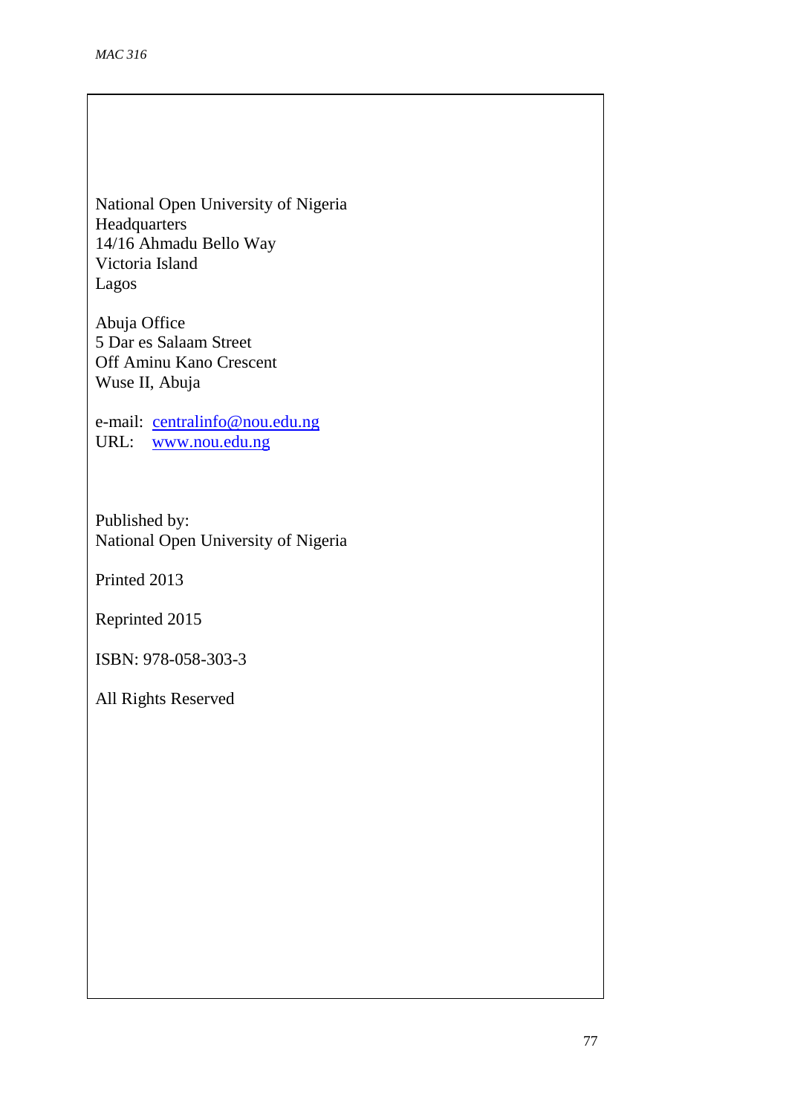National Open University of Nigeria Headquarters 14/16 Ahmadu Bello Way Victoria Island Lagos

Abuja Office 5 Dar es Salaam Street Off Aminu Kano Crescent Wuse II, Abuja

e-mail: [centralinfo@nou.edu.ng](mailto:centralinfo@nou.edu.ng) URL: [www.nou.edu.ng](http://www.nou.edu.ng/)

Published by: National Open University of Nigeria

Printed 2013

Reprinted 2015

ISBN: 978-058-303-3

All Rights Reserved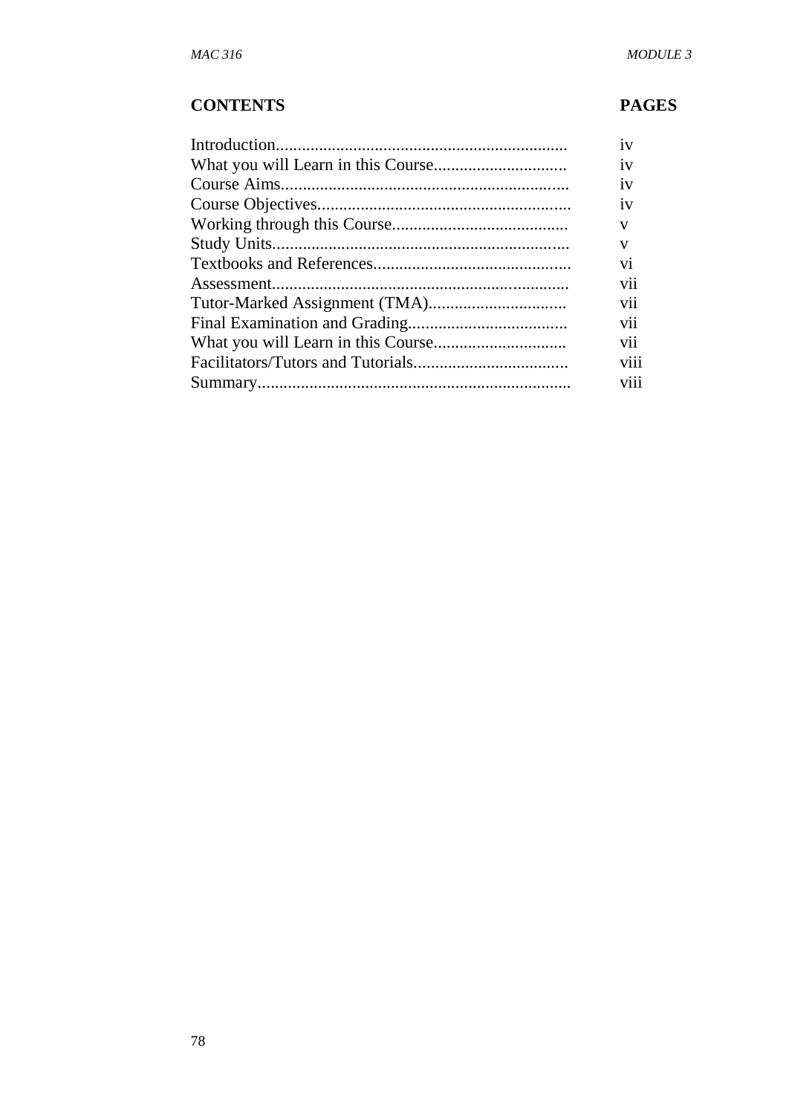# **CONTENTS PAGES**

| 1V   |
|------|
| 1V   |
| 1V   |
| 1V   |
| v    |
| V    |
| V1   |
| V11  |
| V11  |
| V11  |
| V11  |
| V111 |
| viii |
|      |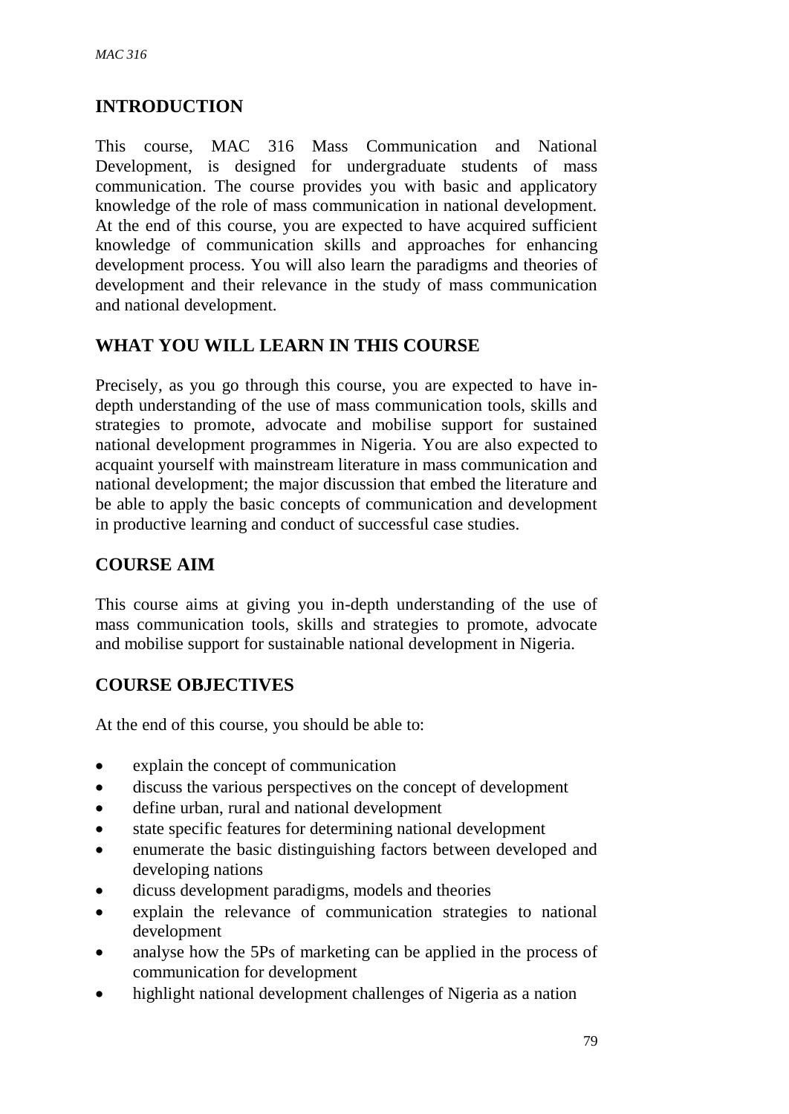# **INTRODUCTION**

This course, MAC 316 Mass Communication and National Development, is designed for undergraduate students of mass communication. The course provides you with basic and applicatory knowledge of the role of mass communication in national development. At the end of this course, you are expected to have acquired sufficient knowledge of communication skills and approaches for enhancing development process. You will also learn the paradigms and theories of development and their relevance in the study of mass communication and national development.

# **WHAT YOU WILL LEARN IN THIS COURSE**

Precisely, as you go through this course, you are expected to have indepth understanding of the use of mass communication tools, skills and strategies to promote, advocate and mobilise support for sustained national development programmes in Nigeria. You are also expected to acquaint yourself with mainstream literature in mass communication and national development; the major discussion that embed the literature and be able to apply the basic concepts of communication and development in productive learning and conduct of successful case studies.

# **COURSE AIM**

This course aims at giving you in-depth understanding of the use of mass communication tools, skills and strategies to promote, advocate and mobilise support for sustainable national development in Nigeria.

# **COURSE OBJECTIVES**

At the end of this course, you should be able to:

- explain the concept of communication
- discuss the various perspectives on the concept of development
- define urban, rural and national development
- state specific features for determining national development
- enumerate the basic distinguishing factors between developed and developing nations
- dicuss development paradigms, models and theories
- explain the relevance of communication strategies to national development
- analyse how the 5Ps of marketing can be applied in the process of communication for development
- highlight national development challenges of Nigeria as a nation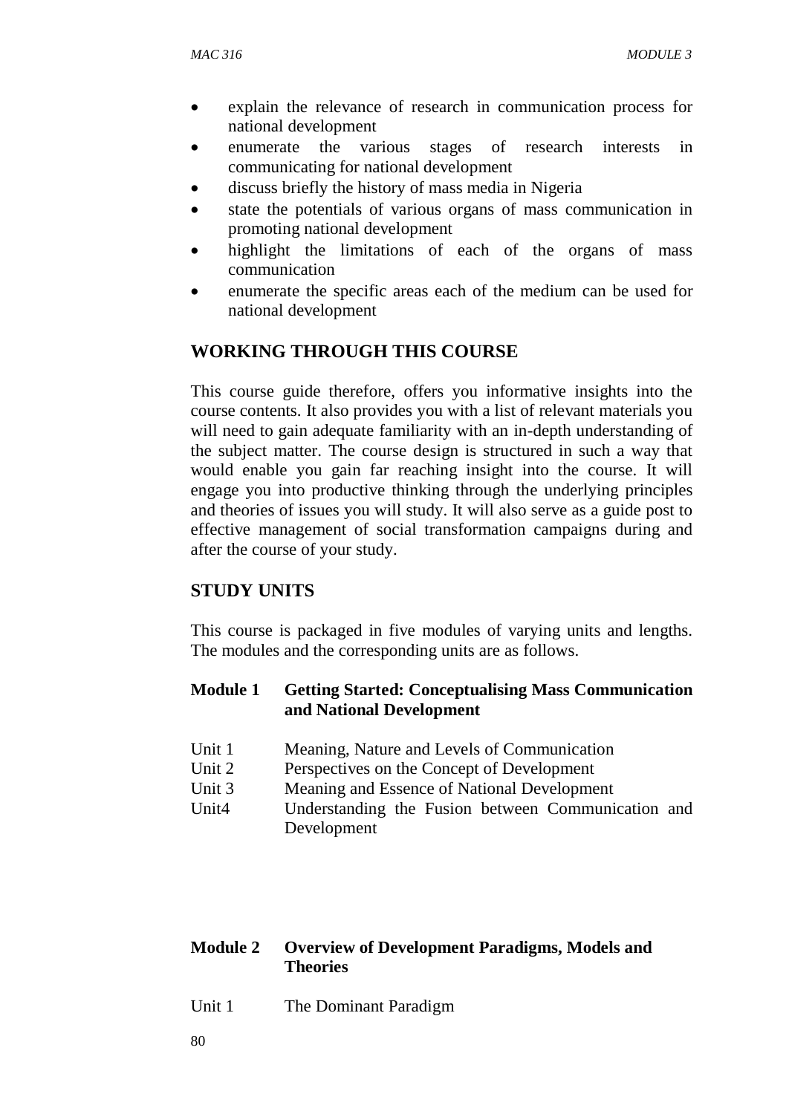- explain the relevance of research in communication process for national development
- enumerate the various stages of research interests in communicating for national development
- discuss briefly the history of mass media in Nigeria
- state the potentials of various organs of mass communication in promoting national development
- highlight the limitations of each of the organs of mass communication
- enumerate the specific areas each of the medium can be used for national development

# **WORKING THROUGH THIS COURSE**

This course guide therefore, offers you informative insights into the course contents. It also provides you with a list of relevant materials you will need to gain adequate familiarity with an in-depth understanding of the subject matter. The course design is structured in such a way that would enable you gain far reaching insight into the course. It will engage you into productive thinking through the underlying principles and theories of issues you will study. It will also serve as a guide post to effective management of social transformation campaigns during and after the course of your study.

# **STUDY UNITS**

This course is packaged in five modules of varying units and lengths. The modules and the corresponding units are as follows.

## **Module 1 Getting Started: Conceptualising Mass Communication and National Development**

- Unit 1 Meaning, Nature and Levels of Communication
- Unit 2 Perspectives on the Concept of Development
- Unit 3 Meaning and Essence of National Development
- Unit4 Understanding the Fusion between Communication and Development

### **Module 2 Overview of Development Paradigms, Models and Theories**

Unit 1 The Dominant Paradigm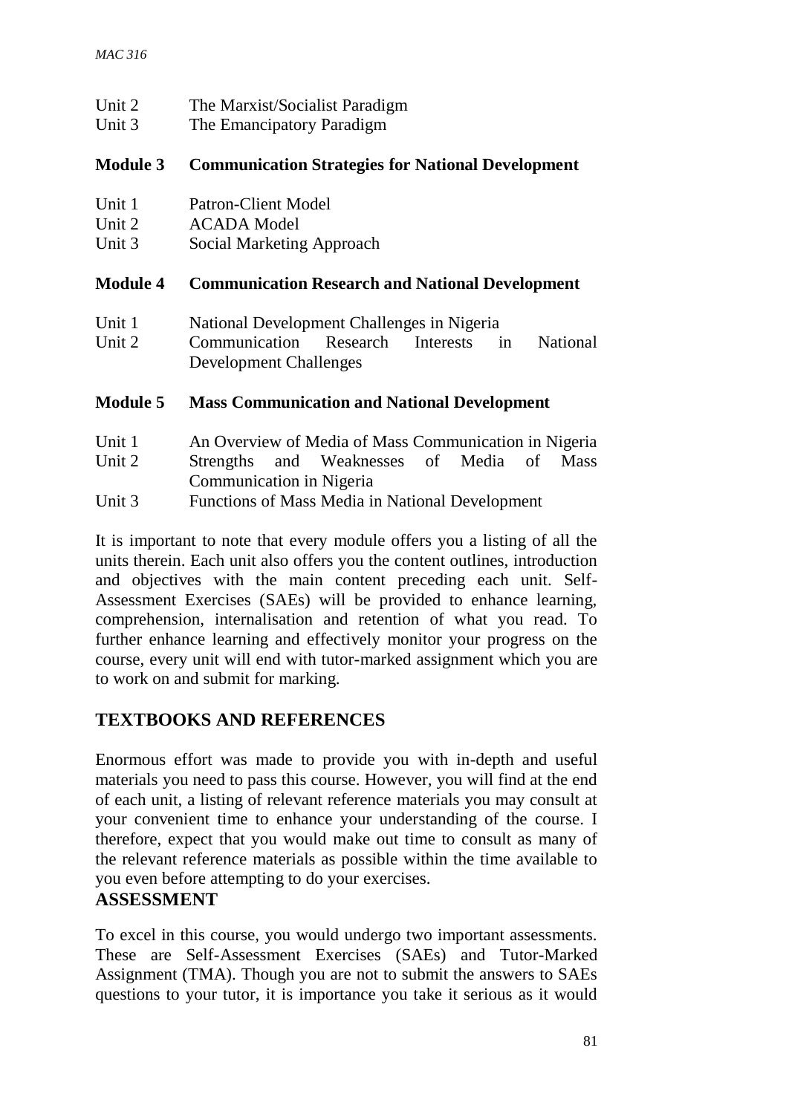| Unit 2<br>Unit 3 | The Marxist/Socialist Paradigm<br>The Emancipatory Paradigm |  |  |
|------------------|-------------------------------------------------------------|--|--|
| <b>Module 3</b>  | <b>Communication Strategies for National Development</b>    |  |  |
| Unit 1           | Patron-Client Model                                         |  |  |
| Unit 2           | <b>ACADA</b> Model                                          |  |  |
| Unit 3           | Social Marketing Approach                                   |  |  |
| <b>Module 4</b>  | <b>Communication Research and National Development</b>      |  |  |
| Unit 1           | National Development Challenges in Nigeria                  |  |  |
| Unit 2           | Communication Research Interests in<br><b>National</b>      |  |  |
|                  | <b>Development Challenges</b>                               |  |  |
| <b>Module 5</b>  | <b>Mass Communication and National Development</b>          |  |  |
| Unit 1           | An Overview of Media of Mass Communication in Nigeria       |  |  |
| $I$ Init $2$     | Strengths and Weaknesses of Media of Mass                   |  |  |

Unit 2 Strengths and Weaknesses of Media of Mass Communication in Nigeria

Unit 3 Functions of Mass Media in National Development

It is important to note that every module offers you a listing of all the units therein. Each unit also offers you the content outlines, introduction and objectives with the main content preceding each unit. Self-Assessment Exercises (SAEs) will be provided to enhance learning, comprehension, internalisation and retention of what you read. To further enhance learning and effectively monitor your progress on the course, every unit will end with tutor-marked assignment which you are to work on and submit for marking.

# **TEXTBOOKS AND REFERENCES**

Enormous effort was made to provide you with in-depth and useful materials you need to pass this course. However, you will find at the end of each unit, a listing of relevant reference materials you may consult at your convenient time to enhance your understanding of the course. I therefore, expect that you would make out time to consult as many of the relevant reference materials as possible within the time available to you even before attempting to do your exercises.

# **ASSESSMENT**

To excel in this course, you would undergo two important assessments. These are Self-Assessment Exercises (SAEs) and Tutor-Marked Assignment (TMA). Though you are not to submit the answers to SAEs questions to your tutor, it is importance you take it serious as it would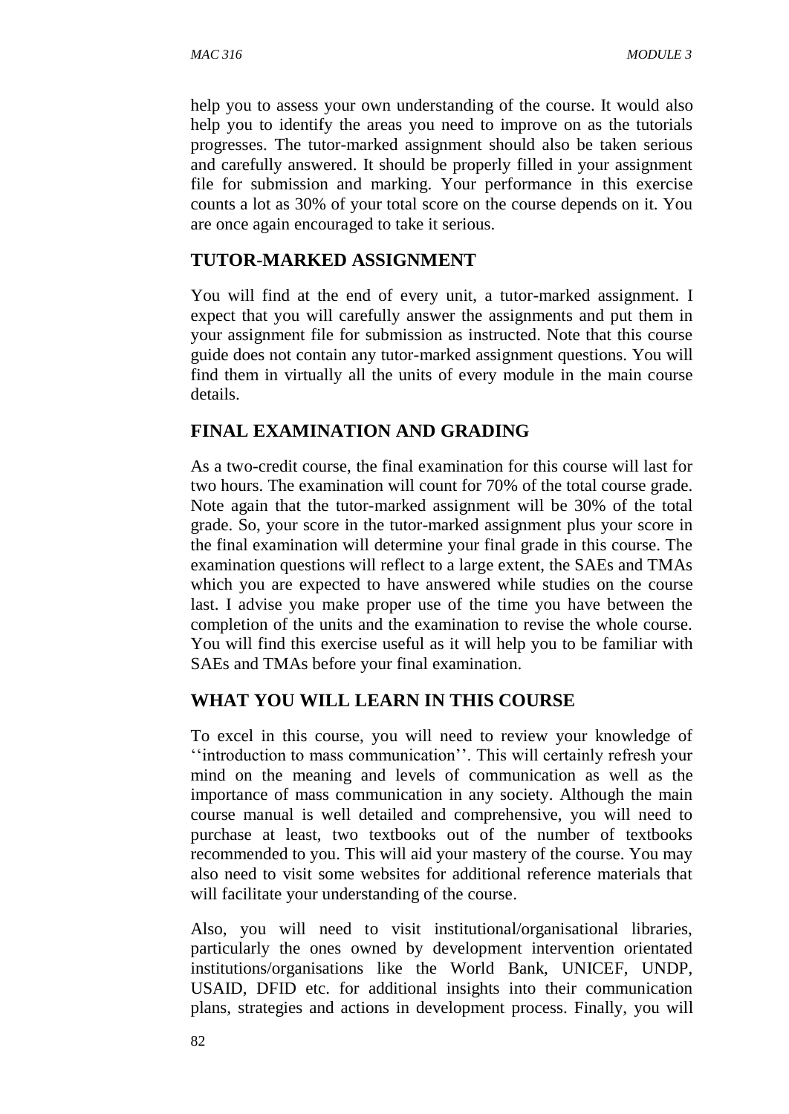help you to assess your own understanding of the course. It would also help you to identify the areas you need to improve on as the tutorials progresses. The tutor-marked assignment should also be taken serious and carefully answered. It should be properly filled in your assignment file for submission and marking. Your performance in this exercise counts a lot as 30% of your total score on the course depends on it. You are once again encouraged to take it serious.

#### **TUTOR-MARKED ASSIGNMENT**

You will find at the end of every unit, a tutor-marked assignment. I expect that you will carefully answer the assignments and put them in your assignment file for submission as instructed. Note that this course guide does not contain any tutor-marked assignment questions. You will find them in virtually all the units of every module in the main course details.

### **FINAL EXAMINATION AND GRADING**

As a two-credit course, the final examination for this course will last for two hours. The examination will count for 70% of the total course grade. Note again that the tutor-marked assignment will be 30% of the total grade. So, your score in the tutor-marked assignment plus your score in the final examination will determine your final grade in this course. The examination questions will reflect to a large extent, the SAEs and TMAs which you are expected to have answered while studies on the course last. I advise you make proper use of the time you have between the completion of the units and the examination to revise the whole course. You will find this exercise useful as it will help you to be familiar with SAEs and TMAs before your final examination.

### **WHAT YOU WILL LEARN IN THIS COURSE**

To excel in this course, you will need to review your knowledge of ''introduction to mass communication''. This will certainly refresh your mind on the meaning and levels of communication as well as the importance of mass communication in any society. Although the main course manual is well detailed and comprehensive, you will need to purchase at least, two textbooks out of the number of textbooks recommended to you. This will aid your mastery of the course. You may also need to visit some websites for additional reference materials that will facilitate your understanding of the course.

Also, you will need to visit institutional/organisational libraries, particularly the ones owned by development intervention orientated institutions/organisations like the World Bank, UNICEF, UNDP, USAID, DFID etc. for additional insights into their communication plans, strategies and actions in development process. Finally, you will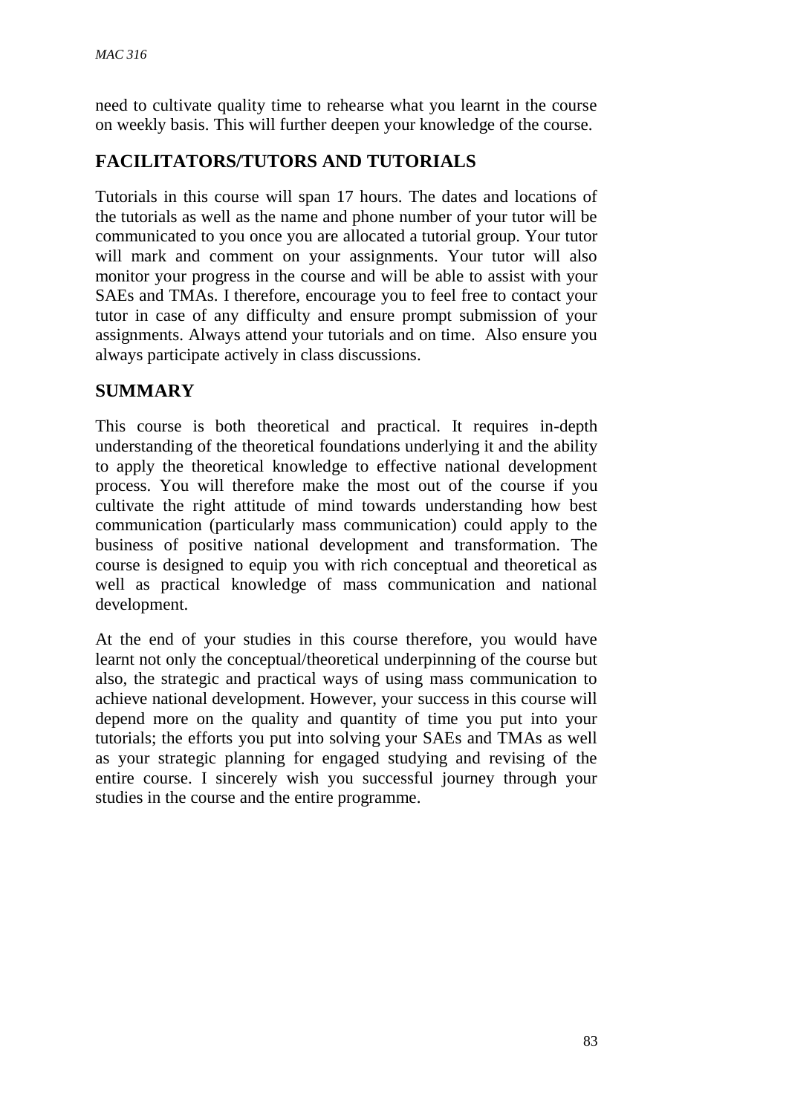need to cultivate quality time to rehearse what you learnt in the course on weekly basis. This will further deepen your knowledge of the course.

# **FACILITATORS/TUTORS AND TUTORIALS**

Tutorials in this course will span 17 hours. The dates and locations of the tutorials as well as the name and phone number of your tutor will be communicated to you once you are allocated a tutorial group. Your tutor will mark and comment on your assignments. Your tutor will also monitor your progress in the course and will be able to assist with your SAEs and TMAs. I therefore, encourage you to feel free to contact your tutor in case of any difficulty and ensure prompt submission of your assignments. Always attend your tutorials and on time. Also ensure you always participate actively in class discussions.

# **SUMMARY**

This course is both theoretical and practical. It requires in-depth understanding of the theoretical foundations underlying it and the ability to apply the theoretical knowledge to effective national development process. You will therefore make the most out of the course if you cultivate the right attitude of mind towards understanding how best communication (particularly mass communication) could apply to the business of positive national development and transformation. The course is designed to equip you with rich conceptual and theoretical as well as practical knowledge of mass communication and national development.

At the end of your studies in this course therefore, you would have learnt not only the conceptual/theoretical underpinning of the course but also, the strategic and practical ways of using mass communication to achieve national development. However, your success in this course will depend more on the quality and quantity of time you put into your tutorials; the efforts you put into solving your SAEs and TMAs as well as your strategic planning for engaged studying and revising of the entire course. I sincerely wish you successful journey through your studies in the course and the entire programme.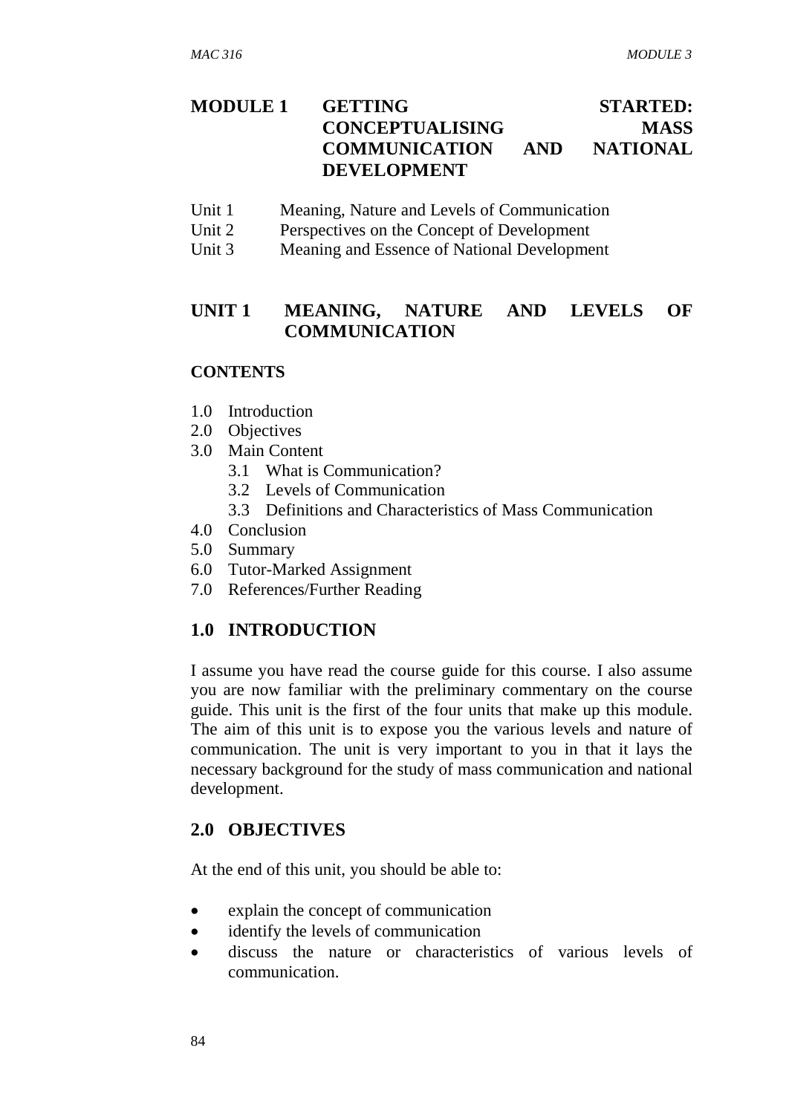# **MODULE 1 GETTING STARTED: CONCEPTUALISING MASS COMMUNICATION AND NATIONAL DEVELOPMENT**

- Unit 1 Meaning, Nature and Levels of Communication
- Unit 2 Perspectives on the Concept of Development
- Unit 3 Meaning and Essence of National Development

# **UNIT 1 MEANING, NATURE AND LEVELS OF COMMUNICATION**

#### **CONTENTS**

- 1.0 Introduction
- 2.0 Objectives
- 3.0 Main Content
	- 3.1 What is Communication?
	- 3.2 Levels of Communication
	- 3.3 Definitions and Characteristics of Mass Communication
- 4.0 Conclusion
- 5.0 Summary
- 6.0 Tutor-Marked Assignment
- 7.0 References/Further Reading

### **1.0 INTRODUCTION**

I assume you have read the course guide for this course. I also assume you are now familiar with the preliminary commentary on the course guide. This unit is the first of the four units that make up this module. The aim of this unit is to expose you the various levels and nature of communication. The unit is very important to you in that it lays the necessary background for the study of mass communication and national development.

### **2.0 OBJECTIVES**

At the end of this unit, you should be able to:

- explain the concept of communication
- identify the levels of communication
- discuss the nature or characteristics of various levels of communication.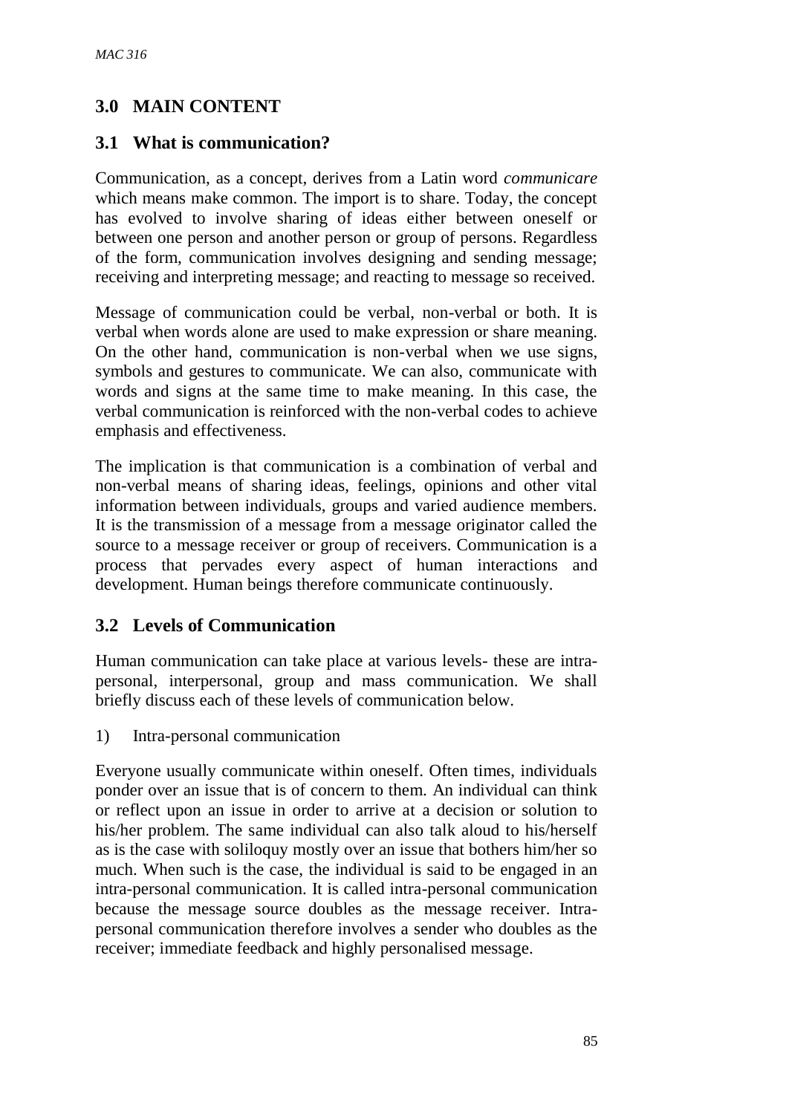# **3.0 MAIN CONTENT**

## **3.1 What is communication?**

Communication, as a concept, derives from a Latin word *communicare* which means make common. The import is to share. Today, the concept has evolved to involve sharing of ideas either between oneself or between one person and another person or group of persons. Regardless of the form, communication involves designing and sending message; receiving and interpreting message; and reacting to message so received.

Message of communication could be verbal, non-verbal or both. It is verbal when words alone are used to make expression or share meaning. On the other hand, communication is non-verbal when we use signs, symbols and gestures to communicate. We can also, communicate with words and signs at the same time to make meaning. In this case, the verbal communication is reinforced with the non-verbal codes to achieve emphasis and effectiveness.

The implication is that communication is a combination of verbal and non-verbal means of sharing ideas, feelings, opinions and other vital information between individuals, groups and varied audience members. It is the transmission of a message from a message originator called the source to a message receiver or group of receivers. Communication is a process that pervades every aspect of human interactions and development. Human beings therefore communicate continuously.

# **3.2 Levels of Communication**

Human communication can take place at various levels- these are intrapersonal, interpersonal, group and mass communication. We shall briefly discuss each of these levels of communication below.

1) Intra-personal communication

Everyone usually communicate within oneself. Often times, individuals ponder over an issue that is of concern to them. An individual can think or reflect upon an issue in order to arrive at a decision or solution to his/her problem. The same individual can also talk aloud to his/herself as is the case with soliloquy mostly over an issue that bothers him/her so much. When such is the case, the individual is said to be engaged in an intra-personal communication. It is called intra-personal communication because the message source doubles as the message receiver. Intrapersonal communication therefore involves a sender who doubles as the receiver; immediate feedback and highly personalised message.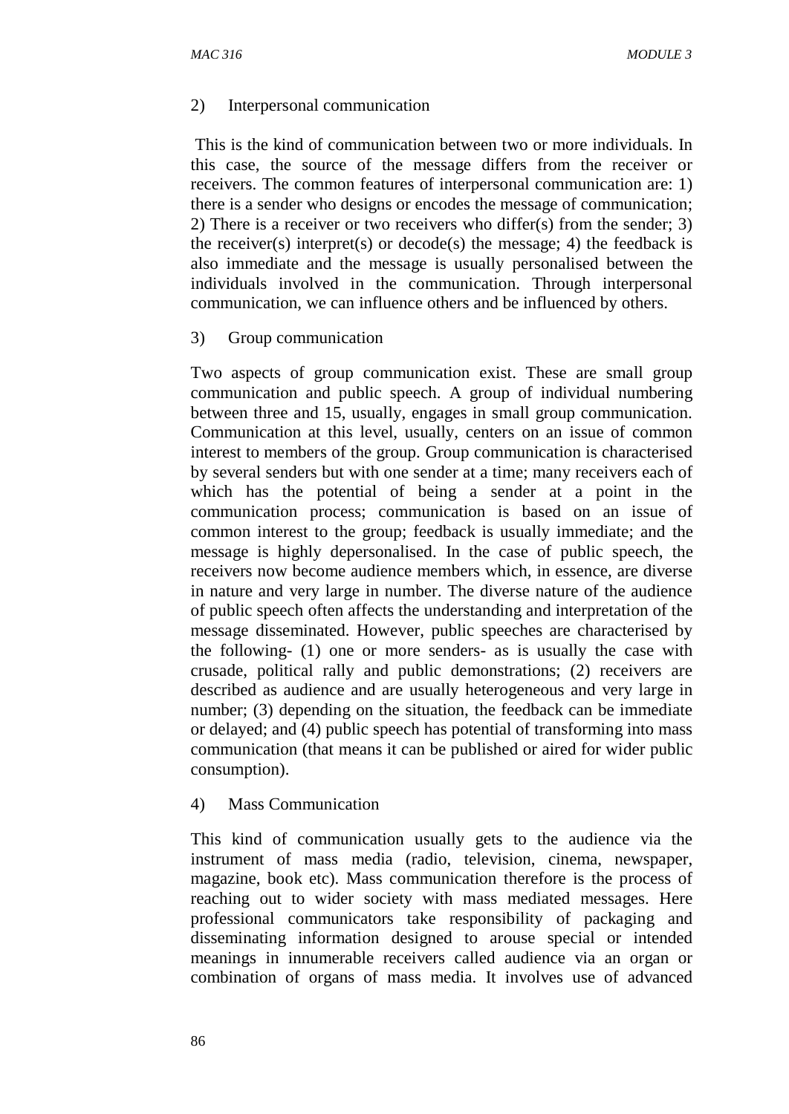#### 2) Interpersonal communication

This is the kind of communication between two or more individuals. In this case, the source of the message differs from the receiver or receivers. The common features of interpersonal communication are: 1) there is a sender who designs or encodes the message of communication; 2) There is a receiver or two receivers who differ(s) from the sender; 3) the receiver(s) interpret(s) or decode(s) the message; 4) the feedback is also immediate and the message is usually personalised between the individuals involved in the communication. Through interpersonal communication, we can influence others and be influenced by others.

#### 3) Group communication

Two aspects of group communication exist. These are small group communication and public speech. A group of individual numbering between three and 15, usually, engages in small group communication. Communication at this level, usually, centers on an issue of common interest to members of the group. Group communication is characterised by several senders but with one sender at a time; many receivers each of which has the potential of being a sender at a point in the communication process; communication is based on an issue of common interest to the group; feedback is usually immediate; and the message is highly depersonalised. In the case of public speech, the receivers now become audience members which, in essence, are diverse in nature and very large in number. The diverse nature of the audience of public speech often affects the understanding and interpretation of the message disseminated. However, public speeches are characterised by the following- (1) one or more senders- as is usually the case with crusade, political rally and public demonstrations; (2) receivers are described as audience and are usually heterogeneous and very large in number; (3) depending on the situation, the feedback can be immediate or delayed; and (4) public speech has potential of transforming into mass communication (that means it can be published or aired for wider public consumption).

#### 4) Mass Communication

This kind of communication usually gets to the audience via the instrument of mass media (radio, television, cinema, newspaper, magazine, book etc). Mass communication therefore is the process of reaching out to wider society with mass mediated messages. Here professional communicators take responsibility of packaging and disseminating information designed to arouse special or intended meanings in innumerable receivers called audience via an organ or combination of organs of mass media. It involves use of advanced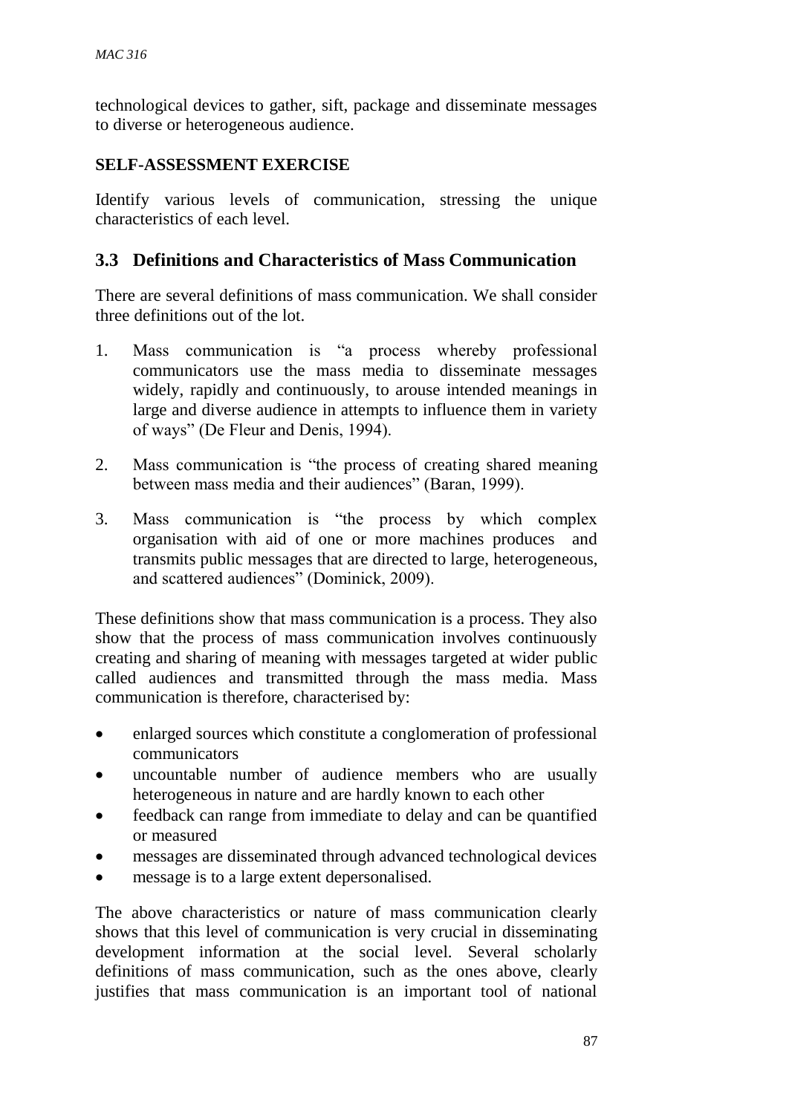technological devices to gather, sift, package and disseminate messages to diverse or heterogeneous audience.

### **SELF-ASSESSMENT EXERCISE**

Identify various levels of communication, stressing the unique characteristics of each level.

### **3.3 Definitions and Characteristics of Mass Communication**

There are several definitions of mass communication. We shall consider three definitions out of the lot.

- 1. Mass communication is "a process whereby professional communicators use the mass media to disseminate messages widely, rapidly and continuously, to arouse intended meanings in large and diverse audience in attempts to influence them in variety of ways" (De Fleur and Denis, 1994).
- 2. Mass communication is "the process of creating shared meaning between mass media and their audiences" (Baran, 1999).
- 3. Mass communication is "the process by which complex organisation with aid of one or more machines produces and transmits public messages that are directed to large, heterogeneous, and scattered audiences" (Dominick, 2009).

These definitions show that mass communication is a process. They also show that the process of mass communication involves continuously creating and sharing of meaning with messages targeted at wider public called audiences and transmitted through the mass media. Mass communication is therefore, characterised by:

- enlarged sources which constitute a conglomeration of professional communicators
- uncountable number of audience members who are usually heterogeneous in nature and are hardly known to each other
- feedback can range from immediate to delay and can be quantified or measured
- messages are disseminated through advanced technological devices
- message is to a large extent depersonalised.

The above characteristics or nature of mass communication clearly shows that this level of communication is very crucial in disseminating development information at the social level. Several scholarly definitions of mass communication, such as the ones above, clearly justifies that mass communication is an important tool of national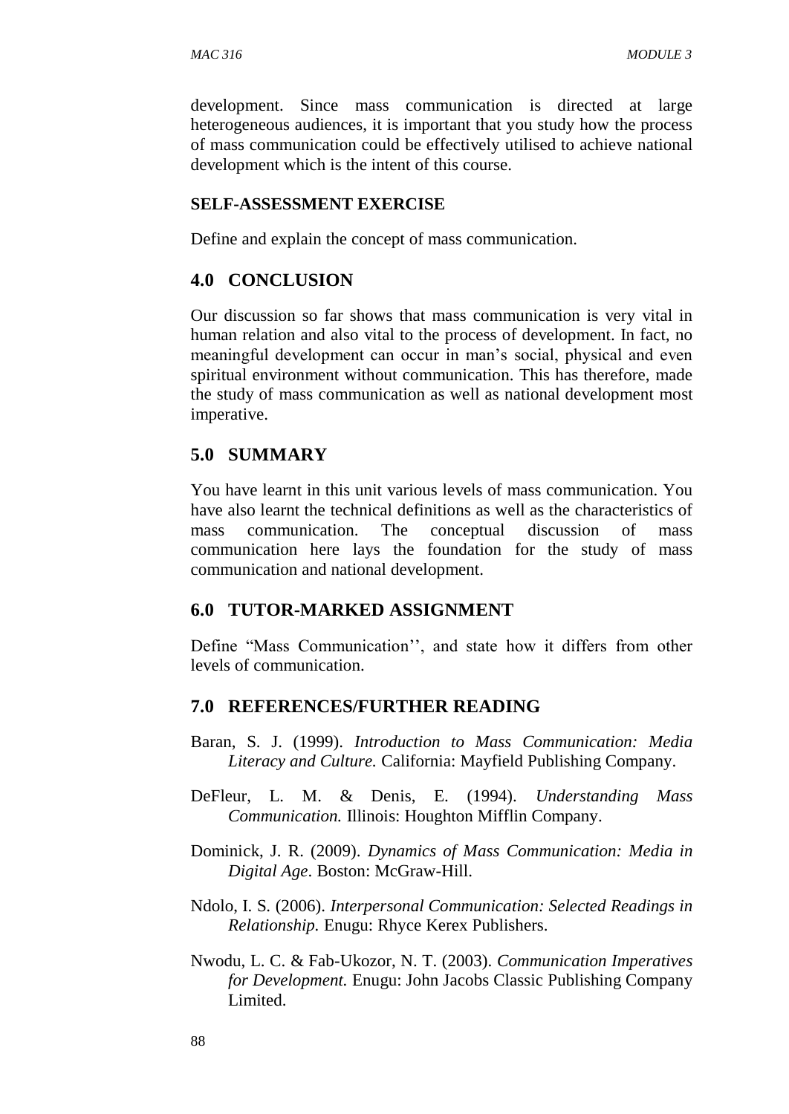development. Since mass communication is directed at large heterogeneous audiences, it is important that you study how the process of mass communication could be effectively utilised to achieve national development which is the intent of this course.

#### **SELF-ASSESSMENT EXERCISE**

Define and explain the concept of mass communication.

#### **4.0 CONCLUSION**

Our discussion so far shows that mass communication is very vital in human relation and also vital to the process of development. In fact, no meaningful development can occur in man's social, physical and even spiritual environment without communication. This has therefore, made the study of mass communication as well as national development most imperative.

#### **5.0 SUMMARY**

You have learnt in this unit various levels of mass communication. You have also learnt the technical definitions as well as the characteristics of mass communication. The conceptual discussion of mass communication here lays the foundation for the study of mass communication and national development.

#### **6.0 TUTOR-MARKED ASSIGNMENT**

Define "Mass Communication'', and state how it differs from other levels of communication.

#### **7.0 REFERENCES/FURTHER READING**

- Baran, S. J. (1999). *Introduction to Mass Communication: Media Literacy and Culture.* California: Mayfield Publishing Company.
- DeFleur, L. M. & Denis, E. (1994). *Understanding Mass Communication.* Illinois: Houghton Mifflin Company.
- Dominick, J. R. (2009). *Dynamics of Mass Communication: Media in Digital Age*. Boston: McGraw-Hill.
- Ndolo, I. S. (2006). *Interpersonal Communication: Selected Readings in Relationship.* Enugu: Rhyce Kerex Publishers.
- Nwodu, L. C. & Fab-Ukozor, N. T. (2003). *Communication Imperatives for Development.* Enugu: John Jacobs Classic Publishing Company Limited.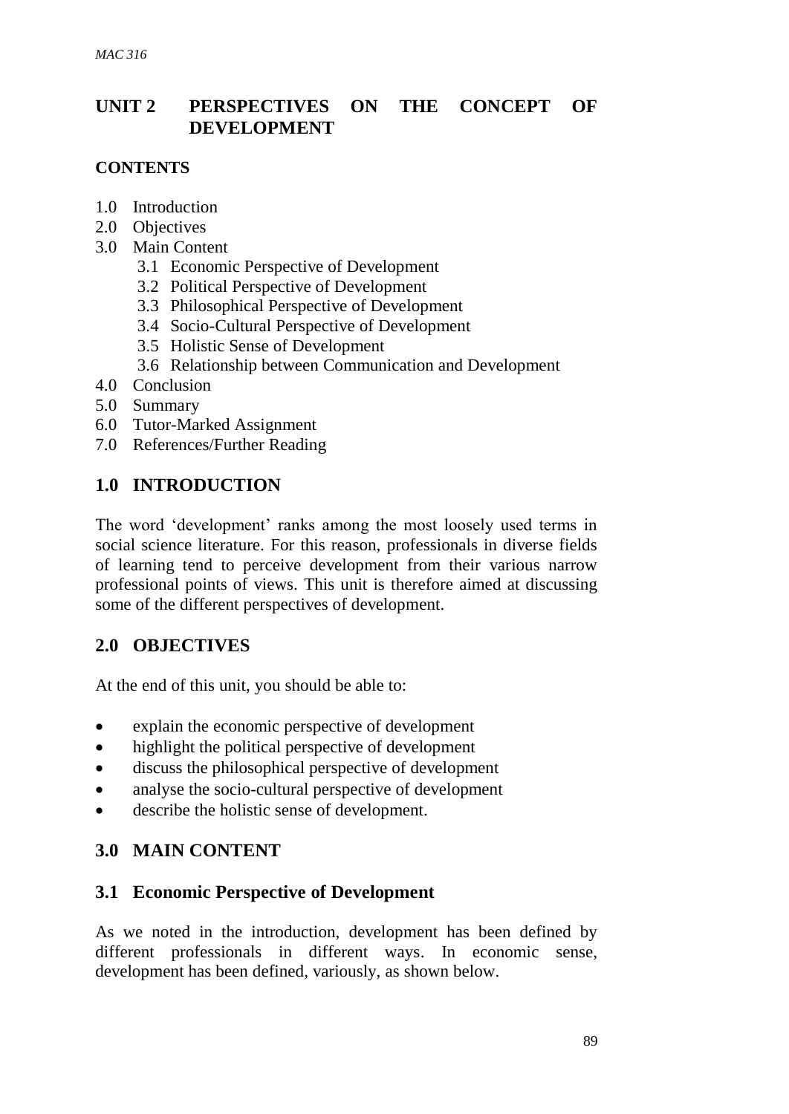# **UNIT 2 PERSPECTIVES ON THE CONCEPT OF DEVELOPMENT**

### **CONTENTS**

- 1.0 Introduction
- 2.0 Objectives
- 3.0 Main Content
	- 3.1 Economic Perspective of Development
	- 3.2 Political Perspective of Development
	- 3.3 Philosophical Perspective of Development
	- 3.4 Socio-Cultural Perspective of Development
	- 3.5 Holistic Sense of Development
	- 3.6 Relationship between Communication and Development
- 4.0 Conclusion
- 5.0 Summary
- 6.0 Tutor-Marked Assignment
- 7.0 References/Further Reading

# **1.0 INTRODUCTION**

The word 'development' ranks among the most loosely used terms in social science literature. For this reason, professionals in diverse fields of learning tend to perceive development from their various narrow professional points of views. This unit is therefore aimed at discussing some of the different perspectives of development.

# **2.0 OBJECTIVES**

At the end of this unit, you should be able to:

- explain the economic perspective of development
- highlight the political perspective of development
- discuss the philosophical perspective of development
- analyse the socio-cultural perspective of development
- describe the holistic sense of development.

# **3.0 MAIN CONTENT**

# **3.1 Economic Perspective of Development**

As we noted in the introduction, development has been defined by different professionals in different ways. In economic sense, development has been defined, variously, as shown below.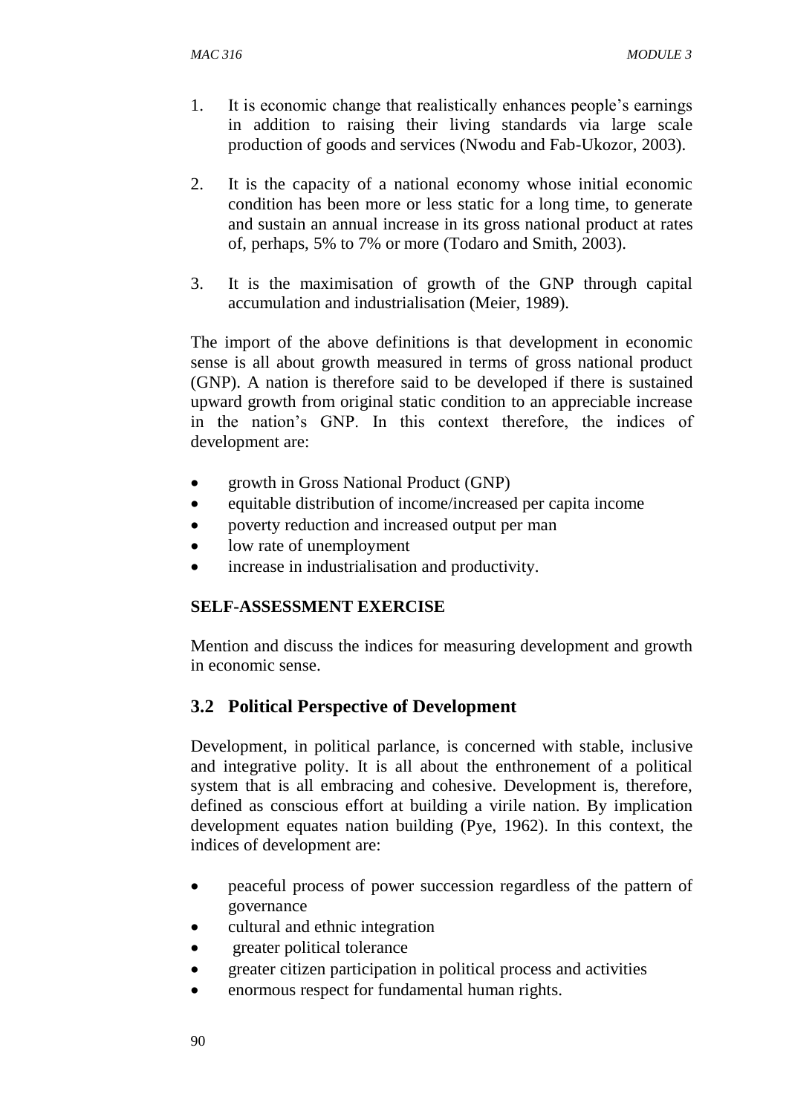- 1. It is economic change that realistically enhances people's earnings in addition to raising their living standards via large scale production of goods and services (Nwodu and Fab-Ukozor, 2003).
- 2. It is the capacity of a national economy whose initial economic condition has been more or less static for a long time, to generate and sustain an annual increase in its gross national product at rates of, perhaps, 5% to 7% or more (Todaro and Smith, 2003).
- 3. It is the maximisation of growth of the GNP through capital accumulation and industrialisation (Meier, 1989).

The import of the above definitions is that development in economic sense is all about growth measured in terms of gross national product (GNP). A nation is therefore said to be developed if there is sustained upward growth from original static condition to an appreciable increase in the nation's GNP. In this context therefore, the indices of development are:

- growth in Gross National Product (GNP)
- equitable distribution of income/increased per capita income
- poverty reduction and increased output per man
- low rate of unemployment
- increase in industrialisation and productivity.

#### **SELF-ASSESSMENT EXERCISE**

Mention and discuss the indices for measuring development and growth in economic sense.

# **3.2 Political Perspective of Development**

Development, in political parlance, is concerned with stable, inclusive and integrative polity. It is all about the enthronement of a political system that is all embracing and cohesive. Development is, therefore, defined as conscious effort at building a virile nation. By implication development equates nation building (Pye, 1962). In this context, the indices of development are:

- peaceful process of power succession regardless of the pattern of governance
- cultural and ethnic integration
- greater political tolerance
- greater citizen participation in political process and activities
- enormous respect for fundamental human rights.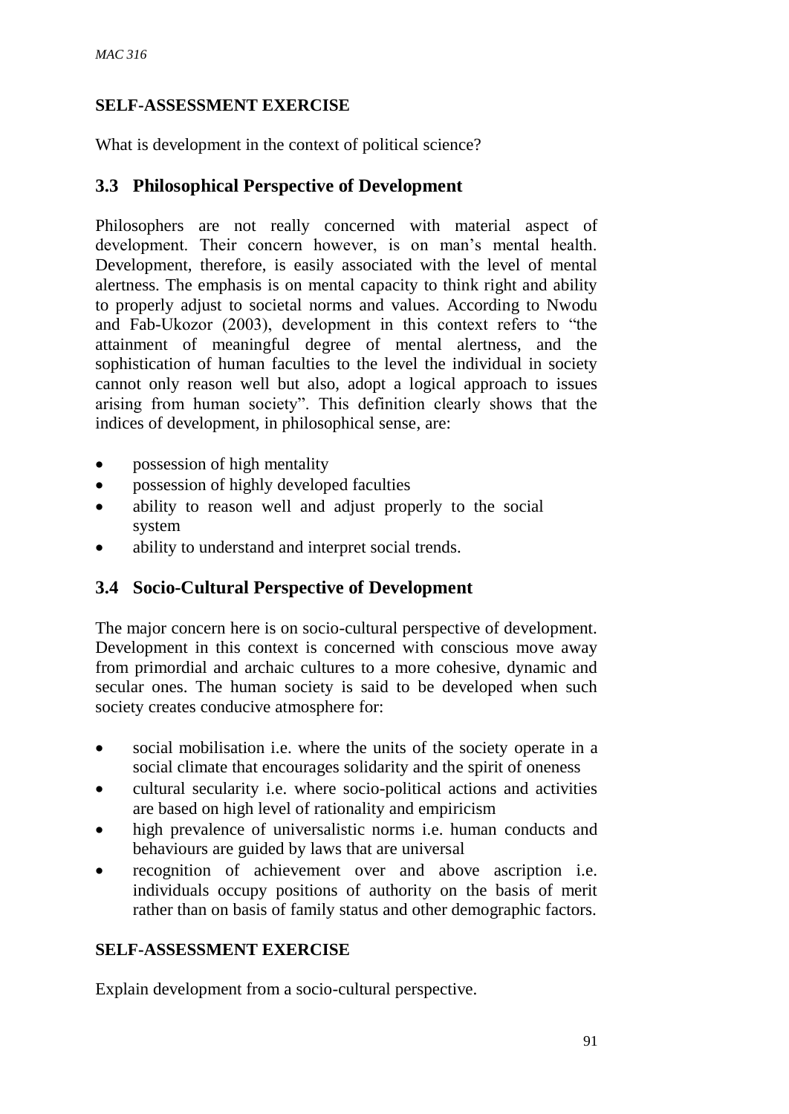### **SELF-ASSESSMENT EXERCISE**

What is development in the context of political science?

# **3.3 Philosophical Perspective of Development**

Philosophers are not really concerned with material aspect of development. Their concern however, is on man's mental health. Development, therefore, is easily associated with the level of mental alertness. The emphasis is on mental capacity to think right and ability to properly adjust to societal norms and values. According to Nwodu and Fab-Ukozor (2003), development in this context refers to "the attainment of meaningful degree of mental alertness, and the sophistication of human faculties to the level the individual in society cannot only reason well but also, adopt a logical approach to issues arising from human society". This definition clearly shows that the indices of development, in philosophical sense, are:

- possession of high mentality
- possession of highly developed faculties
- ability to reason well and adjust properly to the social system
- ability to understand and interpret social trends.

# **3.4 Socio-Cultural Perspective of Development**

The major concern here is on socio-cultural perspective of development. Development in this context is concerned with conscious move away from primordial and archaic cultures to a more cohesive, dynamic and secular ones. The human society is said to be developed when such society creates conducive atmosphere for:

- social mobilisation i.e. where the units of the society operate in a social climate that encourages solidarity and the spirit of oneness
- cultural secularity i.e. where socio-political actions and activities are based on high level of rationality and empiricism
- high prevalence of universalistic norms i.e. human conducts and behaviours are guided by laws that are universal
- recognition of achievement over and above ascription i.e. individuals occupy positions of authority on the basis of merit rather than on basis of family status and other demographic factors.

### **SELF-ASSESSMENT EXERCISE**

Explain development from a socio-cultural perspective.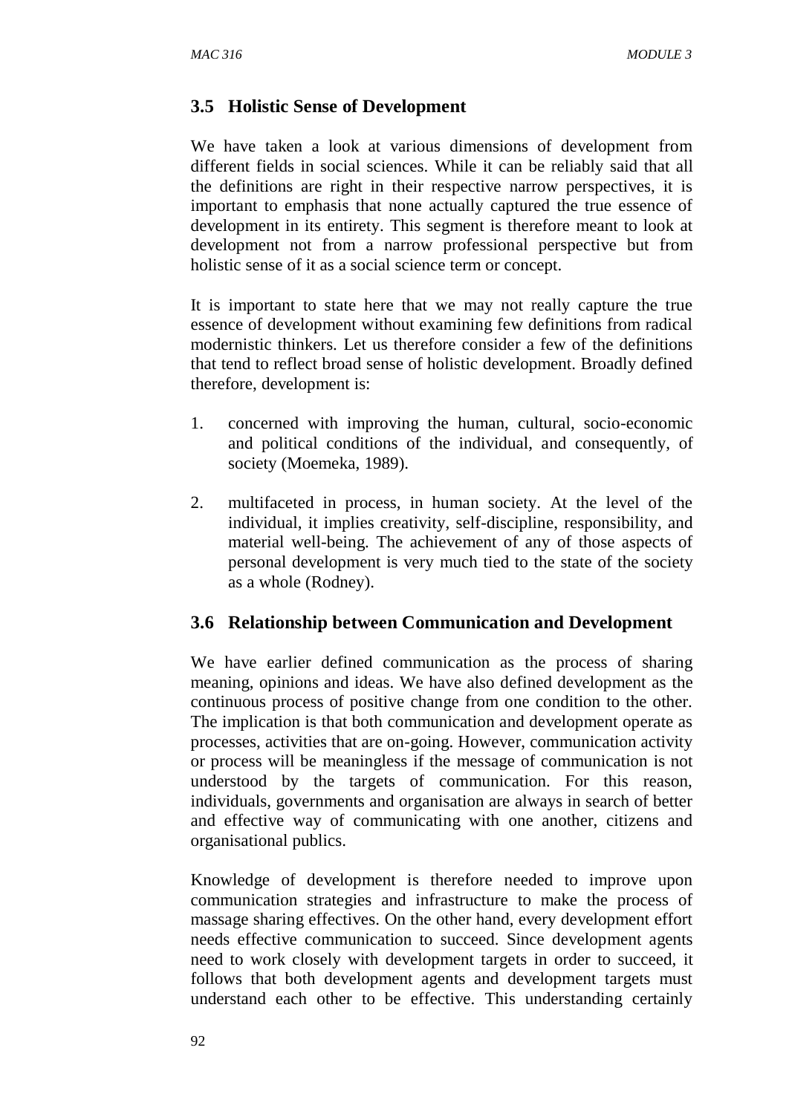### **3.5 Holistic Sense of Development**

We have taken a look at various dimensions of development from different fields in social sciences. While it can be reliably said that all the definitions are right in their respective narrow perspectives, it is important to emphasis that none actually captured the true essence of development in its entirety. This segment is therefore meant to look at development not from a narrow professional perspective but from holistic sense of it as a social science term or concept.

It is important to state here that we may not really capture the true essence of development without examining few definitions from radical modernistic thinkers. Let us therefore consider a few of the definitions that tend to reflect broad sense of holistic development. Broadly defined therefore, development is:

- 1. concerned with improving the human, cultural, socio-economic and political conditions of the individual, and consequently, of society (Moemeka, 1989).
- 2. multifaceted in process, in human society. At the level of the individual, it implies creativity, self-discipline, responsibility, and material well-being. The achievement of any of those aspects of personal development is very much tied to the state of the society as a whole (Rodney).

#### **3.6 Relationship between Communication and Development**

We have earlier defined communication as the process of sharing meaning, opinions and ideas. We have also defined development as the continuous process of positive change from one condition to the other. The implication is that both communication and development operate as processes, activities that are on-going. However, communication activity or process will be meaningless if the message of communication is not understood by the targets of communication. For this reason, individuals, governments and organisation are always in search of better and effective way of communicating with one another, citizens and organisational publics.

Knowledge of development is therefore needed to improve upon communication strategies and infrastructure to make the process of massage sharing effectives. On the other hand, every development effort needs effective communication to succeed. Since development agents need to work closely with development targets in order to succeed, it follows that both development agents and development targets must understand each other to be effective. This understanding certainly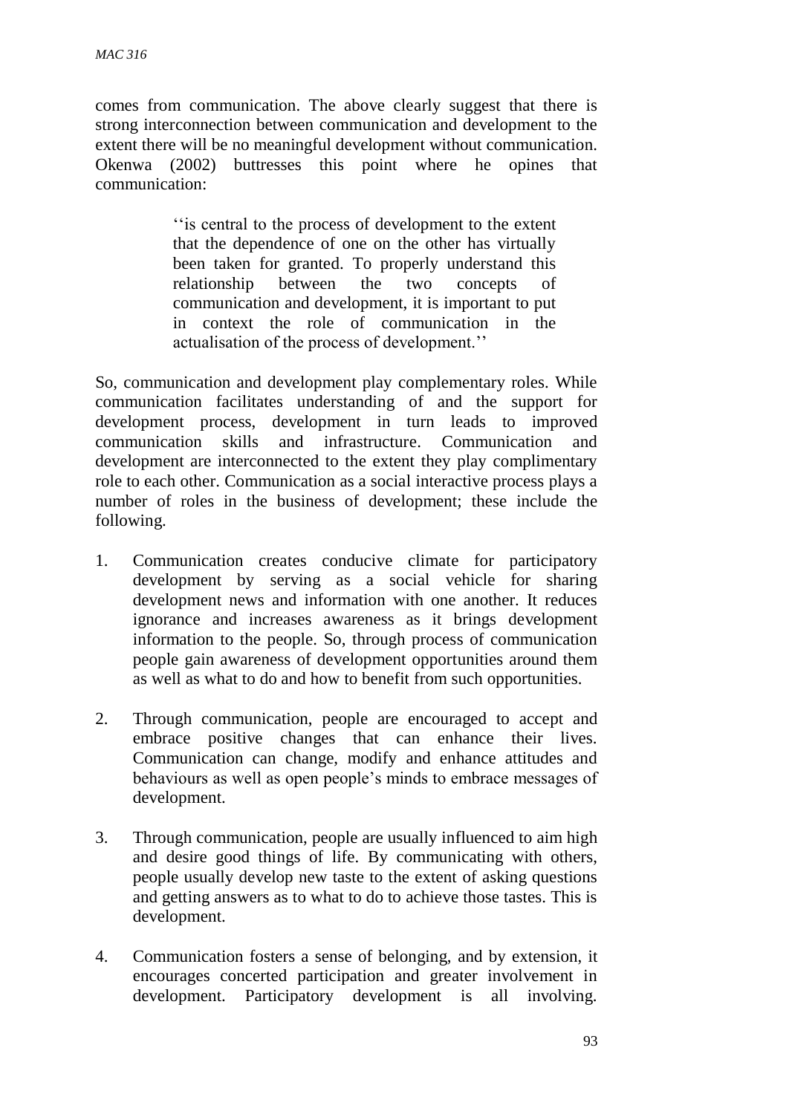comes from communication. The above clearly suggest that there is strong interconnection between communication and development to the extent there will be no meaningful development without communication. Okenwa (2002) buttresses this point where he opines that communication:

> ''is central to the process of development to the extent that the dependence of one on the other has virtually been taken for granted. To properly understand this relationship between the two concepts of communication and development, it is important to put in context the role of communication in the actualisation of the process of development.''

So, communication and development play complementary roles. While communication facilitates understanding of and the support for development process, development in turn leads to improved communication skills and infrastructure. Communication and development are interconnected to the extent they play complimentary role to each other. Communication as a social interactive process plays a number of roles in the business of development; these include the following.

- 1. Communication creates conducive climate for participatory development by serving as a social vehicle for sharing development news and information with one another. It reduces ignorance and increases awareness as it brings development information to the people. So, through process of communication people gain awareness of development opportunities around them as well as what to do and how to benefit from such opportunities.
- 2. Through communication, people are encouraged to accept and embrace positive changes that can enhance their lives. Communication can change, modify and enhance attitudes and behaviours as well as open people's minds to embrace messages of development.
- 3. Through communication, people are usually influenced to aim high and desire good things of life. By communicating with others, people usually develop new taste to the extent of asking questions and getting answers as to what to do to achieve those tastes. This is development.
- 4. Communication fosters a sense of belonging, and by extension, it encourages concerted participation and greater involvement in development. Participatory development is all involving.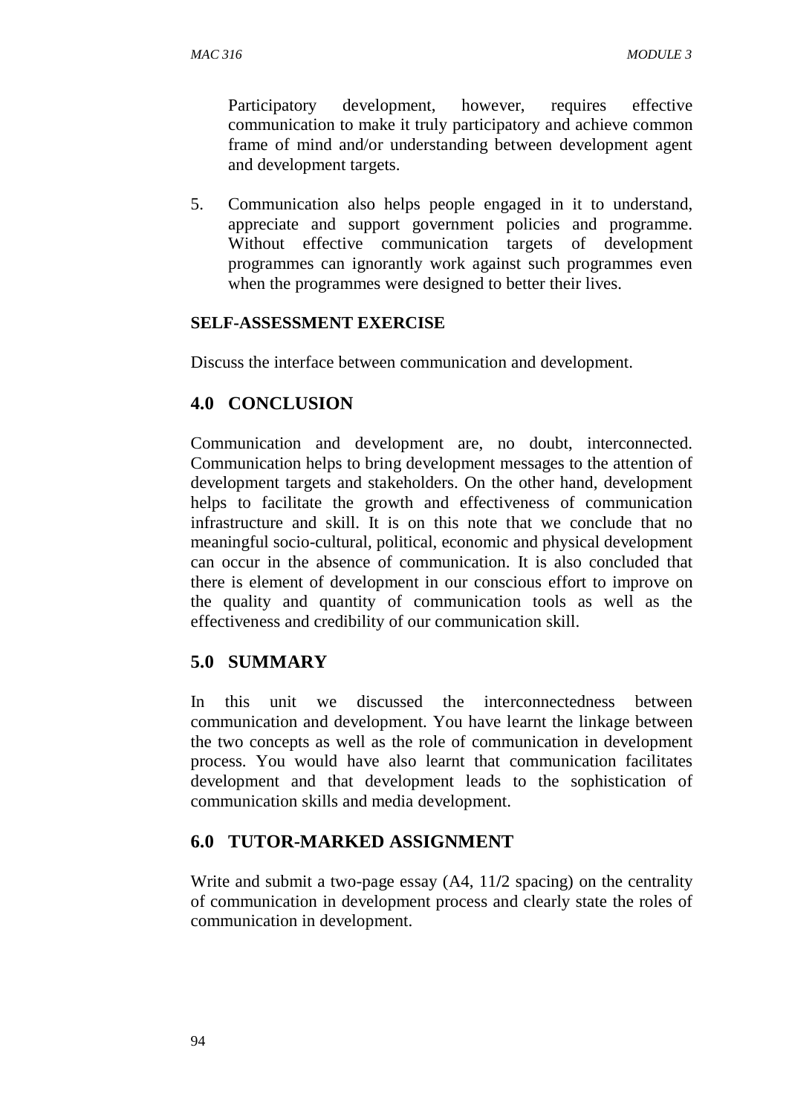Participatory development, however, requires effective communication to make it truly participatory and achieve common frame of mind and/or understanding between development agent and development targets.

5. Communication also helps people engaged in it to understand, appreciate and support government policies and programme. Without effective communication targets of development programmes can ignorantly work against such programmes even when the programmes were designed to better their lives.

#### **SELF-ASSESSMENT EXERCISE**

Discuss the interface between communication and development.

## **4.0 CONCLUSION**

Communication and development are, no doubt, interconnected. Communication helps to bring development messages to the attention of development targets and stakeholders. On the other hand, development helps to facilitate the growth and effectiveness of communication infrastructure and skill. It is on this note that we conclude that no meaningful socio-cultural, political, economic and physical development can occur in the absence of communication. It is also concluded that there is element of development in our conscious effort to improve on the quality and quantity of communication tools as well as the effectiveness and credibility of our communication skill.

# **5.0 SUMMARY**

In this unit we discussed the interconnectedness between communication and development. You have learnt the linkage between the two concepts as well as the role of communication in development process. You would have also learnt that communication facilitates development and that development leads to the sophistication of communication skills and media development.

# **6.0 TUTOR-MARKED ASSIGNMENT**

Write and submit a two-page essay (A4, 11**/**2 spacing) on the centrality of communication in development process and clearly state the roles of communication in development.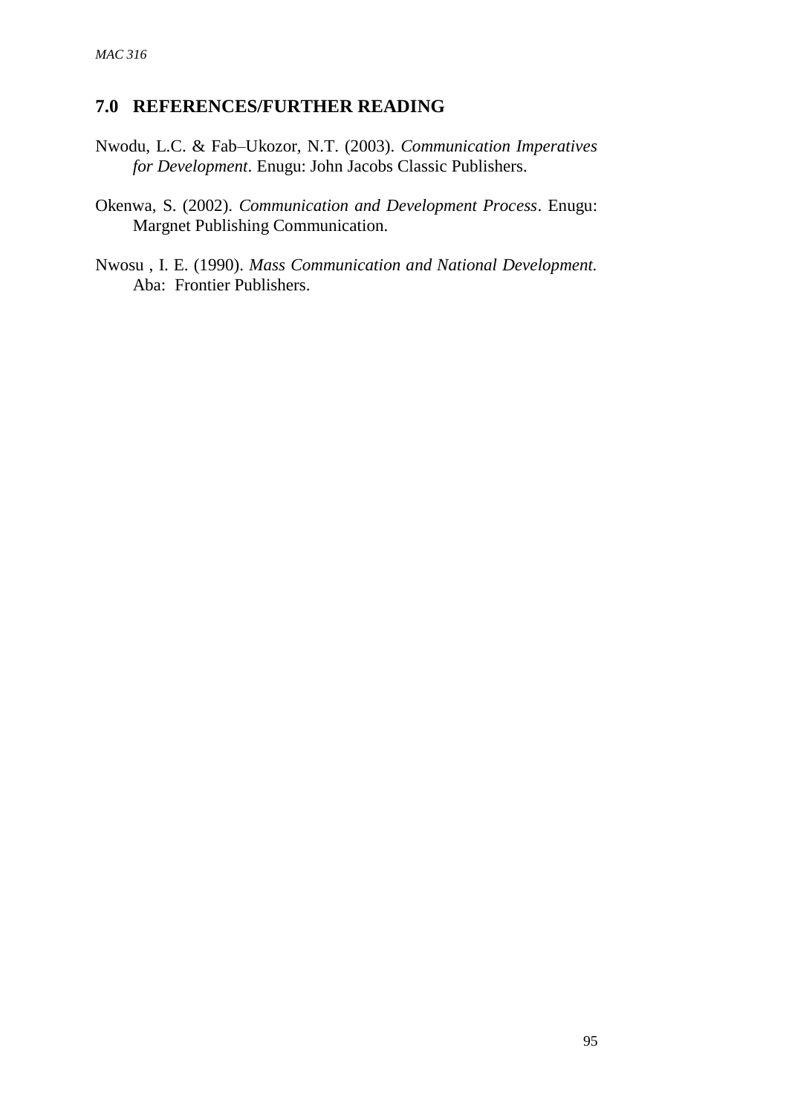# **7.0 REFERENCES/FURTHER READING**

- Nwodu, L.C. & Fab–Ukozor, N.T. (2003). *Communication Imperatives for Development*. Enugu: John Jacobs Classic Publishers.
- Okenwa, S. (2002). *Communication and Development Process*. Enugu: Margnet Publishing Communication.
- Nwosu , I. E. (1990). *Mass Communication and National Development.* Aba: Frontier Publishers.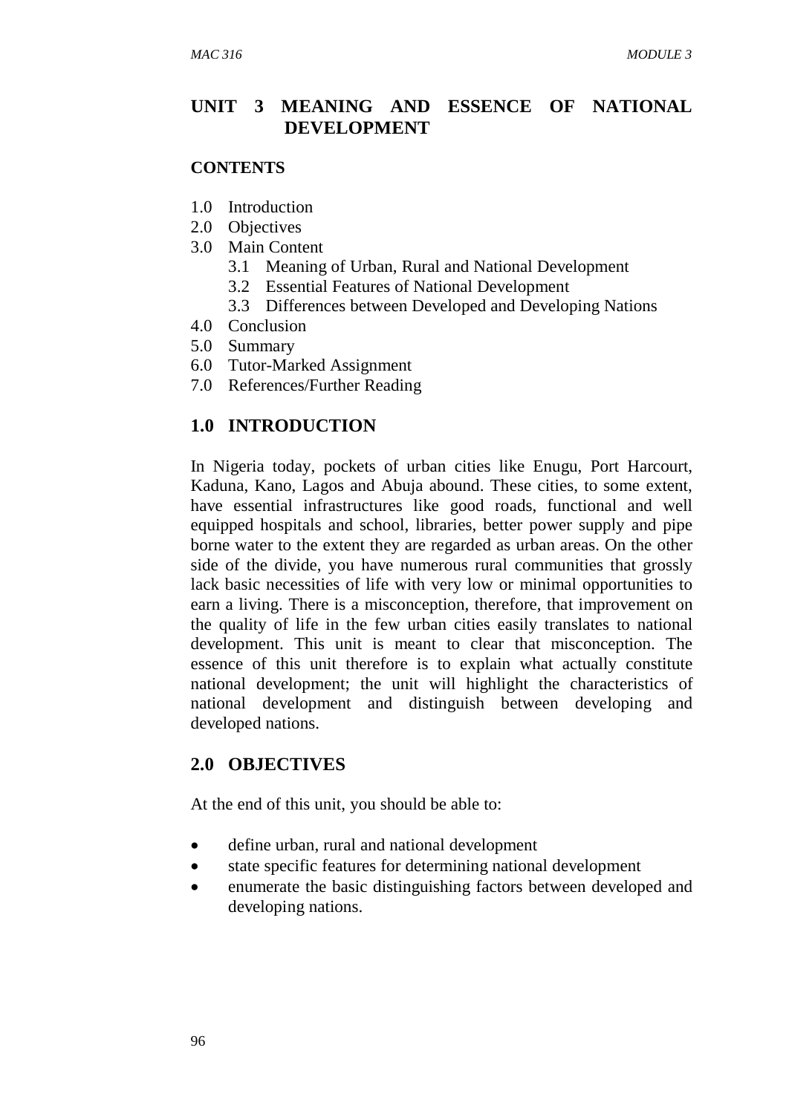## **UNIT 3 MEANING AND ESSENCE OF NATIONAL DEVELOPMENT**

#### **CONTENTS**

- 1.0 Introduction
- 2.0 Objectives
- 3.0 Main Content
	- 3.1 Meaning of Urban, Rural and National Development
	- 3.2 Essential Features of National Development
	- 3.3 Differences between Developed and Developing Nations
- 4.0 Conclusion
- 5.0 Summary
- 6.0 Tutor-Marked Assignment
- 7.0 References/Further Reading

# **1.0 INTRODUCTION**

In Nigeria today, pockets of urban cities like Enugu, Port Harcourt, Kaduna, Kano, Lagos and Abuja abound. These cities, to some extent, have essential infrastructures like good roads, functional and well equipped hospitals and school, libraries, better power supply and pipe borne water to the extent they are regarded as urban areas. On the other side of the divide, you have numerous rural communities that grossly lack basic necessities of life with very low or minimal opportunities to earn a living. There is a misconception, therefore, that improvement on the quality of life in the few urban cities easily translates to national development. This unit is meant to clear that misconception. The essence of this unit therefore is to explain what actually constitute national development; the unit will highlight the characteristics of national development and distinguish between developing and developed nations.

# **2.0 OBJECTIVES**

At the end of this unit, you should be able to:

- define urban, rural and national development
- state specific features for determining national development
- enumerate the basic distinguishing factors between developed and developing nations.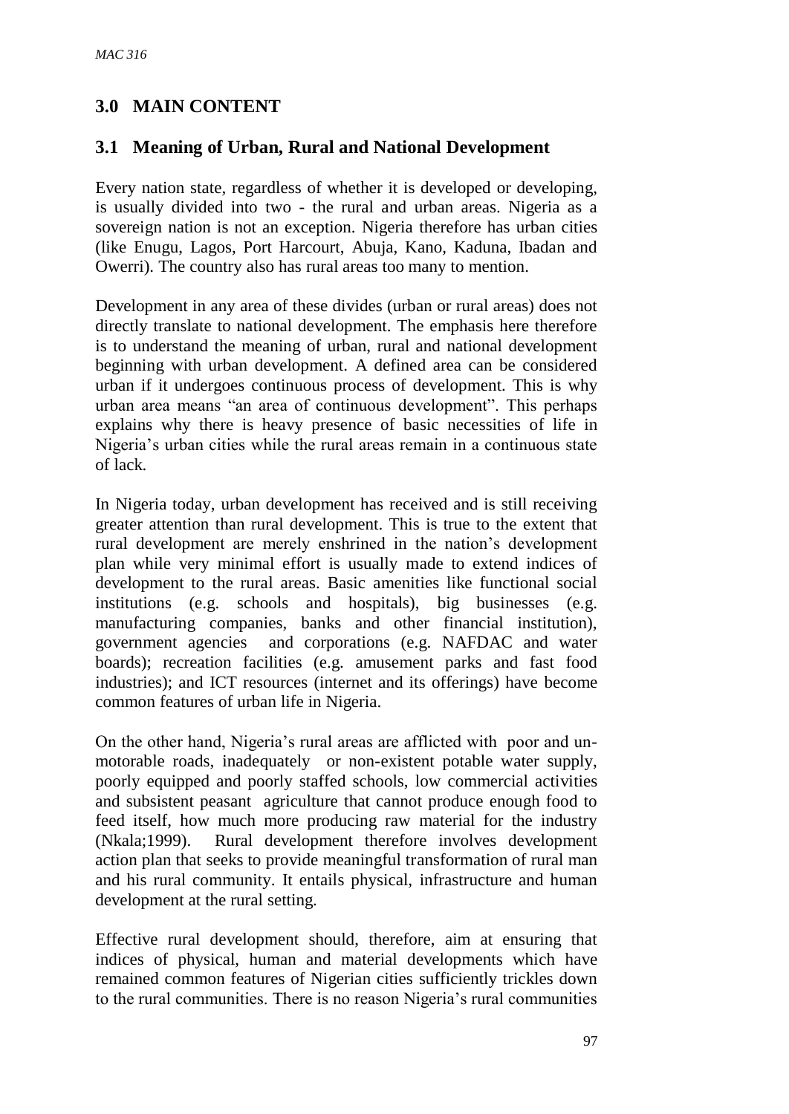# **3.0 MAIN CONTENT**

# **3.1 Meaning of Urban, Rural and National Development**

Every nation state, regardless of whether it is developed or developing, is usually divided into two - the rural and urban areas. Nigeria as a sovereign nation is not an exception. Nigeria therefore has urban cities (like Enugu, Lagos, Port Harcourt, Abuja, Kano, Kaduna, Ibadan and Owerri). The country also has rural areas too many to mention.

Development in any area of these divides (urban or rural areas) does not directly translate to national development. The emphasis here therefore is to understand the meaning of urban, rural and national development beginning with urban development. A defined area can be considered urban if it undergoes continuous process of development. This is why urban area means "an area of continuous development". This perhaps explains why there is heavy presence of basic necessities of life in Nigeria's urban cities while the rural areas remain in a continuous state of lack.

In Nigeria today, urban development has received and is still receiving greater attention than rural development. This is true to the extent that rural development are merely enshrined in the nation's development plan while very minimal effort is usually made to extend indices of development to the rural areas. Basic amenities like functional social institutions (e.g. schools and hospitals), big businesses (e.g. manufacturing companies, banks and other financial institution), government agencies and corporations (e.g. NAFDAC and water boards); recreation facilities (e.g. amusement parks and fast food industries); and ICT resources (internet and its offerings) have become common features of urban life in Nigeria.

On the other hand, Nigeria's rural areas are afflicted with poor and unmotorable roads, inadequately or non-existent potable water supply, poorly equipped and poorly staffed schools, low commercial activities and subsistent peasant agriculture that cannot produce enough food to feed itself, how much more producing raw material for the industry (Nkala;1999). Rural development therefore involves development action plan that seeks to provide meaningful transformation of rural man and his rural community. It entails physical, infrastructure and human development at the rural setting.

Effective rural development should, therefore, aim at ensuring that indices of physical, human and material developments which have remained common features of Nigerian cities sufficiently trickles down to the rural communities. There is no reason Nigeria's rural communities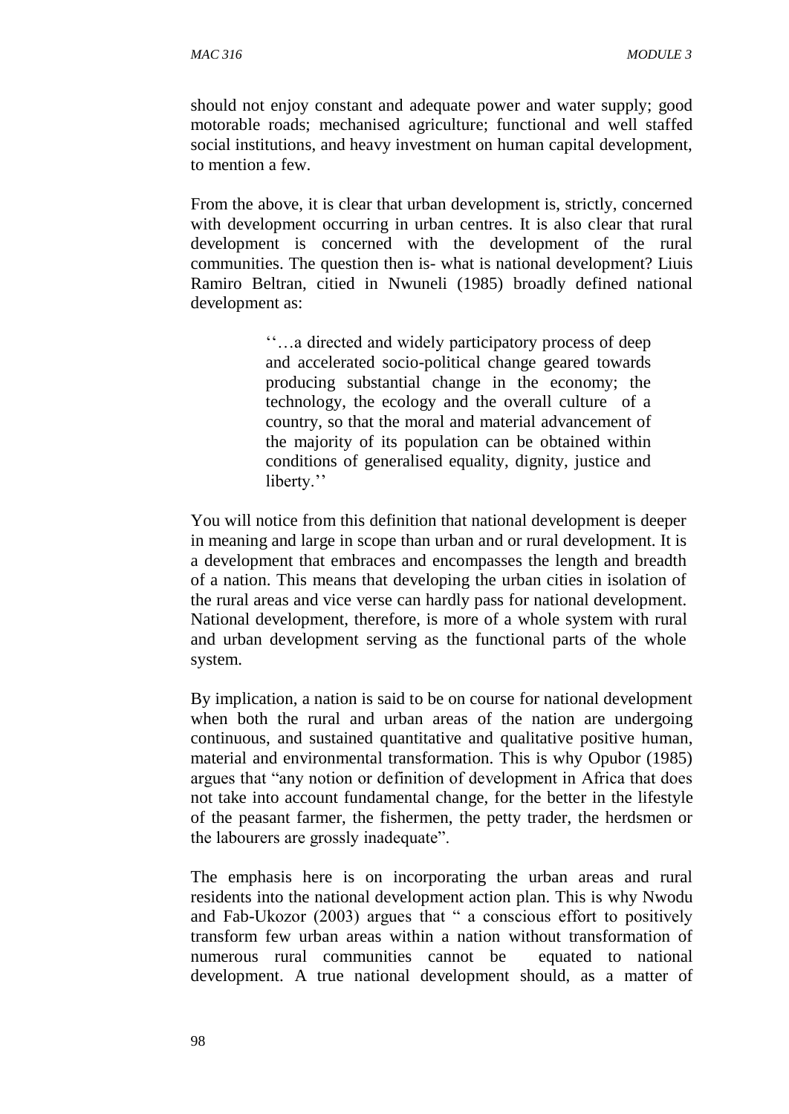should not enjoy constant and adequate power and water supply; good motorable roads; mechanised agriculture; functional and well staffed social institutions, and heavy investment on human capital development, to mention a few.

From the above, it is clear that urban development is, strictly, concerned with development occurring in urban centres. It is also clear that rural development is concerned with the development of the rural communities. The question then is- what is national development? Liuis Ramiro Beltran, citied in Nwuneli (1985) broadly defined national development as:

> ''…a directed and widely participatory process of deep and accelerated socio-political change geared towards producing substantial change in the economy; the technology, the ecology and the overall culture of a country, so that the moral and material advancement of the majority of its population can be obtained within conditions of generalised equality, dignity, justice and liberty."

You will notice from this definition that national development is deeper in meaning and large in scope than urban and or rural development. It is a development that embraces and encompasses the length and breadth of a nation. This means that developing the urban cities in isolation of the rural areas and vice verse can hardly pass for national development. National development, therefore, is more of a whole system with rural and urban development serving as the functional parts of the whole system.

By implication, a nation is said to be on course for national development when both the rural and urban areas of the nation are undergoing continuous, and sustained quantitative and qualitative positive human, material and environmental transformation. This is why Opubor (1985) argues that "any notion or definition of development in Africa that does not take into account fundamental change, for the better in the lifestyle of the peasant farmer, the fishermen, the petty trader, the herdsmen or the labourers are grossly inadequate".

The emphasis here is on incorporating the urban areas and rural residents into the national development action plan. This is why Nwodu and Fab-Ukozor (2003) argues that " a conscious effort to positively transform few urban areas within a nation without transformation of numerous rural communities cannot be equated to national development. A true national development should, as a matter of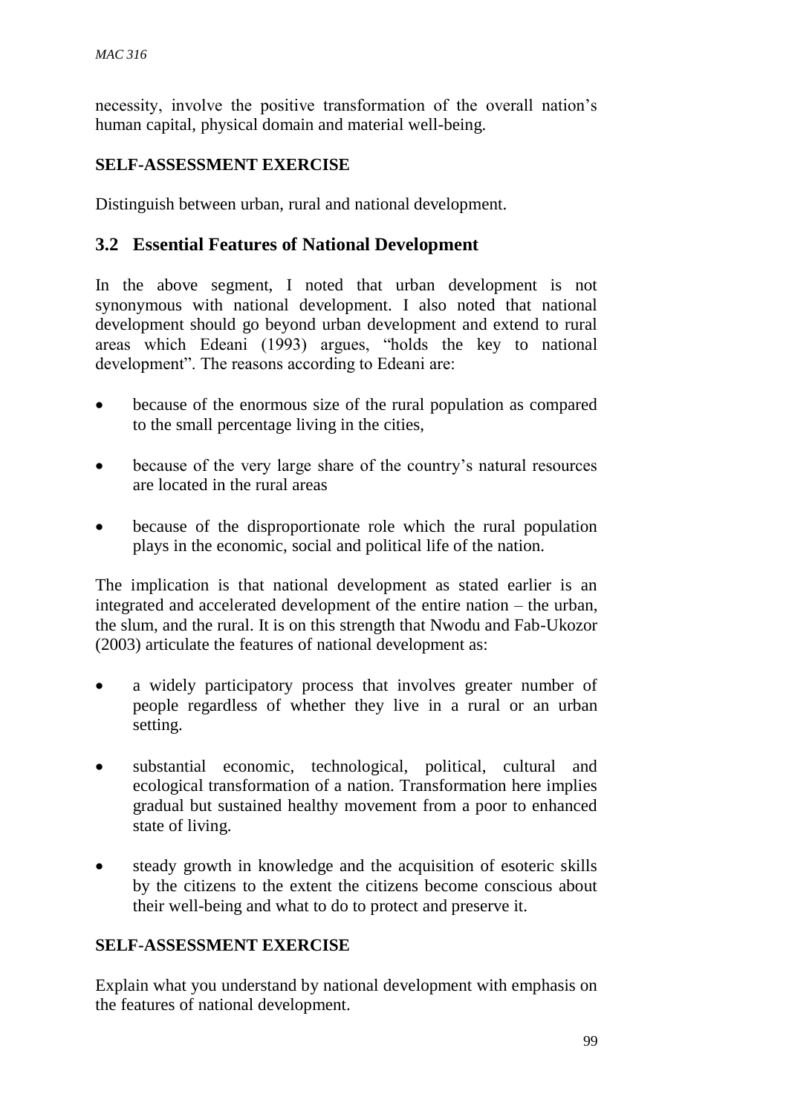necessity, involve the positive transformation of the overall nation's human capital, physical domain and material well-being.

### **SELF-ASSESSMENT EXERCISE**

Distinguish between urban, rural and national development.

## **3.2 Essential Features of National Development**

In the above segment, I noted that urban development is not synonymous with national development. I also noted that national development should go beyond urban development and extend to rural areas which Edeani (1993) argues, "holds the key to national development". The reasons according to Edeani are:

- because of the enormous size of the rural population as compared to the small percentage living in the cities,
- because of the very large share of the country's natural resources are located in the rural areas
- because of the disproportionate role which the rural population plays in the economic, social and political life of the nation.

The implication is that national development as stated earlier is an integrated and accelerated development of the entire nation – the urban, the slum, and the rural. It is on this strength that Nwodu and Fab-Ukozor (2003) articulate the features of national development as:

- a widely participatory process that involves greater number of people regardless of whether they live in a rural or an urban setting.
- substantial economic, technological, political, cultural and ecological transformation of a nation. Transformation here implies gradual but sustained healthy movement from a poor to enhanced state of living.
- steady growth in knowledge and the acquisition of esoteric skills by the citizens to the extent the citizens become conscious about their well-being and what to do to protect and preserve it.

### **SELF-ASSESSMENT EXERCISE**

Explain what you understand by national development with emphasis on the features of national development.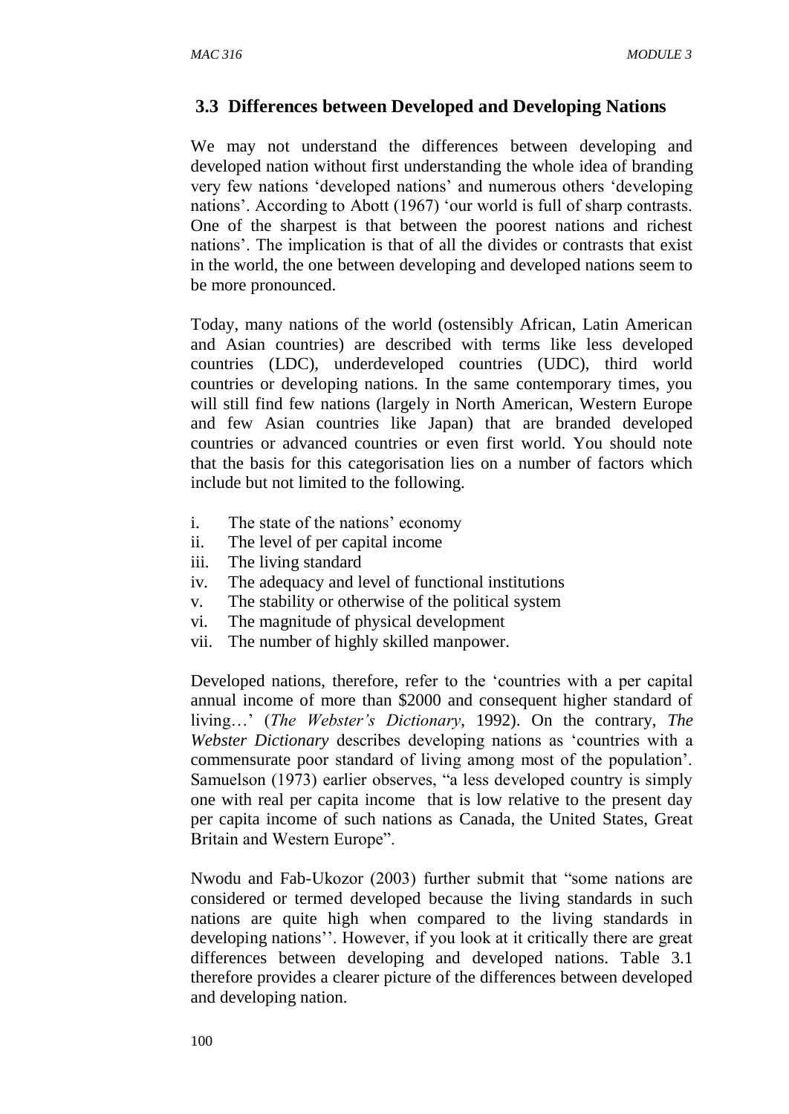### **3.3 Differences between Developed and Developing Nations**

We may not understand the differences between developing and developed nation without first understanding the whole idea of branding very few nations 'developed nations' and numerous others 'developing nations'. According to Abott (1967) 'our world is full of sharp contrasts. One of the sharpest is that between the poorest nations and richest nations'. The implication is that of all the divides or contrasts that exist in the world, the one between developing and developed nations seem to be more pronounced.

Today, many nations of the world (ostensibly African, Latin American and Asian countries) are described with terms like less developed countries (LDC), underdeveloped countries (UDC), third world countries or developing nations. In the same contemporary times, you will still find few nations (largely in North American, Western Europe and few Asian countries like Japan) that are branded developed countries or advanced countries or even first world. You should note that the basis for this categorisation lies on a number of factors which include but not limited to the following.

- i. The state of the nations' economy
- ii. The level of per capital income
- iii. The living standard
- iv. The adequacy and level of functional institutions
- v. The stability or otherwise of the political system
- vi. The magnitude of physical development
- vii. The number of highly skilled manpower.

Developed nations, therefore, refer to the 'countries with a per capital annual income of more than \$2000 and consequent higher standard of living…' (*The Webster's Dictionary*, 1992). On the contrary, *The Webster Dictionary* describes developing nations as 'countries with a commensurate poor standard of living among most of the population'. Samuelson (1973) earlier observes, "a less developed country is simply one with real per capita income that is low relative to the present day per capita income of such nations as Canada, the United States, Great Britain and Western Europe".

Nwodu and Fab-Ukozor (2003) further submit that "some nations are considered or termed developed because the living standards in such nations are quite high when compared to the living standards in developing nations''. However, if you look at it critically there are great differences between developing and developed nations. Table 3.1 therefore provides a clearer picture of the differences between developed and developing nation.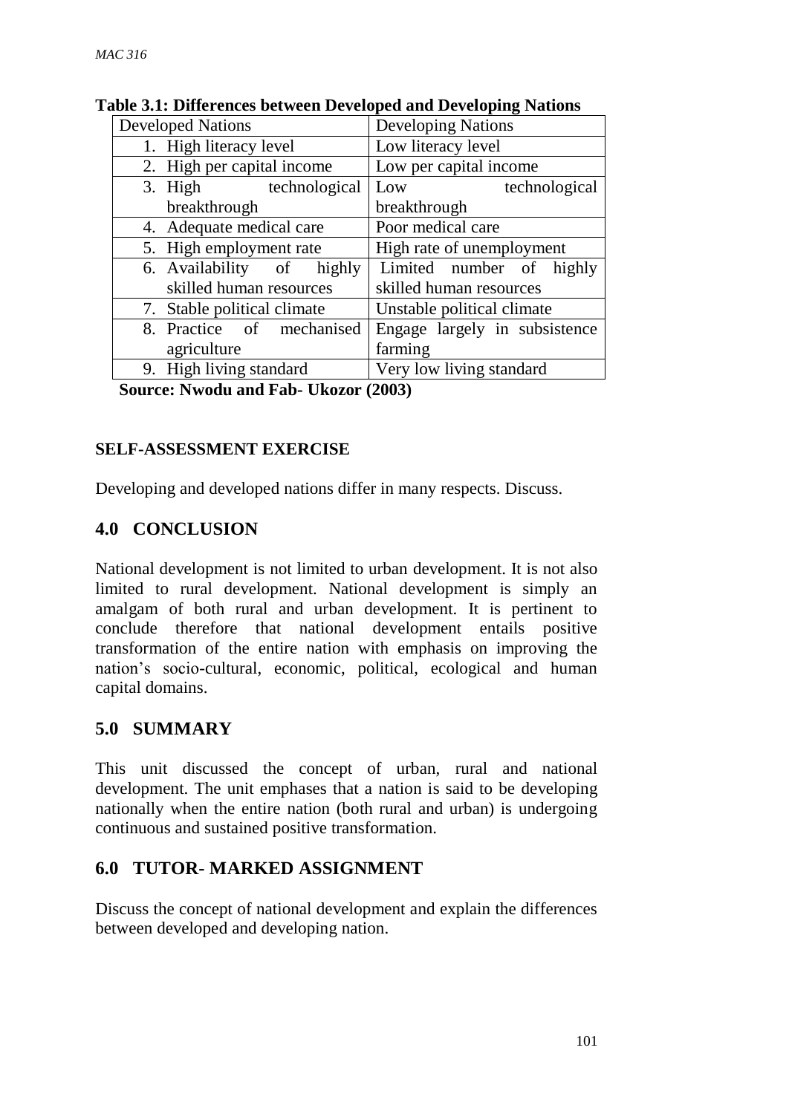| <b>Developed Nations</b>    | <b>Developing Nations</b>     |  |
|-----------------------------|-------------------------------|--|
| 1. High literacy level      | Low literacy level            |  |
| 2. High per capital income  | Low per capital income        |  |
| 3. High technological       | technological<br>Low          |  |
| breakthrough                | breakthrough                  |  |
| 4. Adequate medical care    | Poor medical care             |  |
| 5. High employment rate     | High rate of unemployment     |  |
| 6. Availability of highly   | Limited number of highly      |  |
| skilled human resources     | skilled human resources       |  |
| 7. Stable political climate | Unstable political climate    |  |
| 8. Practice of mechanised   | Engage largely in subsistence |  |
| agriculture                 | farming                       |  |
| 9. High living standard     | Very low living standard      |  |

#### **Table 3.1: Differences between Developed and Developing Nations**

**Source: Nwodu and Fab- Ukozor (2003)**

## **SELF-ASSESSMENT EXERCISE**

Developing and developed nations differ in many respects. Discuss.

# **4.0 CONCLUSION**

National development is not limited to urban development. It is not also limited to rural development. National development is simply an amalgam of both rural and urban development. It is pertinent to conclude therefore that national development entails positive transformation of the entire nation with emphasis on improving the nation's socio-cultural, economic, political, ecological and human capital domains.

# **5.0 SUMMARY**

This unit discussed the concept of urban, rural and national development. The unit emphases that a nation is said to be developing nationally when the entire nation (both rural and urban) is undergoing continuous and sustained positive transformation.

# **6.0 TUTOR- MARKED ASSIGNMENT**

Discuss the concept of national development and explain the differences between developed and developing nation.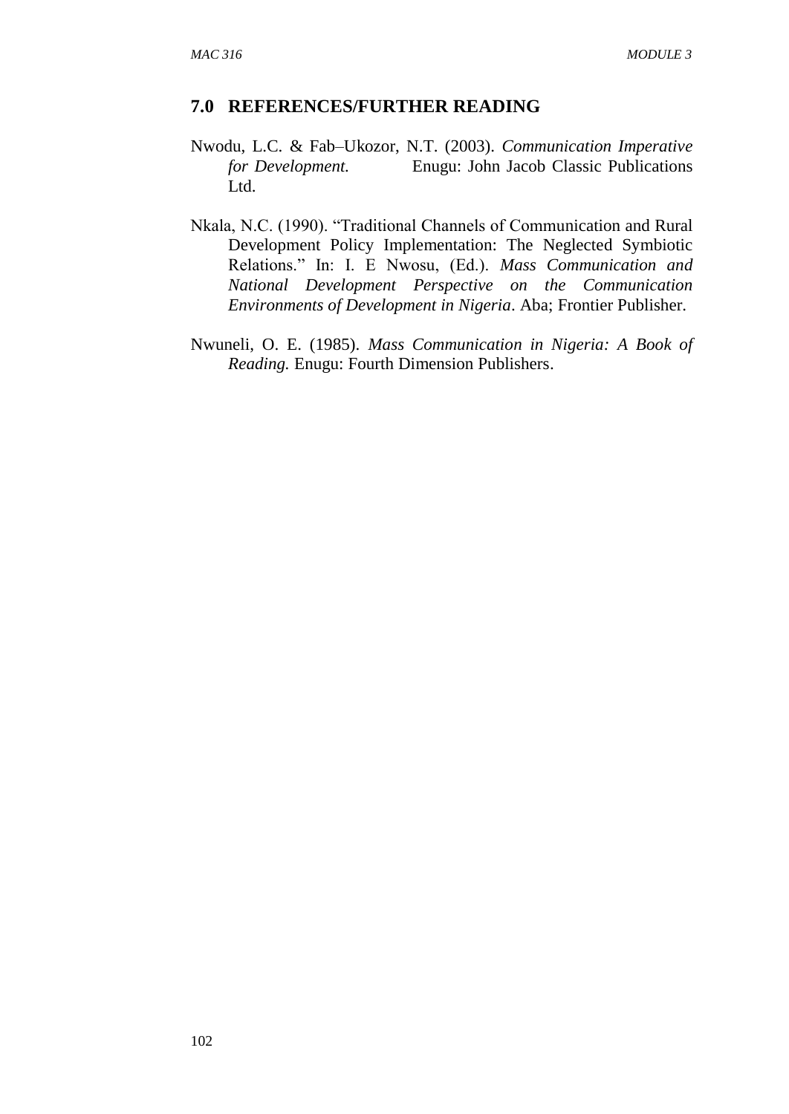#### **7.0 REFERENCES/FURTHER READING**

- Nwodu, L.C. & Fab–Ukozor, N.T. (2003). *Communication Imperative for Development.* Enugu: John Jacob Classic Publications Ltd.
- Nkala, N.C. (1990). "Traditional Channels of Communication and Rural Development Policy Implementation: The Neglected Symbiotic Relations." In: I. E Nwosu, (Ed.). *Mass Communication and National Development Perspective on the Communication Environments of Development in Nigeria*. Aba; Frontier Publisher.
- Nwuneli, O. E. (1985). *Mass Communication in Nigeria: A Book of Reading.* Enugu: Fourth Dimension Publishers.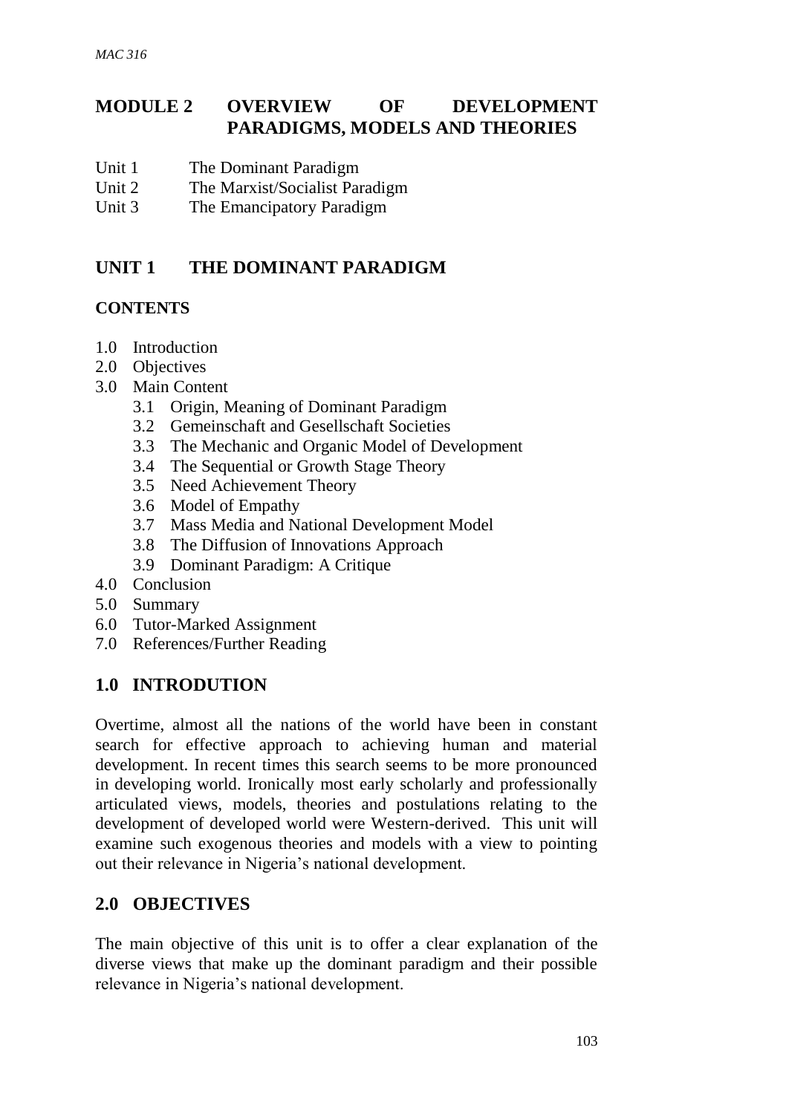# **MODULE 2 OVERVIEW OF DEVELOPMENT PARADIGMS, MODELS AND THEORIES**

- Unit 1 The Dominant Paradigm
- Unit 2 The Marxist/Socialist Paradigm
- Unit 3 The Emancipatory Paradigm

# **UNIT 1 THE DOMINANT PARADIGM**

#### **CONTENTS**

- 1.0 Introduction
- 2.0 Objectives
- 3.0 Main Content
	- 3.1 Origin, Meaning of Dominant Paradigm
	- 3.2 Gemeinschaft and Gesellschaft Societies
	- 3.3 The Mechanic and Organic Model of Development
	- 3.4 The Sequential or Growth Stage Theory
	- 3.5 Need Achievement Theory
	- 3.6 Model of Empathy
	- 3.7 Mass Media and National Development Model
	- 3.8 The Diffusion of Innovations Approach
	- 3.9 Dominant Paradigm: A Critique
- 4.0 Conclusion
- 5.0 Summary
- 6.0 Tutor-Marked Assignment
- 7.0 References/Further Reading

## **1.0 INTRODUTION**

Overtime, almost all the nations of the world have been in constant search for effective approach to achieving human and material development. In recent times this search seems to be more pronounced in developing world. Ironically most early scholarly and professionally articulated views, models, theories and postulations relating to the development of developed world were Western-derived. This unit will examine such exogenous theories and models with a view to pointing out their relevance in Nigeria's national development.

### **2.0 OBJECTIVES**

The main objective of this unit is to offer a clear explanation of the diverse views that make up the dominant paradigm and their possible relevance in Nigeria's national development.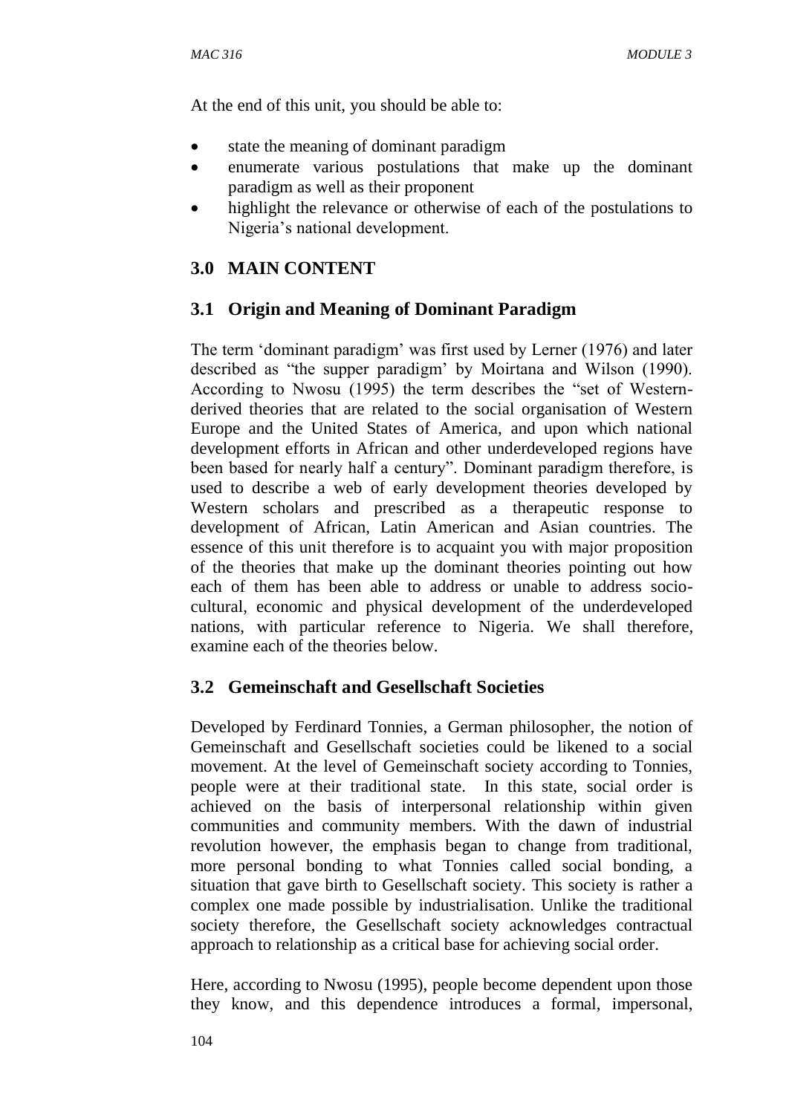At the end of this unit, you should be able to:

- state the meaning of dominant paradigm
- enumerate various postulations that make up the dominant paradigm as well as their proponent
- highlight the relevance or otherwise of each of the postulations to Nigeria's national development.

# **3.0 MAIN CONTENT**

## **3.1 Origin and Meaning of Dominant Paradigm**

The term 'dominant paradigm' was first used by Lerner (1976) and later described as "the supper paradigm' by Moirtana and Wilson (1990). According to Nwosu (1995) the term describes the "set of Westernderived theories that are related to the social organisation of Western Europe and the United States of America, and upon which national development efforts in African and other underdeveloped regions have been based for nearly half a century". Dominant paradigm therefore, is used to describe a web of early development theories developed by Western scholars and prescribed as a therapeutic response to development of African, Latin American and Asian countries. The essence of this unit therefore is to acquaint you with major proposition of the theories that make up the dominant theories pointing out how each of them has been able to address or unable to address sociocultural, economic and physical development of the underdeveloped nations, with particular reference to Nigeria. We shall therefore, examine each of the theories below.

## **3.2 Gemeinschaft and Gesellschaft Societies**

Developed by Ferdinard Tonnies, a German philosopher, the notion of Gemeinschaft and Gesellschaft societies could be likened to a social movement. At the level of Gemeinschaft society according to Tonnies, people were at their traditional state. In this state, social order is achieved on the basis of interpersonal relationship within given communities and community members. With the dawn of industrial revolution however, the emphasis began to change from traditional, more personal bonding to what Tonnies called social bonding, a situation that gave birth to Gesellschaft society. This society is rather a complex one made possible by industrialisation. Unlike the traditional society therefore, the Gesellschaft society acknowledges contractual approach to relationship as a critical base for achieving social order.

Here, according to Nwosu (1995), people become dependent upon those they know, and this dependence introduces a formal, impersonal,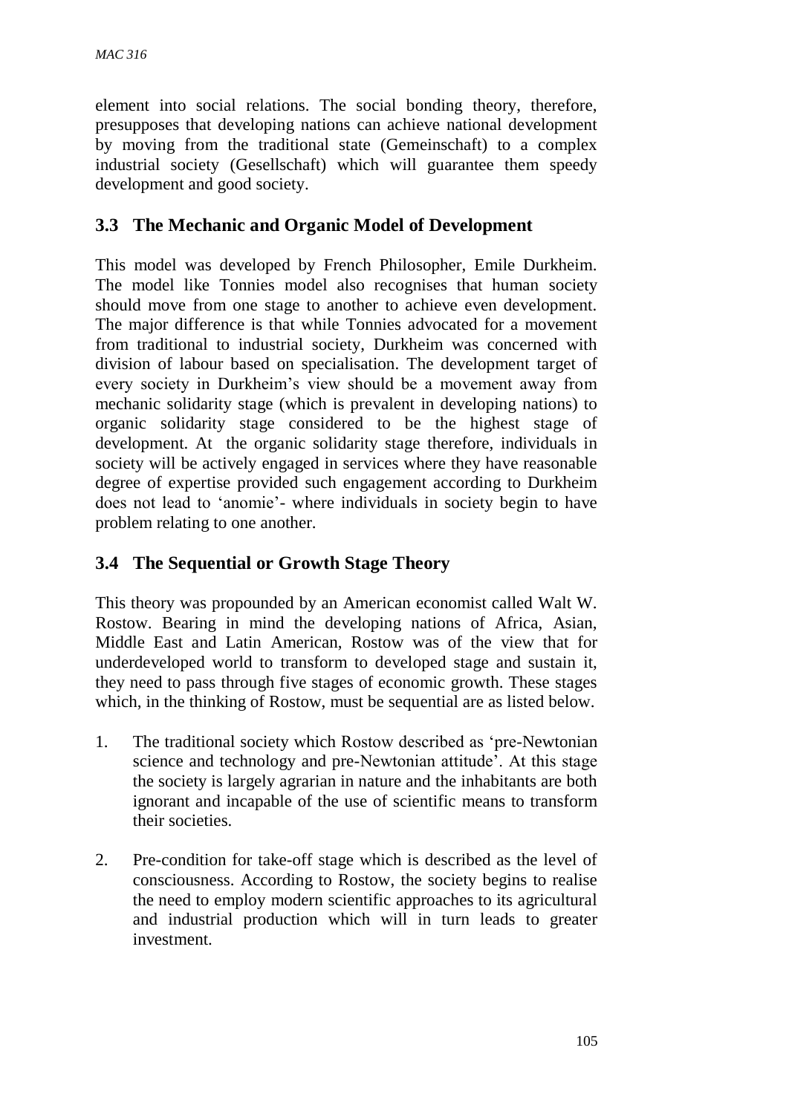element into social relations. The social bonding theory, therefore, presupposes that developing nations can achieve national development by moving from the traditional state (Gemeinschaft) to a complex industrial society (Gesellschaft) which will guarantee them speedy development and good society.

# **3.3 The Mechanic and Organic Model of Development**

This model was developed by French Philosopher, Emile Durkheim. The model like Tonnies model also recognises that human society should move from one stage to another to achieve even development. The major difference is that while Tonnies advocated for a movement from traditional to industrial society, Durkheim was concerned with division of labour based on specialisation. The development target of every society in Durkheim's view should be a movement away from mechanic solidarity stage (which is prevalent in developing nations) to organic solidarity stage considered to be the highest stage of development. At the organic solidarity stage therefore, individuals in society will be actively engaged in services where they have reasonable degree of expertise provided such engagement according to Durkheim does not lead to 'anomie'- where individuals in society begin to have problem relating to one another.

# **3.4 The Sequential or Growth Stage Theory**

This theory was propounded by an American economist called Walt W. Rostow. Bearing in mind the developing nations of Africa, Asian, Middle East and Latin American, Rostow was of the view that for underdeveloped world to transform to developed stage and sustain it, they need to pass through five stages of economic growth. These stages which, in the thinking of Rostow, must be sequential are as listed below.

- 1. The traditional society which Rostow described as 'pre-Newtonian science and technology and pre-Newtonian attitude'. At this stage the society is largely agrarian in nature and the inhabitants are both ignorant and incapable of the use of scientific means to transform their societies.
- 2. Pre-condition for take-off stage which is described as the level of consciousness. According to Rostow, the society begins to realise the need to employ modern scientific approaches to its agricultural and industrial production which will in turn leads to greater investment.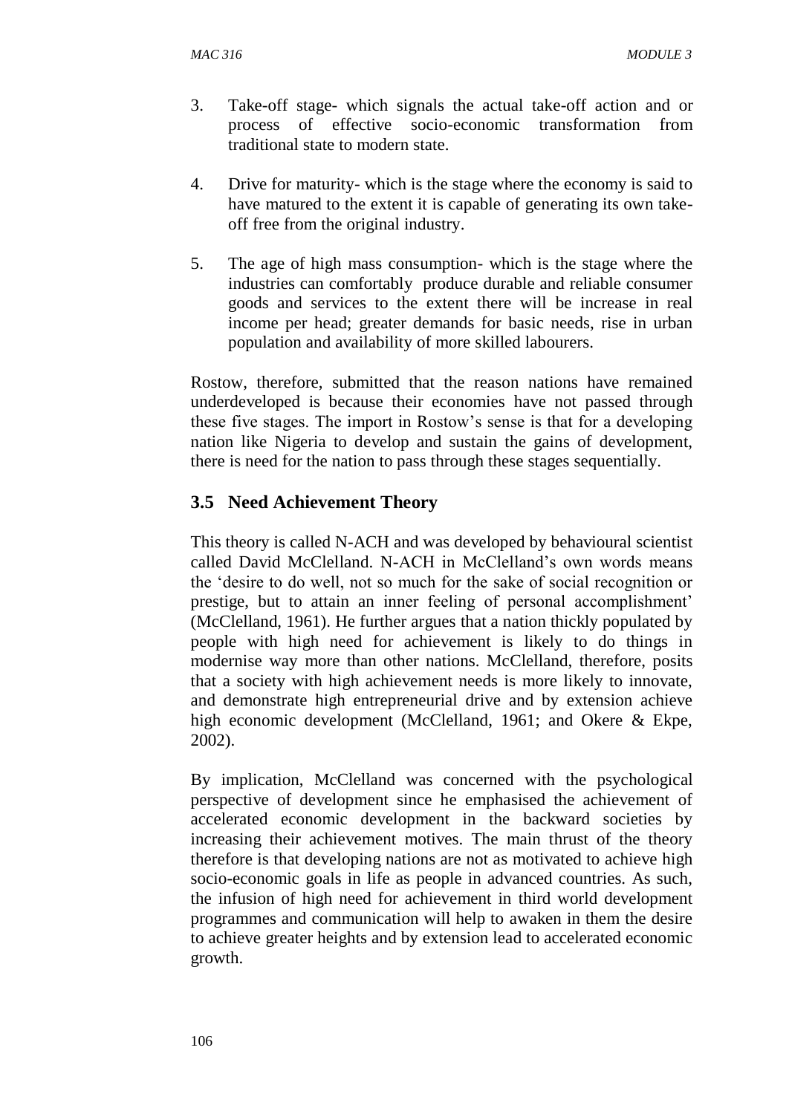- 3. Take-off stage- which signals the actual take-off action and or process of effective socio-economic transformation from traditional state to modern state.
- 4. Drive for maturity- which is the stage where the economy is said to have matured to the extent it is capable of generating its own takeoff free from the original industry.
- 5. The age of high mass consumption- which is the stage where the industries can comfortably produce durable and reliable consumer goods and services to the extent there will be increase in real income per head; greater demands for basic needs, rise in urban population and availability of more skilled labourers.

Rostow, therefore, submitted that the reason nations have remained underdeveloped is because their economies have not passed through these five stages. The import in Rostow's sense is that for a developing nation like Nigeria to develop and sustain the gains of development, there is need for the nation to pass through these stages sequentially.

# **3.5 Need Achievement Theory**

This theory is called N-ACH and was developed by behavioural scientist called David McClelland. N-ACH in McClelland's own words means the 'desire to do well, not so much for the sake of social recognition or prestige, but to attain an inner feeling of personal accomplishment' (McClelland, 1961). He further argues that a nation thickly populated by people with high need for achievement is likely to do things in modernise way more than other nations. McClelland, therefore, posits that a society with high achievement needs is more likely to innovate, and demonstrate high entrepreneurial drive and by extension achieve high economic development (McClelland, 1961; and Okere & Ekpe, 2002).

By implication, McClelland was concerned with the psychological perspective of development since he emphasised the achievement of accelerated economic development in the backward societies by increasing their achievement motives. The main thrust of the theory therefore is that developing nations are not as motivated to achieve high socio-economic goals in life as people in advanced countries. As such, the infusion of high need for achievement in third world development programmes and communication will help to awaken in them the desire to achieve greater heights and by extension lead to accelerated economic growth.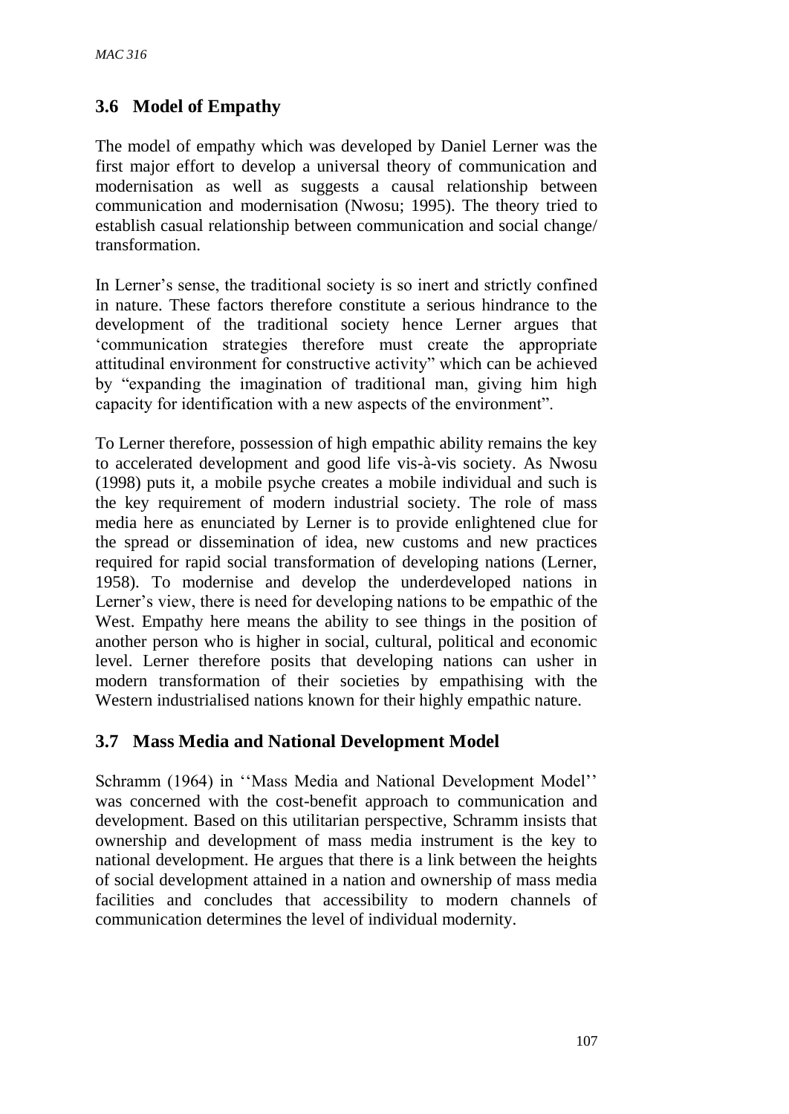# **3.6 Model of Empathy**

The model of empathy which was developed by Daniel Lerner was the first major effort to develop a universal theory of communication and modernisation as well as suggests a causal relationship between communication and modernisation (Nwosu; 1995). The theory tried to establish casual relationship between communication and social change/ transformation.

In Lerner's sense, the traditional society is so inert and strictly confined in nature. These factors therefore constitute a serious hindrance to the development of the traditional society hence Lerner argues that 'communication strategies therefore must create the appropriate attitudinal environment for constructive activity" which can be achieved by "expanding the imagination of traditional man, giving him high capacity for identification with a new aspects of the environment".

To Lerner therefore, possession of high empathic ability remains the key to accelerated development and good life vis-à-vis society. As Nwosu (1998) puts it, a mobile psyche creates a mobile individual and such is the key requirement of modern industrial society. The role of mass media here as enunciated by Lerner is to provide enlightened clue for the spread or dissemination of idea, new customs and new practices required for rapid social transformation of developing nations (Lerner, 1958). To modernise and develop the underdeveloped nations in Lerner's view, there is need for developing nations to be empathic of the West. Empathy here means the ability to see things in the position of another person who is higher in social, cultural, political and economic level. Lerner therefore posits that developing nations can usher in modern transformation of their societies by empathising with the Western industrialised nations known for their highly empathic nature.

## **3.7 Mass Media and National Development Model**

Schramm (1964) in ''Mass Media and National Development Model'' was concerned with the cost-benefit approach to communication and development. Based on this utilitarian perspective, Schramm insists that ownership and development of mass media instrument is the key to national development. He argues that there is a link between the heights of social development attained in a nation and ownership of mass media facilities and concludes that accessibility to modern channels of communication determines the level of individual modernity.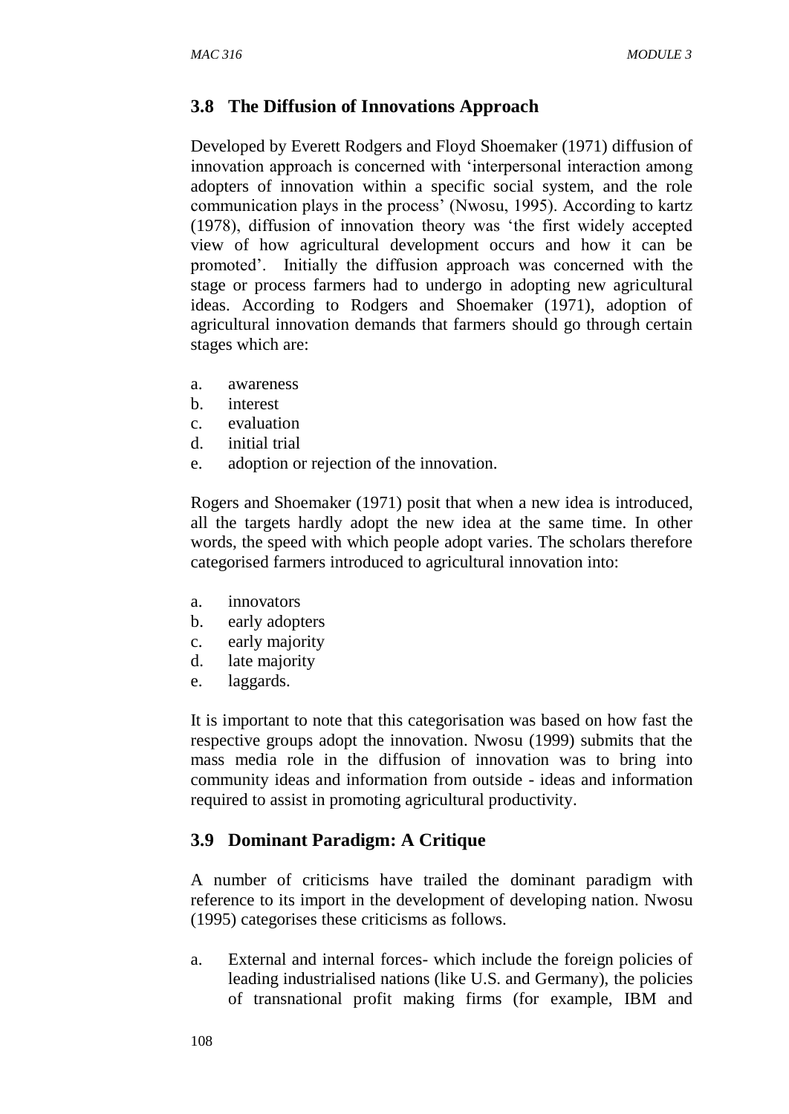# **3.8 The Diffusion of Innovations Approach**

Developed by Everett Rodgers and Floyd Shoemaker (1971) diffusion of innovation approach is concerned with 'interpersonal interaction among adopters of innovation within a specific social system, and the role communication plays in the process' (Nwosu, 1995). According to kartz (1978), diffusion of innovation theory was 'the first widely accepted view of how agricultural development occurs and how it can be promoted'. Initially the diffusion approach was concerned with the stage or process farmers had to undergo in adopting new agricultural ideas. According to Rodgers and Shoemaker (1971), adoption of agricultural innovation demands that farmers should go through certain stages which are:

- a. awareness
- b. interest
- c. evaluation
- d. initial trial
- e. adoption or rejection of the innovation.

Rogers and Shoemaker (1971) posit that when a new idea is introduced, all the targets hardly adopt the new idea at the same time. In other words, the speed with which people adopt varies. The scholars therefore categorised farmers introduced to agricultural innovation into:

- a. innovators
- b. early adopters
- c. early majority
- d. late majority
- e. laggards.

It is important to note that this categorisation was based on how fast the respective groups adopt the innovation. Nwosu (1999) submits that the mass media role in the diffusion of innovation was to bring into community ideas and information from outside - ideas and information required to assist in promoting agricultural productivity.

## **3.9 Dominant Paradigm: A Critique**

A number of criticisms have trailed the dominant paradigm with reference to its import in the development of developing nation. Nwosu (1995) categorises these criticisms as follows.

a. External and internal forces- which include the foreign policies of leading industrialised nations (like U.S. and Germany), the policies of transnational profit making firms (for example, IBM and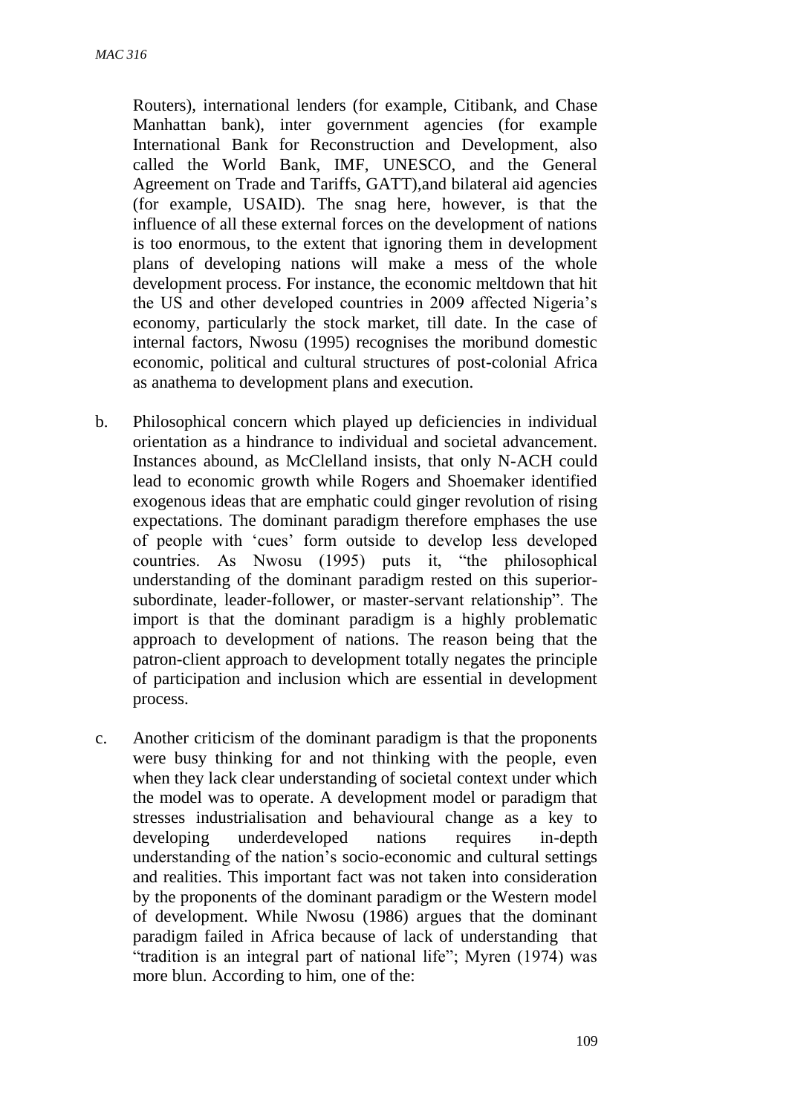Routers), international lenders (for example, Citibank, and Chase Manhattan bank), inter government agencies (for example International Bank for Reconstruction and Development, also called the World Bank, IMF, UNESCO, and the General Agreement on Trade and Tariffs, GATT),and bilateral aid agencies (for example, USAID). The snag here, however, is that the influence of all these external forces on the development of nations is too enormous, to the extent that ignoring them in development plans of developing nations will make a mess of the whole development process. For instance, the economic meltdown that hit the US and other developed countries in 2009 affected Nigeria's economy, particularly the stock market, till date. In the case of internal factors, Nwosu (1995) recognises the moribund domestic economic, political and cultural structures of post-colonial Africa as anathema to development plans and execution.

- b. Philosophical concern which played up deficiencies in individual orientation as a hindrance to individual and societal advancement. Instances abound, as McClelland insists, that only N-ACH could lead to economic growth while Rogers and Shoemaker identified exogenous ideas that are emphatic could ginger revolution of rising expectations. The dominant paradigm therefore emphases the use of people with 'cues' form outside to develop less developed countries. As Nwosu (1995) puts it, "the philosophical understanding of the dominant paradigm rested on this superiorsubordinate, leader-follower, or master-servant relationship". The import is that the dominant paradigm is a highly problematic approach to development of nations. The reason being that the patron-client approach to development totally negates the principle of participation and inclusion which are essential in development process.
- c. Another criticism of the dominant paradigm is that the proponents were busy thinking for and not thinking with the people, even when they lack clear understanding of societal context under which the model was to operate. A development model or paradigm that stresses industrialisation and behavioural change as a key to developing underdeveloped nations requires in-depth understanding of the nation's socio-economic and cultural settings and realities. This important fact was not taken into consideration by the proponents of the dominant paradigm or the Western model of development. While Nwosu (1986) argues that the dominant paradigm failed in Africa because of lack of understanding that "tradition is an integral part of national life"; Myren (1974) was more blun. According to him, one of the: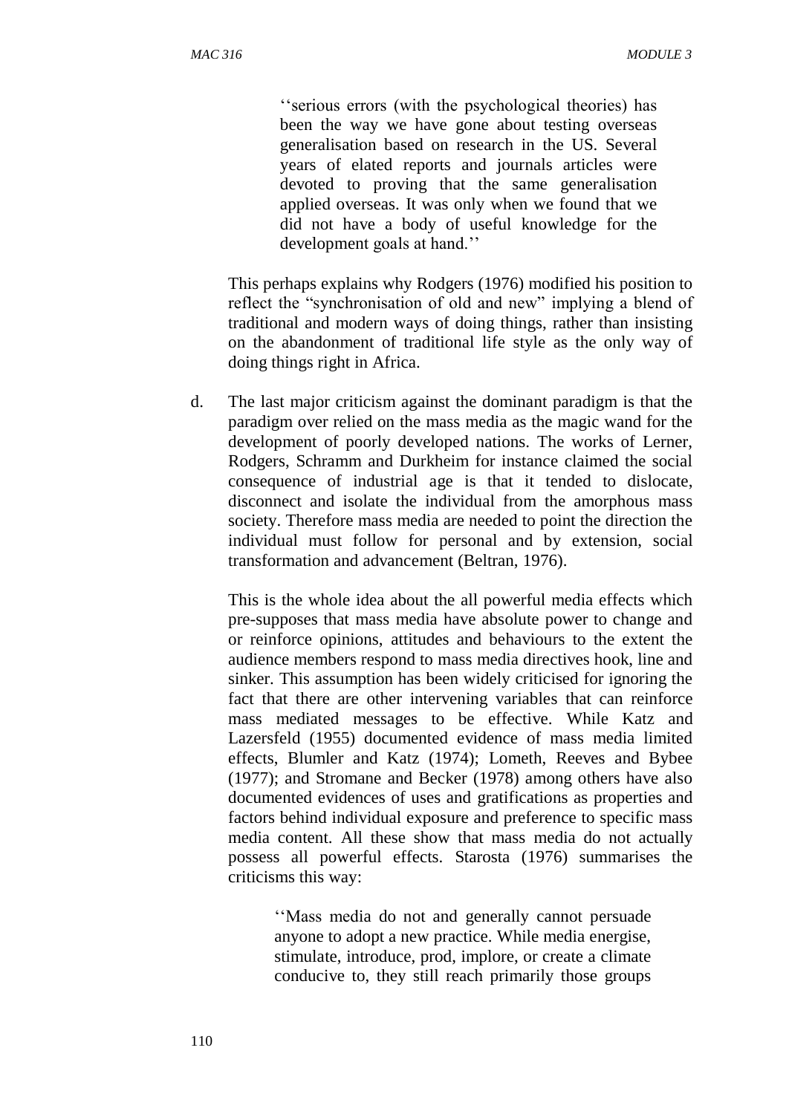''serious errors (with the psychological theories) has been the way we have gone about testing overseas generalisation based on research in the US. Several years of elated reports and journals articles were devoted to proving that the same generalisation applied overseas. It was only when we found that we did not have a body of useful knowledge for the development goals at hand.''

This perhaps explains why Rodgers (1976) modified his position to reflect the "synchronisation of old and new" implying a blend of traditional and modern ways of doing things, rather than insisting on the abandonment of traditional life style as the only way of doing things right in Africa.

d. The last major criticism against the dominant paradigm is that the paradigm over relied on the mass media as the magic wand for the development of poorly developed nations. The works of Lerner, Rodgers, Schramm and Durkheim for instance claimed the social consequence of industrial age is that it tended to dislocate, disconnect and isolate the individual from the amorphous mass society. Therefore mass media are needed to point the direction the individual must follow for personal and by extension, social transformation and advancement (Beltran, 1976).

This is the whole idea about the all powerful media effects which pre-supposes that mass media have absolute power to change and or reinforce opinions, attitudes and behaviours to the extent the audience members respond to mass media directives hook, line and sinker. This assumption has been widely criticised for ignoring the fact that there are other intervening variables that can reinforce mass mediated messages to be effective. While Katz and Lazersfeld (1955) documented evidence of mass media limited effects, Blumler and Katz (1974); Lometh, Reeves and Bybee (1977); and Stromane and Becker (1978) among others have also documented evidences of uses and gratifications as properties and factors behind individual exposure and preference to specific mass media content. All these show that mass media do not actually possess all powerful effects. Starosta (1976) summarises the criticisms this way:

''Mass media do not and generally cannot persuade anyone to adopt a new practice. While media energise, stimulate, introduce, prod, implore, or create a climate conducive to, they still reach primarily those groups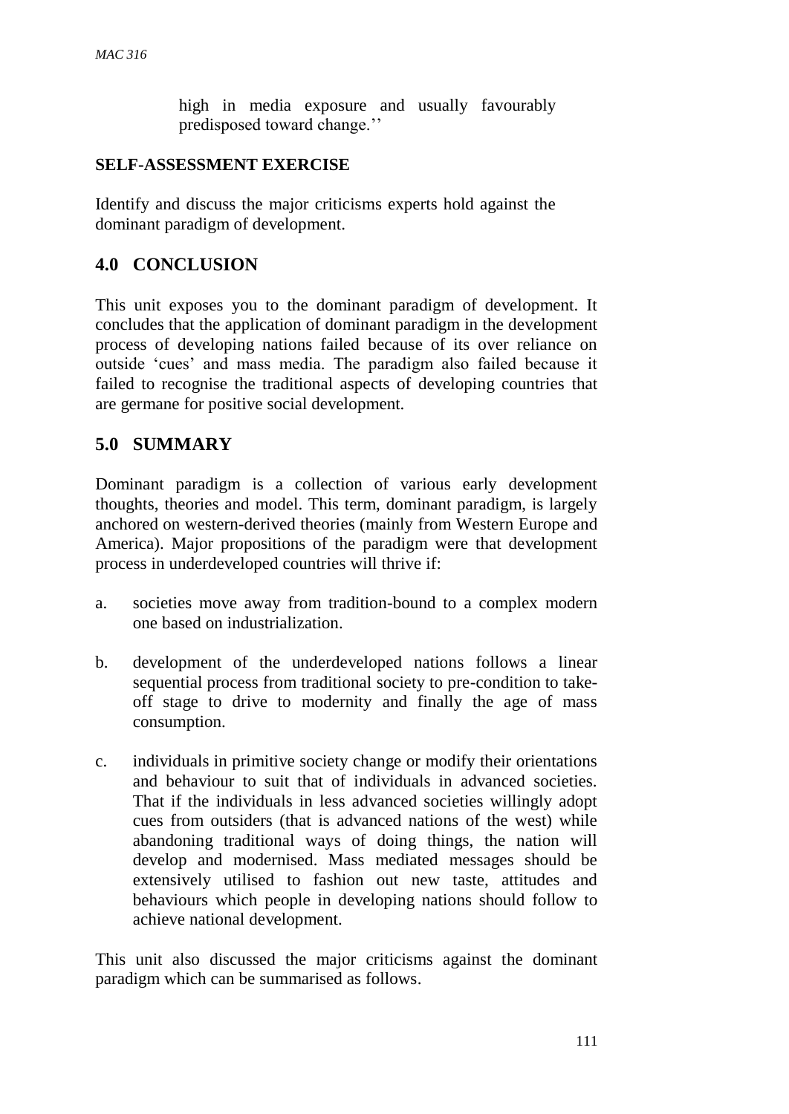high in media exposure and usually favourably predisposed toward change.''

### **SELF-ASSESSMENT EXERCISE**

Identify and discuss the major criticisms experts hold against the dominant paradigm of development.

### **4.0 CONCLUSION**

This unit exposes you to the dominant paradigm of development. It concludes that the application of dominant paradigm in the development process of developing nations failed because of its over reliance on outside 'cues' and mass media. The paradigm also failed because it failed to recognise the traditional aspects of developing countries that are germane for positive social development.

### **5.0 SUMMARY**

Dominant paradigm is a collection of various early development thoughts, theories and model. This term, dominant paradigm, is largely anchored on western-derived theories (mainly from Western Europe and America). Major propositions of the paradigm were that development process in underdeveloped countries will thrive if:

- a. societies move away from tradition-bound to a complex modern one based on industrialization.
- b. development of the underdeveloped nations follows a linear sequential process from traditional society to pre-condition to takeoff stage to drive to modernity and finally the age of mass consumption.
- c. individuals in primitive society change or modify their orientations and behaviour to suit that of individuals in advanced societies. That if the individuals in less advanced societies willingly adopt cues from outsiders (that is advanced nations of the west) while abandoning traditional ways of doing things, the nation will develop and modernised. Mass mediated messages should be extensively utilised to fashion out new taste, attitudes and behaviours which people in developing nations should follow to achieve national development.

This unit also discussed the major criticisms against the dominant paradigm which can be summarised as follows.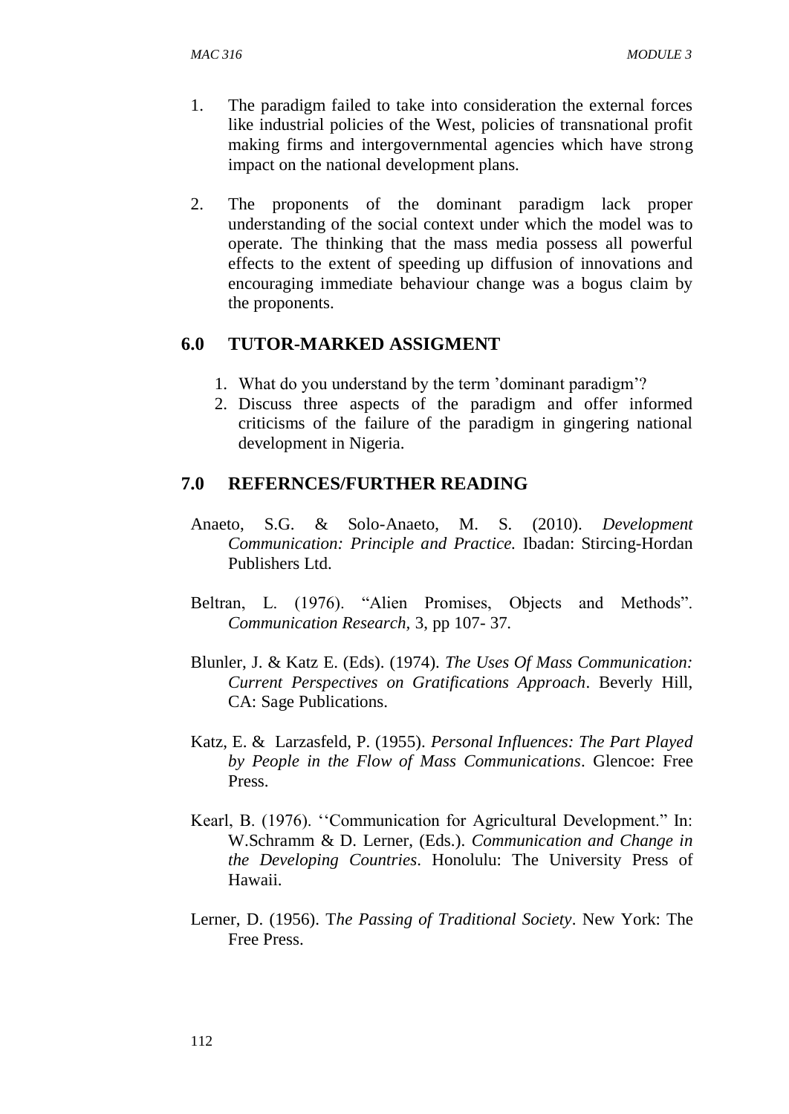- 1. The paradigm failed to take into consideration the external forces like industrial policies of the West, policies of transnational profit making firms and intergovernmental agencies which have strong impact on the national development plans.
- 2. The proponents of the dominant paradigm lack proper understanding of the social context under which the model was to operate. The thinking that the mass media possess all powerful effects to the extent of speeding up diffusion of innovations and encouraging immediate behaviour change was a bogus claim by the proponents.

### **6.0 TUTOR-MARKED ASSIGMENT**

- 1. What do you understand by the term 'dominant paradigm'?
- 2. Discuss three aspects of the paradigm and offer informed criticisms of the failure of the paradigm in gingering national development in Nigeria.

#### **7.0 REFERNCES/FURTHER READING**

- Anaeto, S.G. & Solo-Anaeto, M. S. (2010). *Development Communication: Principle and Practice.* Ibadan: Stircing-Hordan Publishers Ltd.
- Beltran, L. (1976). "Alien Promises, Objects and Methods". *Communication Research,* 3, pp 107- 37.
- Blunler, J. & Katz E. (Eds). (1974). *The Uses Of Mass Communication: Current Perspectives on Gratifications Approach*. Beverly Hill, CA: Sage Publications.
- Katz, E. & Larzasfeld, P. (1955). *Personal Influences: The Part Played by People in the Flow of Mass Communications*. Glencoe: Free Press.
- Kearl, B. (1976). ''Communication for Agricultural Development." In: W.Schramm & D. Lerner, (Eds.). *Communication and Change in the Developing Countries*. Honolulu: The University Press of Hawaii.
- Lerner, D. (1956). T*he Passing of Traditional Society*. New York: The Free Press.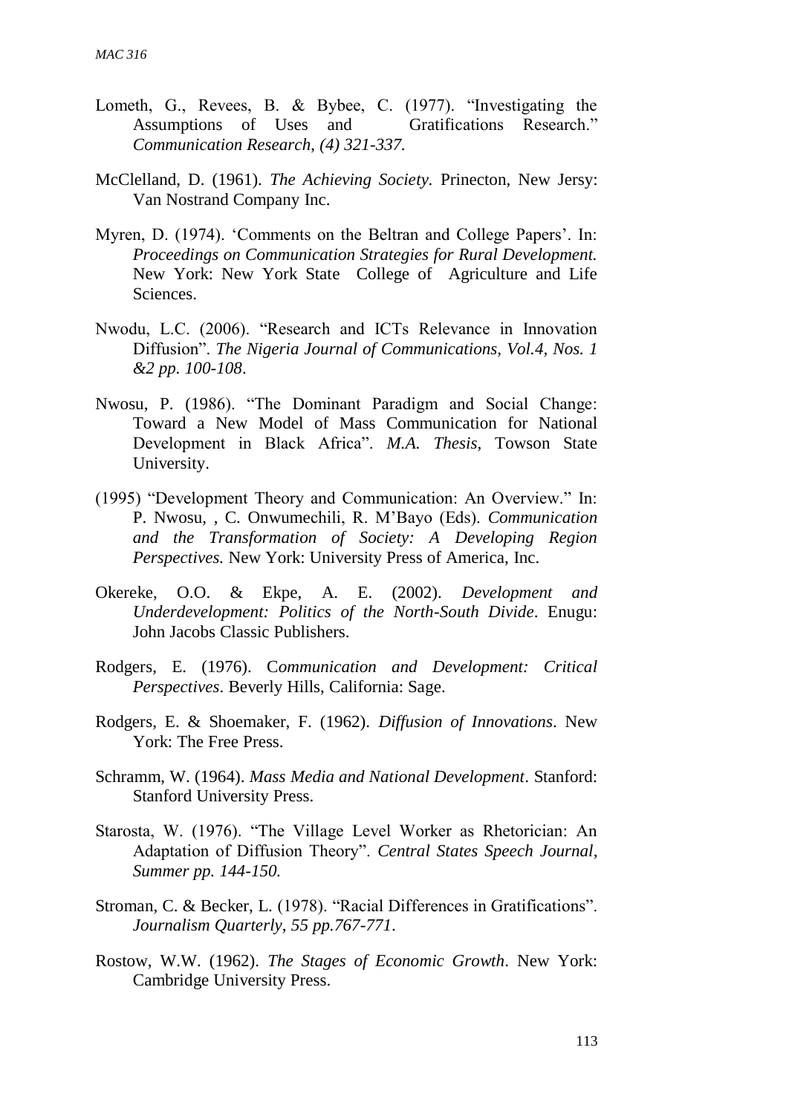- Lometh, G., Revees, B. & Bybee, C. (1977). "Investigating the Assumptions of Uses and Gratifications Research." *Communication Research*, *(4) 321-337.*
- McClelland, D. (1961). *The Achieving Society.* Prinecton, New Jersy: Van Nostrand Company Inc.
- Myren, D. (1974). 'Comments on the Beltran and College Papers'. In: *Proceedings on Communication Strategies for Rural Development.* New York: New York State College of Agriculture and Life Sciences.
- Nwodu, L.C. (2006). "Research and ICTs Relevance in Innovation Diffusion". *The Nigeria Journal of Communications, Vol.4, Nos. 1 &2 pp. 100-108*.
- Nwosu, P. (1986). "The Dominant Paradigm and Social Change: Toward a New Model of Mass Communication for National Development in Black Africa". *M.A. Thesis*, Towson State University.
- (1995) "Development Theory and Communication: An Overview." In: P. Nwosu, , C. Onwumechili, R. M'Bayo (Eds). *Communication and the Transformation of Society: A Developing Region Perspectives.* New York: University Press of America, Inc.
- Okereke, O.O. & Ekpe, A. E. (2002). *Development and Underdevelopment: Politics of the North-South Divide*. Enugu: John Jacobs Classic Publishers.
- Rodgers, E. (1976). C*ommunication and Development: Critical Perspectives*. Beverly Hills, California: Sage.
- Rodgers, E. & Shoemaker, F. (1962). *Diffusion of Innovations*. New York: The Free Press.
- Schramm, W. (1964). *Mass Media and National Development*. Stanford: Stanford University Press.
- Starosta, W. (1976). "The Village Level Worker as Rhetorician: An Adaptation of Diffusion Theory". *Central States Speech Journal*, *Summer pp. 144-150.*
- Stroman, C. & Becker, L. (1978). "Racial Differences in Gratifications". *Journalism Quarterly*, *55 pp.767-771*.
- Rostow, W.W. (1962). *The Stages of Economic Growth*. New York: Cambridge University Press.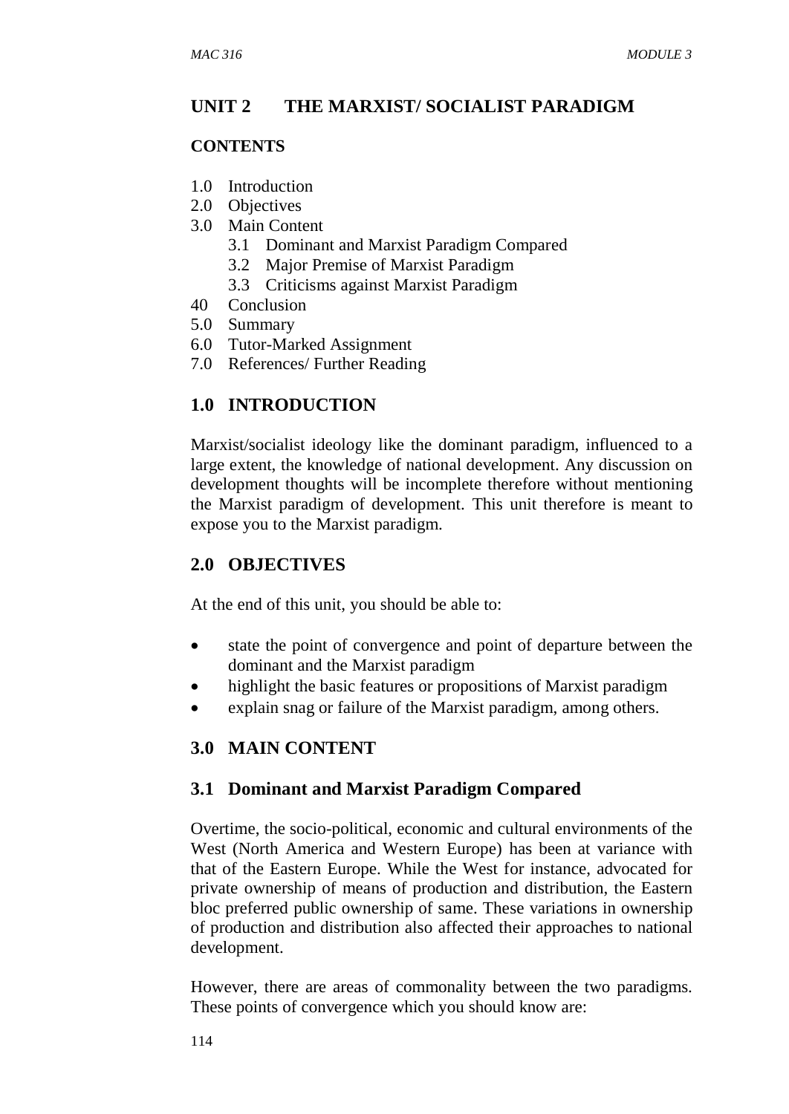## **UNIT 2 THE MARXIST/ SOCIALIST PARADIGM**

### **CONTENTS**

- 1.0 Introduction
- 2.0 Objectives
- 3.0 Main Content
	- 3.1 Dominant and Marxist Paradigm Compared
	- 3.2 Major Premise of Marxist Paradigm
	- 3.3 Criticisms against Marxist Paradigm
- 40 Conclusion
- 5.0 Summary
- 6.0 Tutor-Marked Assignment
- 7.0 References/ Further Reading

# **1.0 INTRODUCTION**

Marxist/socialist ideology like the dominant paradigm, influenced to a large extent, the knowledge of national development. Any discussion on development thoughts will be incomplete therefore without mentioning the Marxist paradigm of development. This unit therefore is meant to expose you to the Marxist paradigm.

# **2.0 OBJECTIVES**

At the end of this unit, you should be able to:

- state the point of convergence and point of departure between the dominant and the Marxist paradigm
- highlight the basic features or propositions of Marxist paradigm
- explain snag or failure of the Marxist paradigm, among others.

## **3.0 MAIN CONTENT**

## **3.1 Dominant and Marxist Paradigm Compared**

Overtime, the socio-political, economic and cultural environments of the West (North America and Western Europe) has been at variance with that of the Eastern Europe. While the West for instance, advocated for private ownership of means of production and distribution, the Eastern bloc preferred public ownership of same. These variations in ownership of production and distribution also affected their approaches to national development.

However, there are areas of commonality between the two paradigms. These points of convergence which you should know are: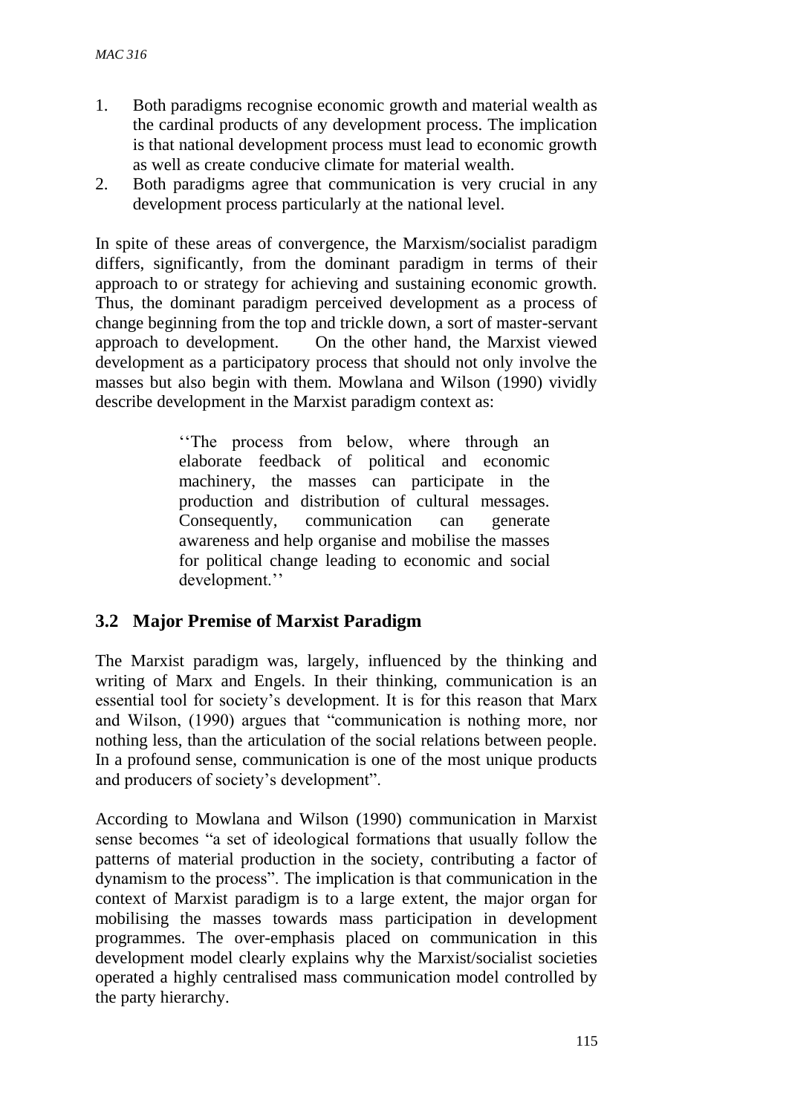- 1. Both paradigms recognise economic growth and material wealth as the cardinal products of any development process. The implication is that national development process must lead to economic growth as well as create conducive climate for material wealth.
- 2. Both paradigms agree that communication is very crucial in any development process particularly at the national level.

In spite of these areas of convergence, the Marxism/socialist paradigm differs, significantly, from the dominant paradigm in terms of their approach to or strategy for achieving and sustaining economic growth. Thus, the dominant paradigm perceived development as a process of change beginning from the top and trickle down, a sort of master-servant approach to development. On the other hand, the Marxist viewed development as a participatory process that should not only involve the masses but also begin with them. Mowlana and Wilson (1990) vividly describe development in the Marxist paradigm context as:

> ''The process from below, where through an elaborate feedback of political and economic machinery, the masses can participate in the production and distribution of cultural messages. Consequently, communication can generate awareness and help organise and mobilise the masses for political change leading to economic and social development.''

## **3.2 Major Premise of Marxist Paradigm**

The Marxist paradigm was, largely, influenced by the thinking and writing of Marx and Engels. In their thinking, communication is an essential tool for society's development. It is for this reason that Marx and Wilson, (1990) argues that "communication is nothing more, nor nothing less, than the articulation of the social relations between people. In a profound sense, communication is one of the most unique products and producers of society's development".

According to Mowlana and Wilson (1990) communication in Marxist sense becomes "a set of ideological formations that usually follow the patterns of material production in the society, contributing a factor of dynamism to the process". The implication is that communication in the context of Marxist paradigm is to a large extent, the major organ for mobilising the masses towards mass participation in development programmes. The over-emphasis placed on communication in this development model clearly explains why the Marxist/socialist societies operated a highly centralised mass communication model controlled by the party hierarchy.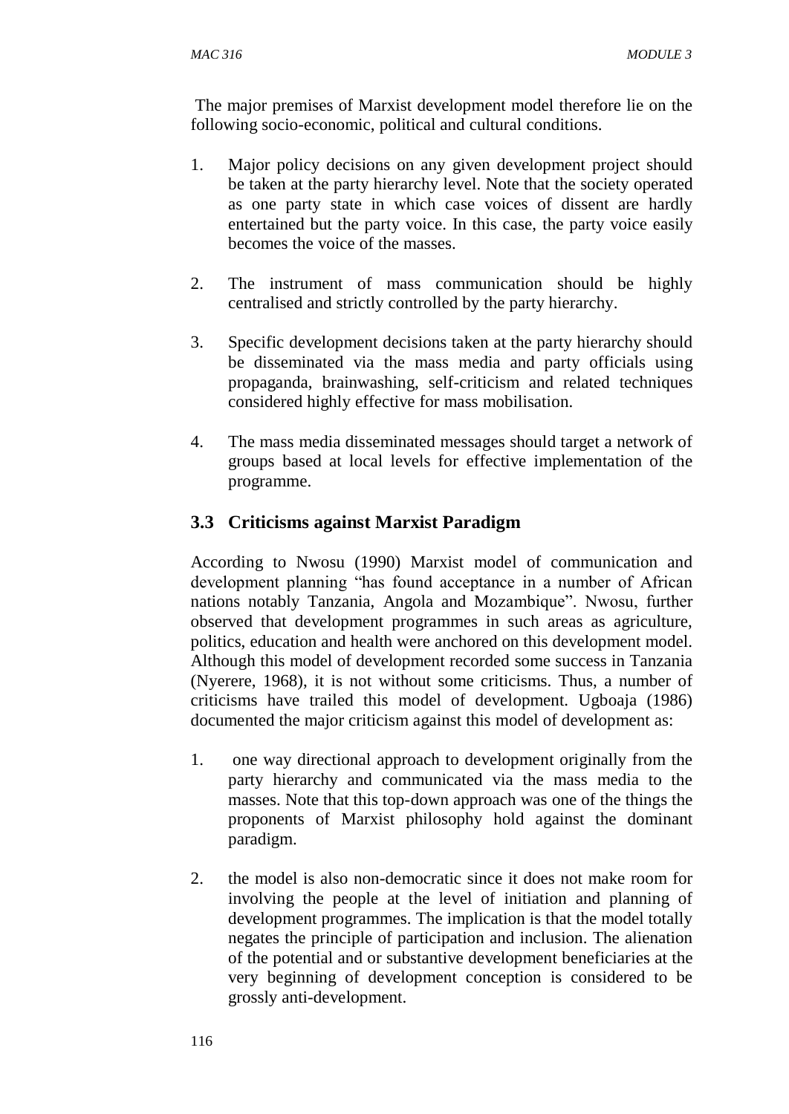The major premises of Marxist development model therefore lie on the following socio-economic, political and cultural conditions.

- 1. Major policy decisions on any given development project should be taken at the party hierarchy level. Note that the society operated as one party state in which case voices of dissent are hardly entertained but the party voice. In this case, the party voice easily becomes the voice of the masses.
- 2. The instrument of mass communication should be highly centralised and strictly controlled by the party hierarchy.
- 3. Specific development decisions taken at the party hierarchy should be disseminated via the mass media and party officials using propaganda, brainwashing, self-criticism and related techniques considered highly effective for mass mobilisation.
- 4. The mass media disseminated messages should target a network of groups based at local levels for effective implementation of the programme.

# **3.3 Criticisms against Marxist Paradigm**

According to Nwosu (1990) Marxist model of communication and development planning "has found acceptance in a number of African nations notably Tanzania, Angola and Mozambique". Nwosu, further observed that development programmes in such areas as agriculture, politics, education and health were anchored on this development model. Although this model of development recorded some success in Tanzania (Nyerere, 1968), it is not without some criticisms. Thus, a number of criticisms have trailed this model of development. Ugboaja (1986) documented the major criticism against this model of development as:

- 1. one way directional approach to development originally from the party hierarchy and communicated via the mass media to the masses. Note that this top-down approach was one of the things the proponents of Marxist philosophy hold against the dominant paradigm.
- 2. the model is also non-democratic since it does not make room for involving the people at the level of initiation and planning of development programmes. The implication is that the model totally negates the principle of participation and inclusion. The alienation of the potential and or substantive development beneficiaries at the very beginning of development conception is considered to be grossly anti-development.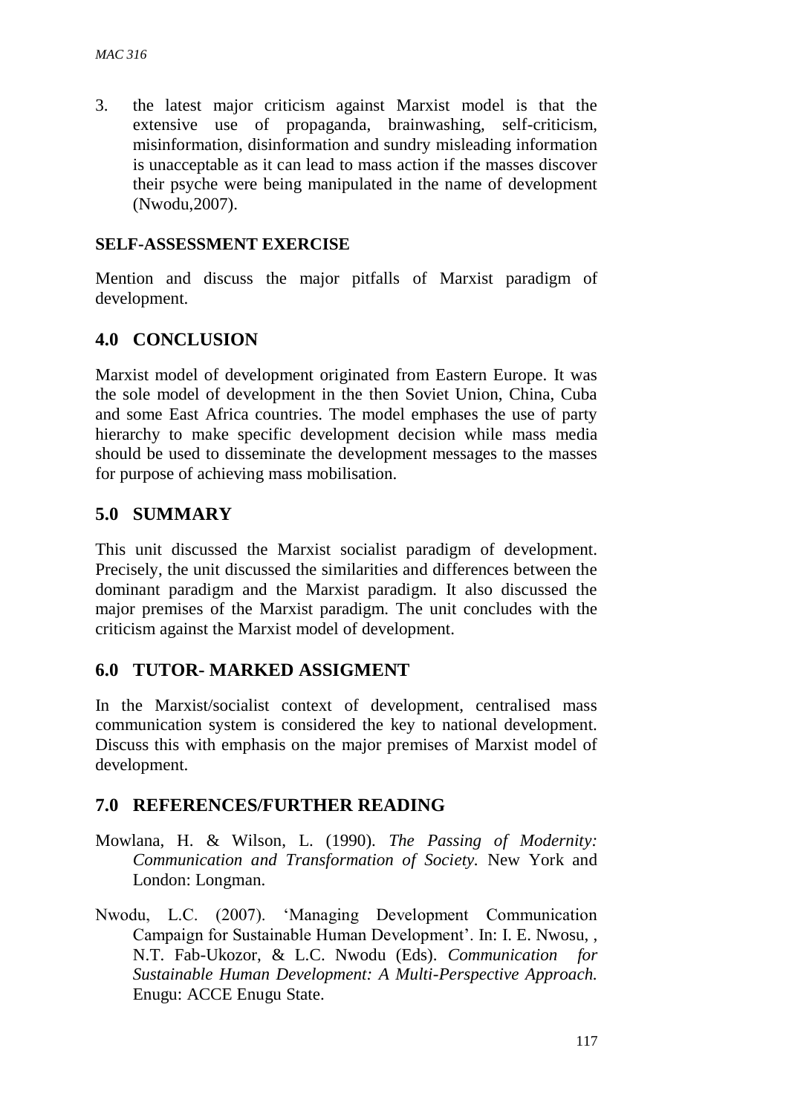3. the latest major criticism against Marxist model is that the extensive use of propaganda, brainwashing, self-criticism, misinformation, disinformation and sundry misleading information is unacceptable as it can lead to mass action if the masses discover their psyche were being manipulated in the name of development (Nwodu,2007).

#### **SELF-ASSESSMENT EXERCISE**

Mention and discuss the major pitfalls of Marxist paradigm of development.

## **4.0 CONCLUSION**

Marxist model of development originated from Eastern Europe. It was the sole model of development in the then Soviet Union, China, Cuba and some East Africa countries. The model emphases the use of party hierarchy to make specific development decision while mass media should be used to disseminate the development messages to the masses for purpose of achieving mass mobilisation.

### **5.0 SUMMARY**

This unit discussed the Marxist socialist paradigm of development. Precisely, the unit discussed the similarities and differences between the dominant paradigm and the Marxist paradigm. It also discussed the major premises of the Marxist paradigm. The unit concludes with the criticism against the Marxist model of development.

### **6.0 TUTOR- MARKED ASSIGMENT**

In the Marxist/socialist context of development, centralised mass communication system is considered the key to national development. Discuss this with emphasis on the major premises of Marxist model of development.

### **7.0 REFERENCES/FURTHER READING**

- Mowlana, H. & Wilson, L. (1990). *The Passing of Modernity: Communication and Transformation of Society.* New York and London: Longman.
- Nwodu, L.C. (2007). 'Managing Development Communication Campaign for Sustainable Human Development'. In: I. E. Nwosu, , N.T. Fab-Ukozor, & L.C. Nwodu (Eds). *Communication for Sustainable Human Development: A Multi-Perspective Approach.* Enugu: ACCE Enugu State.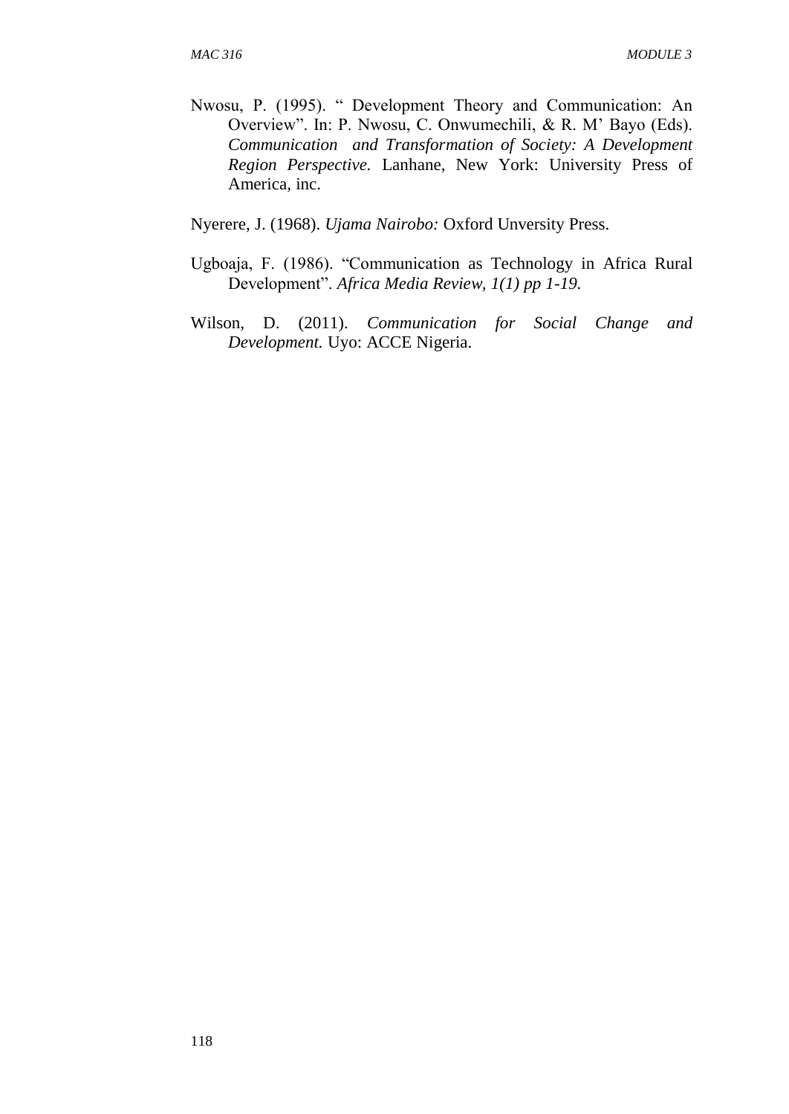Nwosu, P. (1995). " Development Theory and Communication: An Overview". In: P. Nwosu, C. Onwumechili, & R. M' Bayo (Eds). *Communication and Transformation of Society: A Development Region Perspective.* Lanhane, New York: University Press of America, inc.

Nyerere, J. (1968). *Ujama Nairobo:* Oxford Unversity Press.

- Ugboaja, F. (1986). "Communication as Technology in Africa Rural Development". *Africa Media Review, 1(1) pp 1-19.*
- Wilson, D. (2011). *Communication for Social Change and Development.* Uyo: ACCE Nigeria.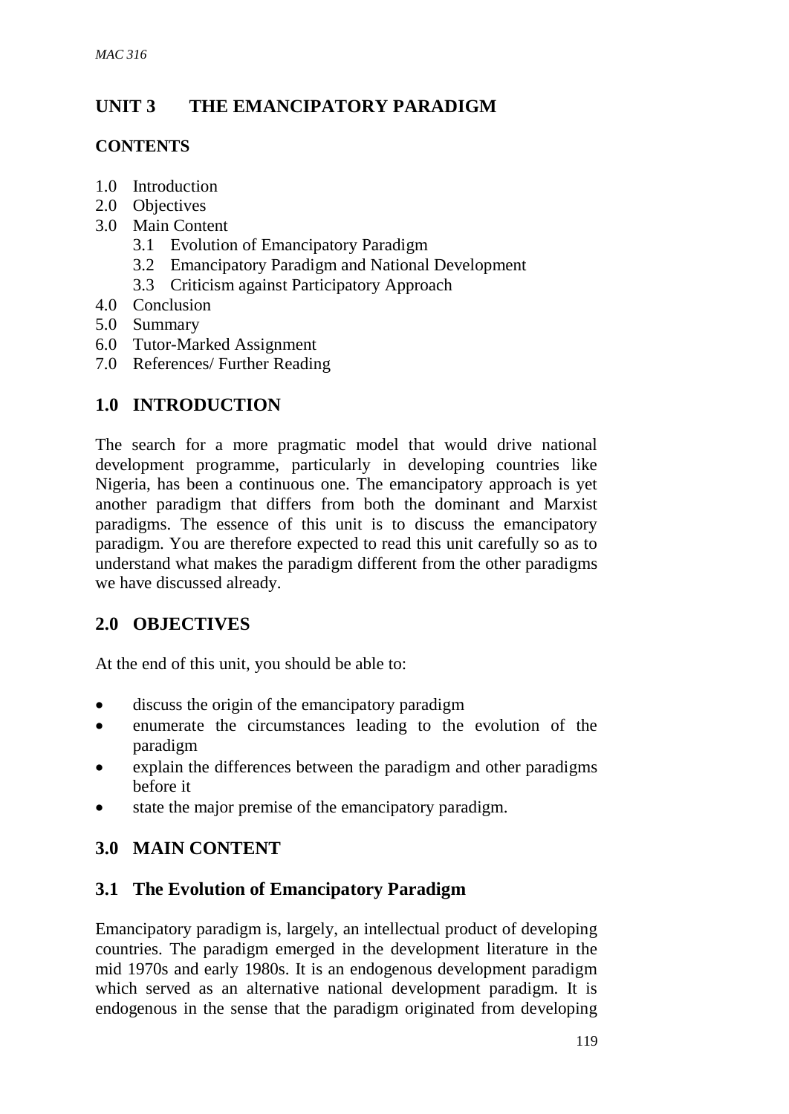# **UNIT 3 THE EMANCIPATORY PARADIGM**

## **CONTENTS**

- 1.0 Introduction
- 2.0 Objectives
- 3.0 Main Content
	- 3.1 Evolution of Emancipatory Paradigm
	- 3.2 Emancipatory Paradigm and National Development
	- 3.3 Criticism against Participatory Approach
- 4.0 Conclusion
- 5.0 Summary
- 6.0 Tutor-Marked Assignment
- 7.0 References/ Further Reading

## **1.0 INTRODUCTION**

The search for a more pragmatic model that would drive national development programme, particularly in developing countries like Nigeria, has been a continuous one. The emancipatory approach is yet another paradigm that differs from both the dominant and Marxist paradigms. The essence of this unit is to discuss the emancipatory paradigm. You are therefore expected to read this unit carefully so as to understand what makes the paradigm different from the other paradigms we have discussed already.

## **2.0 OBJECTIVES**

At the end of this unit, you should be able to:

- discuss the origin of the emancipatory paradigm
- enumerate the circumstances leading to the evolution of the paradigm
- explain the differences between the paradigm and other paradigms before it
- state the major premise of the emancipatory paradigm.

# **3.0 MAIN CONTENT**

## **3.1 The Evolution of Emancipatory Paradigm**

Emancipatory paradigm is, largely, an intellectual product of developing countries. The paradigm emerged in the development literature in the mid 1970s and early 1980s. It is an endogenous development paradigm which served as an alternative national development paradigm. It is endogenous in the sense that the paradigm originated from developing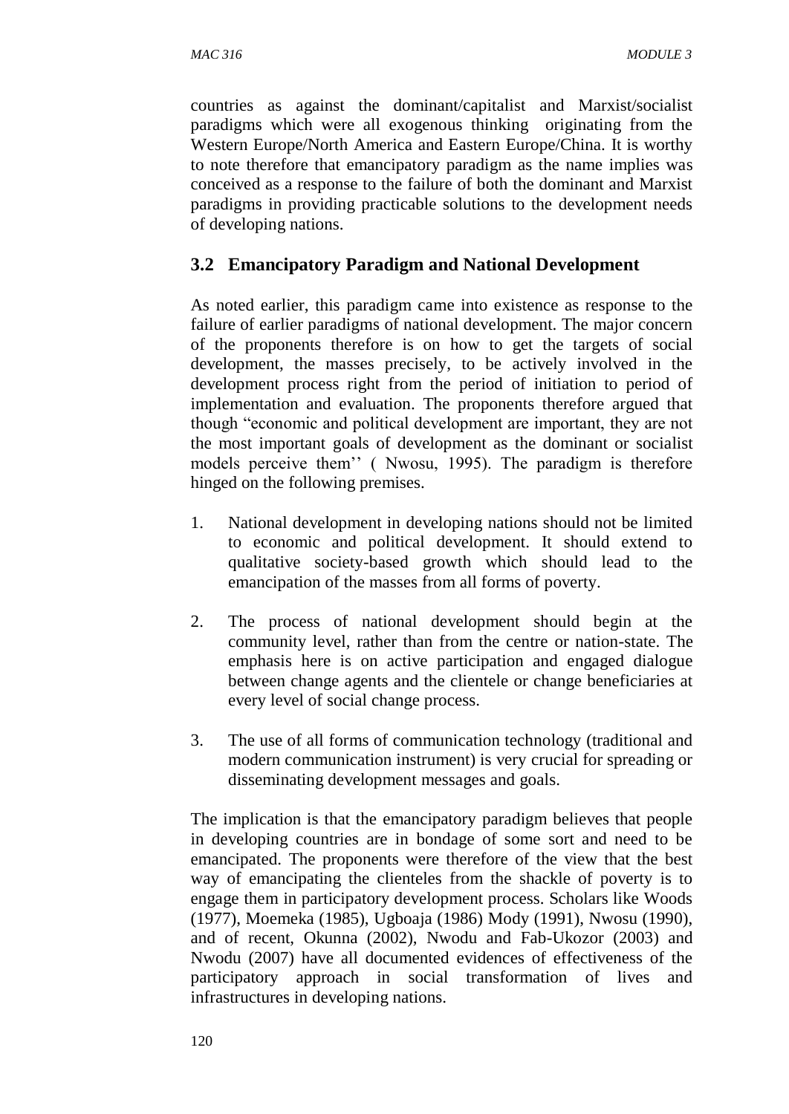countries as against the dominant/capitalist and Marxist/socialist paradigms which were all exogenous thinking originating from the Western Europe/North America and Eastern Europe/China. It is worthy to note therefore that emancipatory paradigm as the name implies was conceived as a response to the failure of both the dominant and Marxist paradigms in providing practicable solutions to the development needs of developing nations.

## **3.2 Emancipatory Paradigm and National Development**

As noted earlier, this paradigm came into existence as response to the failure of earlier paradigms of national development. The major concern of the proponents therefore is on how to get the targets of social development, the masses precisely, to be actively involved in the development process right from the period of initiation to period of implementation and evaluation. The proponents therefore argued that though "economic and political development are important, they are not the most important goals of development as the dominant or socialist models perceive them'' ( Nwosu, 1995). The paradigm is therefore hinged on the following premises.

- 1. National development in developing nations should not be limited to economic and political development. It should extend to qualitative society-based growth which should lead to the emancipation of the masses from all forms of poverty.
- 2. The process of national development should begin at the community level, rather than from the centre or nation-state. The emphasis here is on active participation and engaged dialogue between change agents and the clientele or change beneficiaries at every level of social change process.
- 3. The use of all forms of communication technology (traditional and modern communication instrument) is very crucial for spreading or disseminating development messages and goals.

The implication is that the emancipatory paradigm believes that people in developing countries are in bondage of some sort and need to be emancipated. The proponents were therefore of the view that the best way of emancipating the clienteles from the shackle of poverty is to engage them in participatory development process. Scholars like Woods (1977), Moemeka (1985), Ugboaja (1986) Mody (1991), Nwosu (1990), and of recent, Okunna (2002), Nwodu and Fab-Ukozor (2003) and Nwodu (2007) have all documented evidences of effectiveness of the participatory approach in social transformation of lives and infrastructures in developing nations.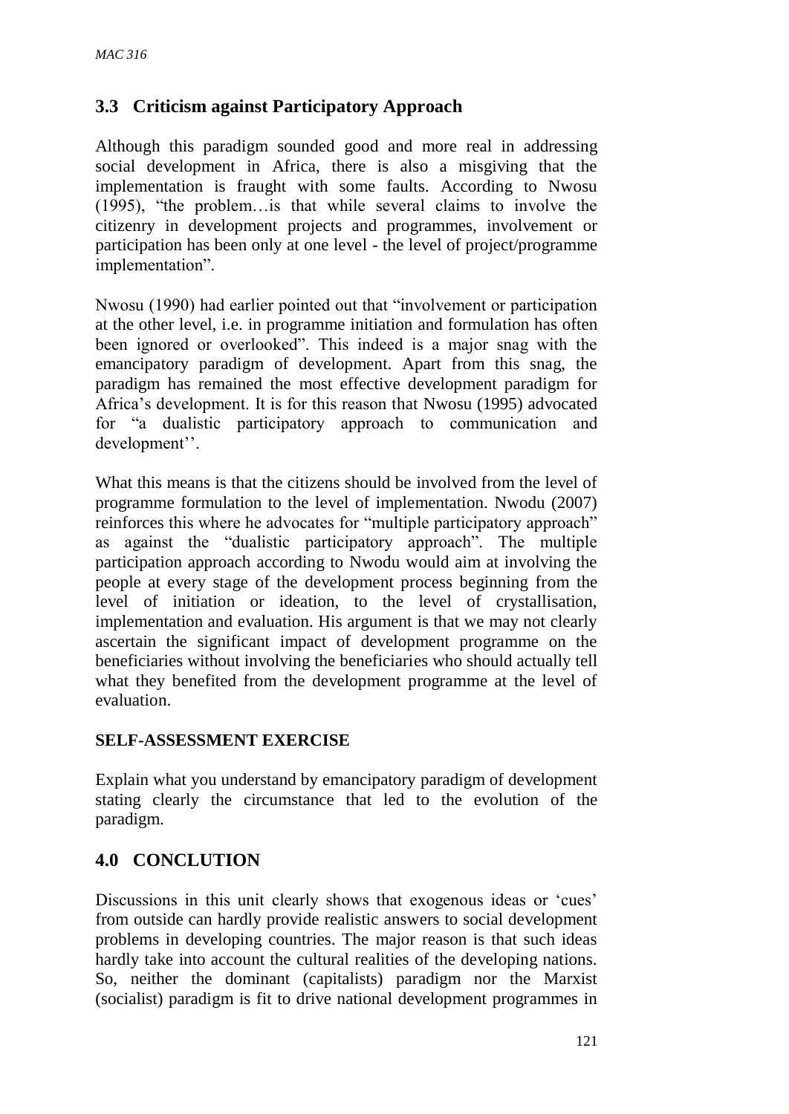### **3.3 Criticism against Participatory Approach**

Although this paradigm sounded good and more real in addressing social development in Africa, there is also a misgiving that the implementation is fraught with some faults. According to Nwosu (1995), "the problem…is that while several claims to involve the citizenry in development projects and programmes, involvement or participation has been only at one level - the level of project/programme implementation".

Nwosu (1990) had earlier pointed out that "involvement or participation at the other level, i.e. in programme initiation and formulation has often been ignored or overlooked". This indeed is a major snag with the emancipatory paradigm of development. Apart from this snag, the paradigm has remained the most effective development paradigm for Africa's development. It is for this reason that Nwosu (1995) advocated for "a dualistic participatory approach to communication and development''.

What this means is that the citizens should be involved from the level of programme formulation to the level of implementation. Nwodu (2007) reinforces this where he advocates for "multiple participatory approach" as against the "dualistic participatory approach". The multiple participation approach according to Nwodu would aim at involving the people at every stage of the development process beginning from the level of initiation or ideation, to the level of crystallisation, implementation and evaluation. His argument is that we may not clearly ascertain the significant impact of development programme on the beneficiaries without involving the beneficiaries who should actually tell what they benefited from the development programme at the level of evaluation.

#### **SELF-ASSESSMENT EXERCISE**

Explain what you understand by emancipatory paradigm of development stating clearly the circumstance that led to the evolution of the paradigm.

## **4.0 CONCLUTION**

Discussions in this unit clearly shows that exogenous ideas or 'cues' from outside can hardly provide realistic answers to social development problems in developing countries. The major reason is that such ideas hardly take into account the cultural realities of the developing nations. So, neither the dominant (capitalists) paradigm nor the Marxist (socialist) paradigm is fit to drive national development programmes in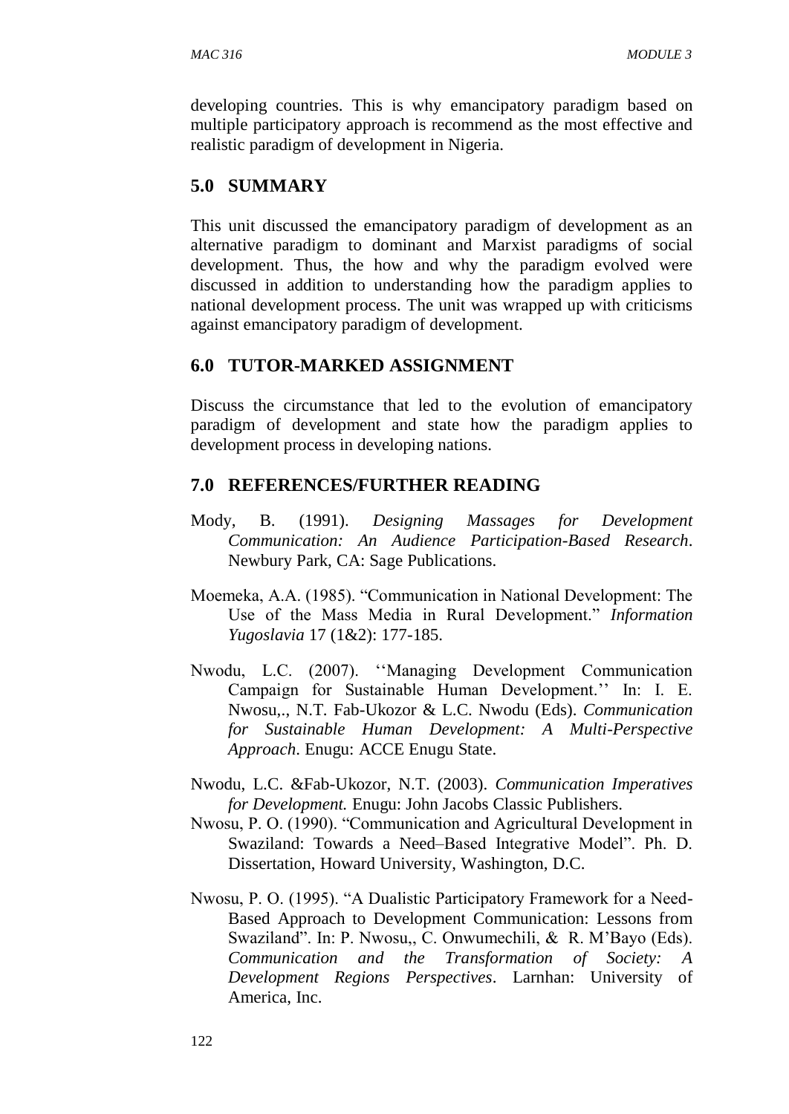developing countries. This is why emancipatory paradigm based on multiple participatory approach is recommend as the most effective and realistic paradigm of development in Nigeria.

# **5.0 SUMMARY**

This unit discussed the emancipatory paradigm of development as an alternative paradigm to dominant and Marxist paradigms of social development. Thus, the how and why the paradigm evolved were discussed in addition to understanding how the paradigm applies to national development process. The unit was wrapped up with criticisms against emancipatory paradigm of development.

# **6.0 TUTOR-MARKED ASSIGNMENT**

Discuss the circumstance that led to the evolution of emancipatory paradigm of development and state how the paradigm applies to development process in developing nations.

## **7.0 REFERENCES/FURTHER READING**

- Mody, B. (1991). *Designing Massages for Development Communication: An Audience Participation-Based Research*. Newbury Park, CA: Sage Publications.
- Moemeka, A.A. (1985). "Communication in National Development: The Use of the Mass Media in Rural Development." *Information Yugoslavia* 17 (1&2): 177-185.
- Nwodu, L.C. (2007). ''Managing Development Communication Campaign for Sustainable Human Development.'' In: I. E. Nwosu,., N.T. Fab-Ukozor & L.C. Nwodu (Eds). *Communication for Sustainable Human Development: A Multi-Perspective Approach*. Enugu: ACCE Enugu State.
- Nwodu, L.C. &Fab-Ukozor, N.T. (2003). *Communication Imperatives for Development.* Enugu: John Jacobs Classic Publishers.
- Nwosu, P. O. (1990). "Communication and Agricultural Development in Swaziland: Towards a Need–Based Integrative Model". Ph. D. Dissertation, Howard University, Washington, D.C.
- Nwosu, P. O. (1995). "A Dualistic Participatory Framework for a Need-Based Approach to Development Communication: Lessons from Swaziland". In: P. Nwosu,, C. Onwumechili, & R. M'Bayo (Eds). *Communication and the Transformation of Society: A Development Regions Perspectives*. Larnhan: University of America, Inc.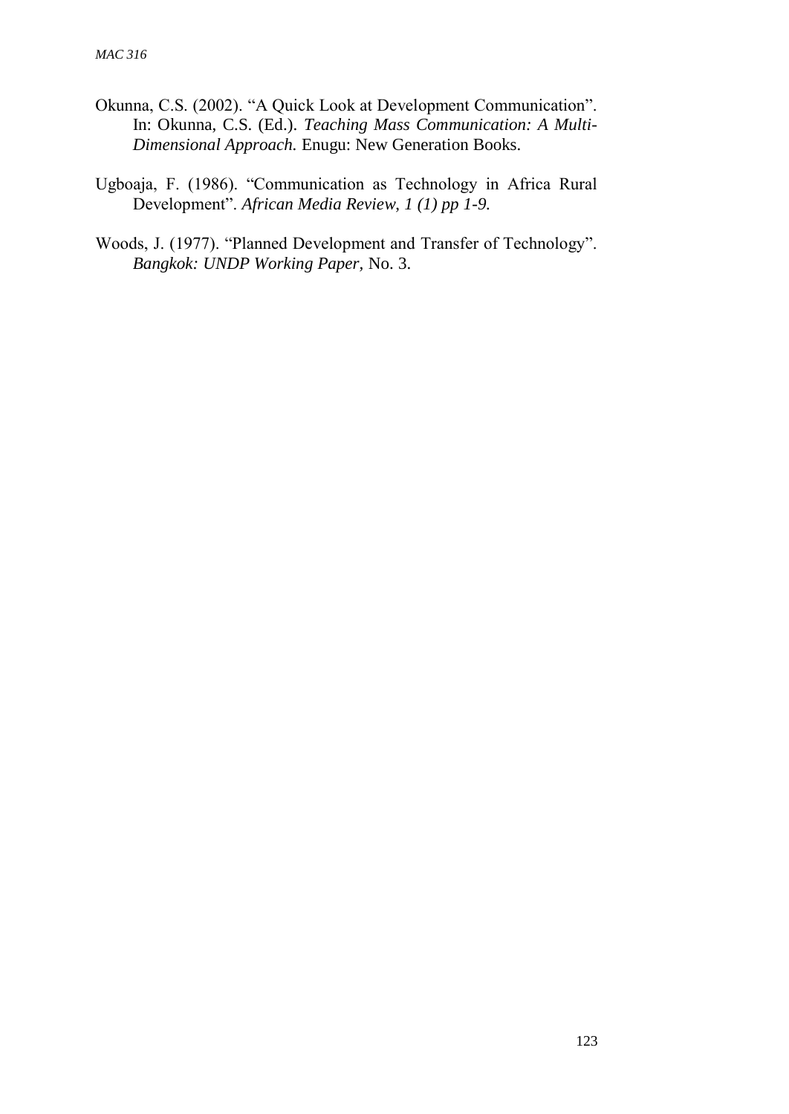- Okunna, C.S. (2002). "A Quick Look at Development Communication". In: Okunna, C.S. (Ed.). *Teaching Mass Communication: A Multi-Dimensional Approach.* Enugu: New Generation Books.
- Ugboaja, F. (1986). "Communication as Technology in Africa Rural Development". *African Media Review*, *1 (1) pp 1-9.*
- Woods, J. (1977). "Planned Development and Transfer of Technology". *Bangkok: UNDP Working Paper,* No. 3.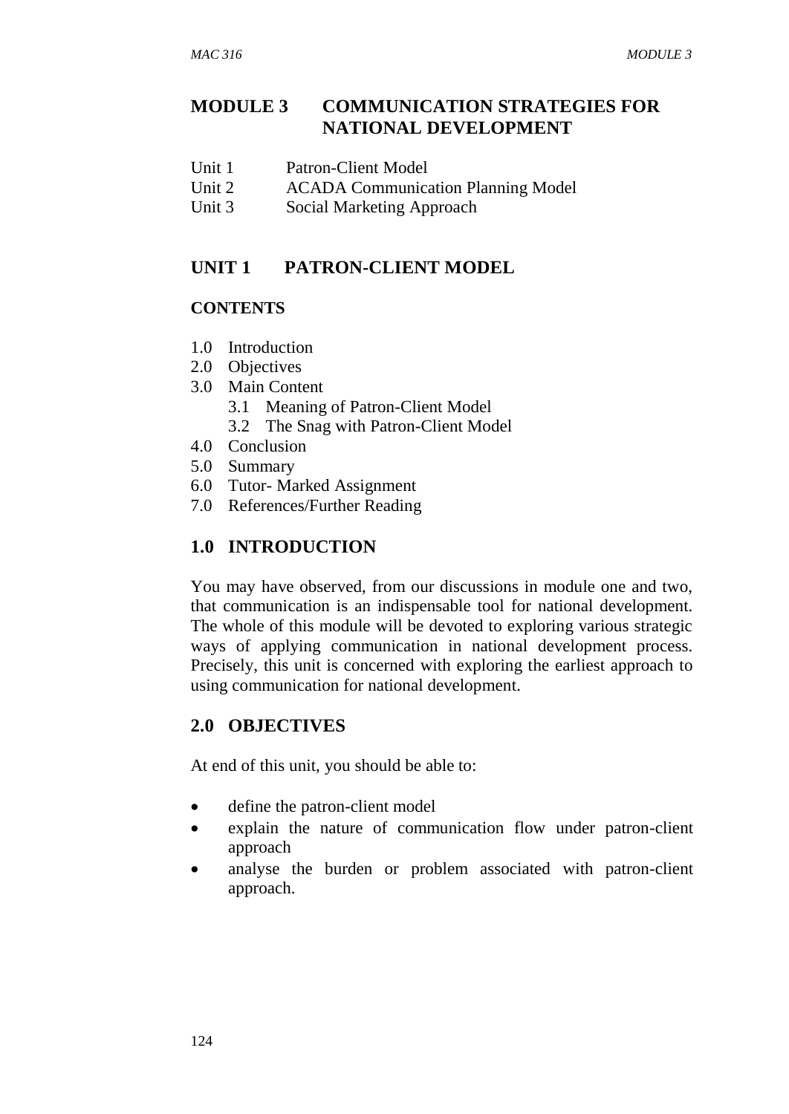# **MODULE 3 COMMUNICATION STRATEGIES FOR NATIONAL DEVELOPMENT**

- Unit 1 Patron-Client Model
- Unit 2 ACADA Communication Planning Model
- Unit 3 Social Marketing Approach

### **UNIT 1 PATRON-CLIENT MODEL**

#### **CONTENTS**

- 1.0 Introduction
- 2.0 Objectives
- 3.0 Main Content
	- 3.1 Meaning of Patron-Client Model
	- 3.2 The Snag with Patron-Client Model
- 4.0 Conclusion
- 5.0 Summary
- 6.0 Tutor- Marked Assignment
- 7.0 References/Further Reading

# **1.0 INTRODUCTION**

You may have observed, from our discussions in module one and two, that communication is an indispensable tool for national development. The whole of this module will be devoted to exploring various strategic ways of applying communication in national development process. Precisely, this unit is concerned with exploring the earliest approach to using communication for national development.

## **2.0 OBJECTIVES**

At end of this unit, you should be able to:

- define the patron-client model
- explain the nature of communication flow under patron-client approach
- analyse the burden or problem associated with patron-client approach.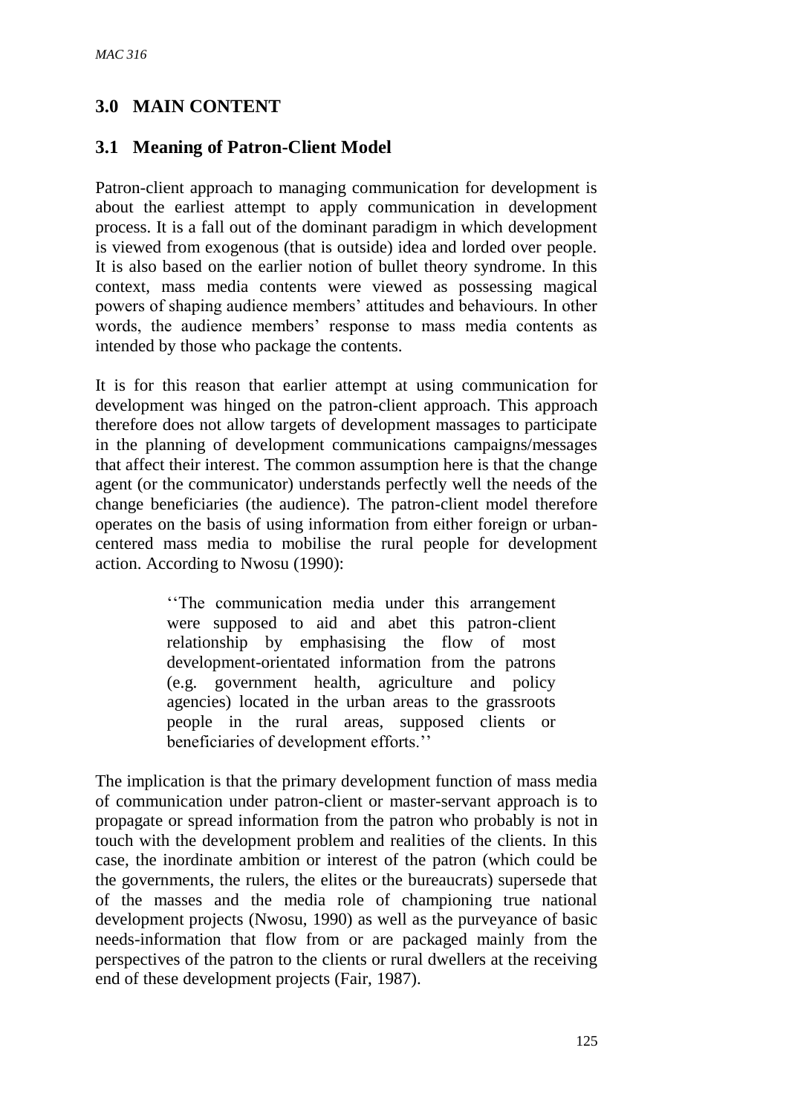# **3.0 MAIN CONTENT**

## **3.1 Meaning of Patron-Client Model**

Patron-client approach to managing communication for development is about the earliest attempt to apply communication in development process. It is a fall out of the dominant paradigm in which development is viewed from exogenous (that is outside) idea and lorded over people. It is also based on the earlier notion of bullet theory syndrome. In this context, mass media contents were viewed as possessing magical powers of shaping audience members' attitudes and behaviours. In other words, the audience members' response to mass media contents as intended by those who package the contents.

It is for this reason that earlier attempt at using communication for development was hinged on the patron-client approach. This approach therefore does not allow targets of development massages to participate in the planning of development communications campaigns/messages that affect their interest. The common assumption here is that the change agent (or the communicator) understands perfectly well the needs of the change beneficiaries (the audience). The patron-client model therefore operates on the basis of using information from either foreign or urbancentered mass media to mobilise the rural people for development action. According to Nwosu (1990):

> ''The communication media under this arrangement were supposed to aid and abet this patron-client relationship by emphasising the flow of most development-orientated information from the patrons (e.g. government health, agriculture and policy agencies) located in the urban areas to the grassroots people in the rural areas, supposed clients or beneficiaries of development efforts.''

The implication is that the primary development function of mass media of communication under patron-client or master-servant approach is to propagate or spread information from the patron who probably is not in touch with the development problem and realities of the clients. In this case, the inordinate ambition or interest of the patron (which could be the governments, the rulers, the elites or the bureaucrats) supersede that of the masses and the media role of championing true national development projects (Nwosu, 1990) as well as the purveyance of basic needs-information that flow from or are packaged mainly from the perspectives of the patron to the clients or rural dwellers at the receiving end of these development projects (Fair, 1987).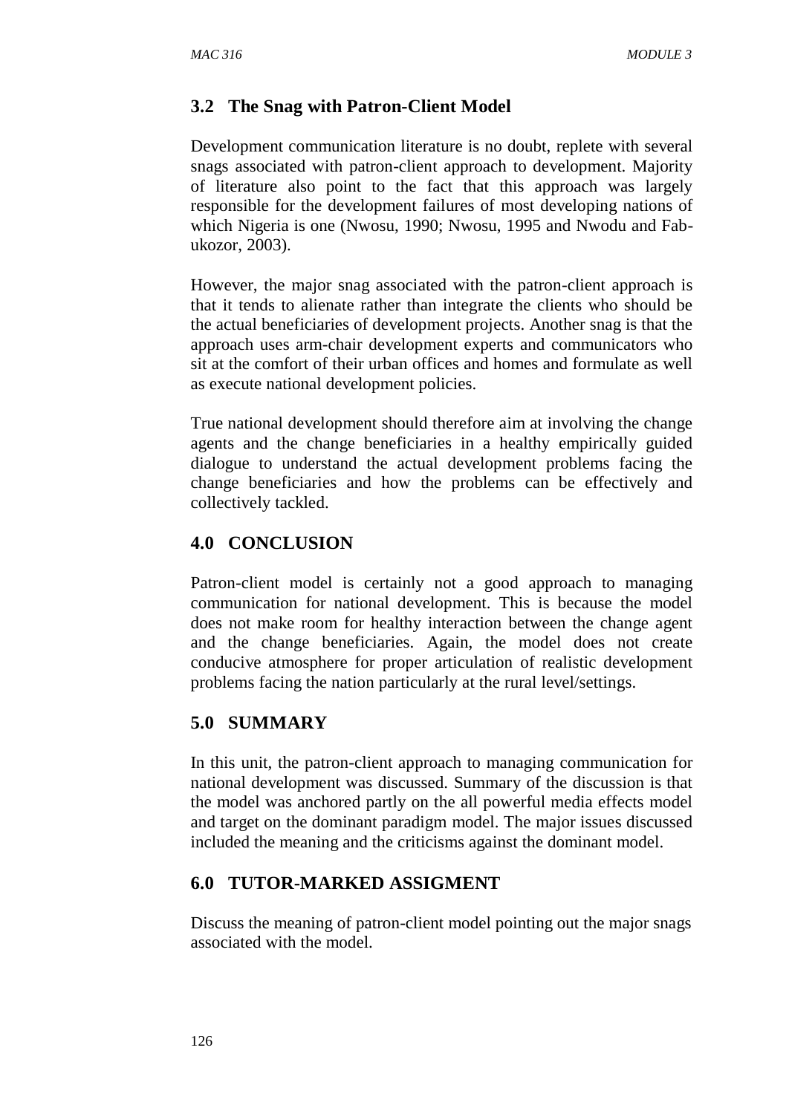## **3.2 The Snag with Patron-Client Model**

Development communication literature is no doubt, replete with several snags associated with patron-client approach to development. Majority of literature also point to the fact that this approach was largely responsible for the development failures of most developing nations of which Nigeria is one (Nwosu, 1990; Nwosu, 1995 and Nwodu and Fabukozor, 2003).

However, the major snag associated with the patron-client approach is that it tends to alienate rather than integrate the clients who should be the actual beneficiaries of development projects. Another snag is that the approach uses arm-chair development experts and communicators who sit at the comfort of their urban offices and homes and formulate as well as execute national development policies.

True national development should therefore aim at involving the change agents and the change beneficiaries in a healthy empirically guided dialogue to understand the actual development problems facing the change beneficiaries and how the problems can be effectively and collectively tackled.

## **4.0 CONCLUSION**

Patron-client model is certainly not a good approach to managing communication for national development. This is because the model does not make room for healthy interaction between the change agent and the change beneficiaries. Again, the model does not create conducive atmosphere for proper articulation of realistic development problems facing the nation particularly at the rural level/settings.

## **5.0 SUMMARY**

In this unit, the patron-client approach to managing communication for national development was discussed. Summary of the discussion is that the model was anchored partly on the all powerful media effects model and target on the dominant paradigm model. The major issues discussed included the meaning and the criticisms against the dominant model.

## **6.0 TUTOR-MARKED ASSIGMENT**

Discuss the meaning of patron-client model pointing out the major snags associated with the model.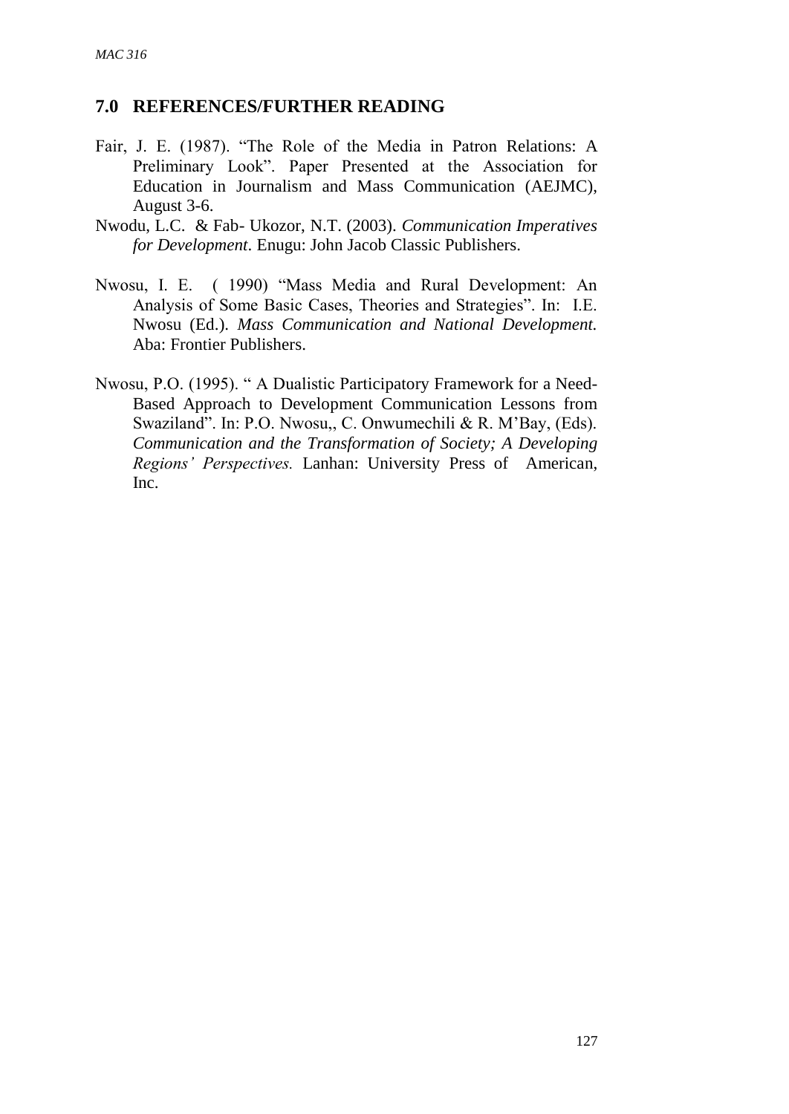### **7.0 REFERENCES/FURTHER READING**

- Fair, J. E. (1987). "The Role of the Media in Patron Relations: A Preliminary Look". Paper Presented at the Association for Education in Journalism and Mass Communication (AEJMC), August 3-6.
- Nwodu, L.C. & Fab- Ukozor, N.T. (2003). *Communication Imperatives for Development*. Enugu: John Jacob Classic Publishers.
- Nwosu, I. E. ( 1990) "Mass Media and Rural Development: An Analysis of Some Basic Cases, Theories and Strategies". In: I.E. Nwosu (Ed.). *Mass Communication and National Development.* Aba: Frontier Publishers.
- Nwosu, P.O. (1995). " A Dualistic Participatory Framework for a Need-Based Approach to Development Communication Lessons from Swaziland". In: P.O. Nwosu,, C. Onwumechili & R. M'Bay, (Eds). *Communication and the Transformation of Society; A Developing Regions' Perspectives.* Lanhan: University Press of American, Inc.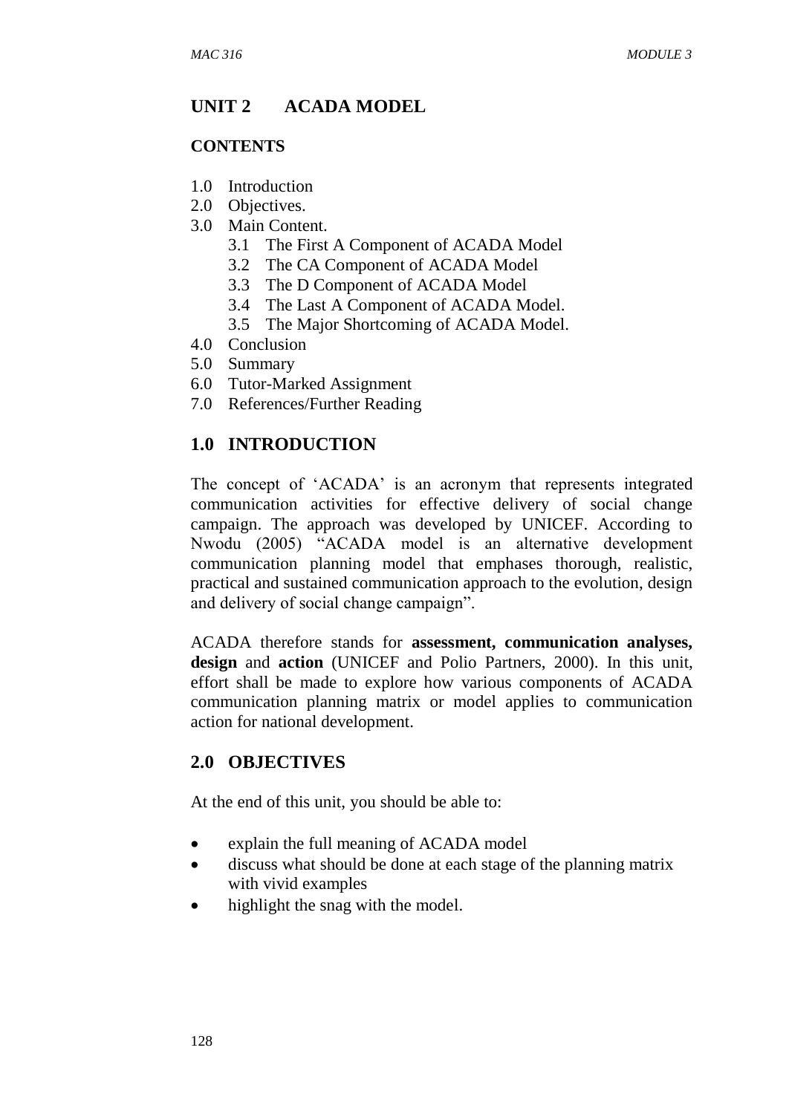### **UNIT 2 ACADA MODEL**

#### **CONTENTS**

- 1.0 Introduction
- 2.0 Objectives.
- 3.0 Main Content.
	- 3.1 The First A Component of ACADA Model
	- 3.2 The CA Component of ACADA Model
	- 3.3 The D Component of ACADA Model
	- 3.4 The Last A Component of ACADA Model.
	- 3.5 The Major Shortcoming of ACADA Model.
- 4.0 Conclusion
- 5.0 Summary
- 6.0 Tutor-Marked Assignment
- 7.0 References/Further Reading

### **1.0 INTRODUCTION**

The concept of 'ACADA' is an acronym that represents integrated communication activities for effective delivery of social change campaign. The approach was developed by UNICEF. According to Nwodu (2005) "ACADA model is an alternative development communication planning model that emphases thorough, realistic, practical and sustained communication approach to the evolution, design and delivery of social change campaign".

ACADA therefore stands for **assessment, communication analyses, design** and **action** (UNICEF and Polio Partners, 2000). In this unit, effort shall be made to explore how various components of ACADA communication planning matrix or model applies to communication action for national development.

## **2.0 OBJECTIVES**

At the end of this unit, you should be able to:

- explain the full meaning of ACADA model
- discuss what should be done at each stage of the planning matrix with vivid examples
- highlight the snag with the model.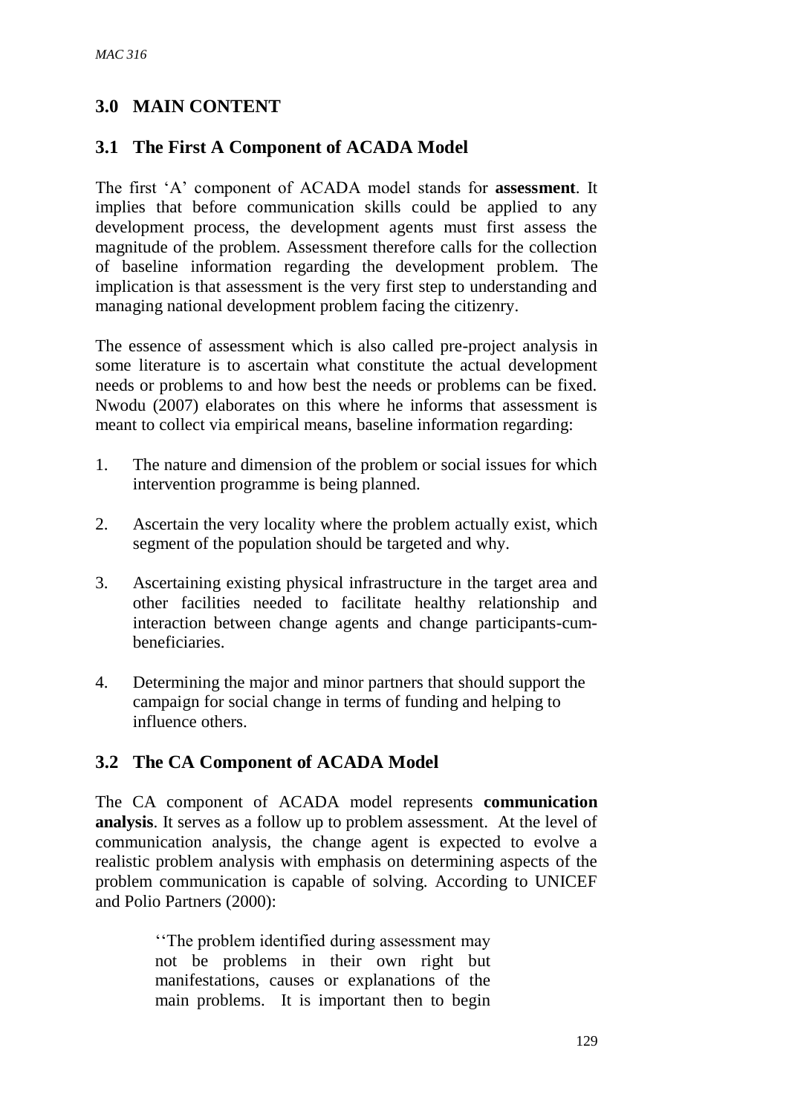# **3.0 MAIN CONTENT**

### **3.1 The First A Component of ACADA Model**

The first 'A' component of ACADA model stands for **assessment**. It implies that before communication skills could be applied to any development process, the development agents must first assess the magnitude of the problem. Assessment therefore calls for the collection of baseline information regarding the development problem. The implication is that assessment is the very first step to understanding and managing national development problem facing the citizenry.

The essence of assessment which is also called pre-project analysis in some literature is to ascertain what constitute the actual development needs or problems to and how best the needs or problems can be fixed. Nwodu (2007) elaborates on this where he informs that assessment is meant to collect via empirical means, baseline information regarding:

- 1. The nature and dimension of the problem or social issues for which intervention programme is being planned.
- 2. Ascertain the very locality where the problem actually exist, which segment of the population should be targeted and why.
- 3. Ascertaining existing physical infrastructure in the target area and other facilities needed to facilitate healthy relationship and interaction between change agents and change participants-cumbeneficiaries.
- 4. Determining the major and minor partners that should support the campaign for social change in terms of funding and helping to influence others.

### **3.2 The CA Component of ACADA Model**

The CA component of ACADA model represents **communication analysis**. It serves as a follow up to problem assessment. At the level of communication analysis, the change agent is expected to evolve a realistic problem analysis with emphasis on determining aspects of the problem communication is capable of solving. According to UNICEF and Polio Partners (2000):

> ''The problem identified during assessment may not be problems in their own right but manifestations, causes or explanations of the main problems. It is important then to begin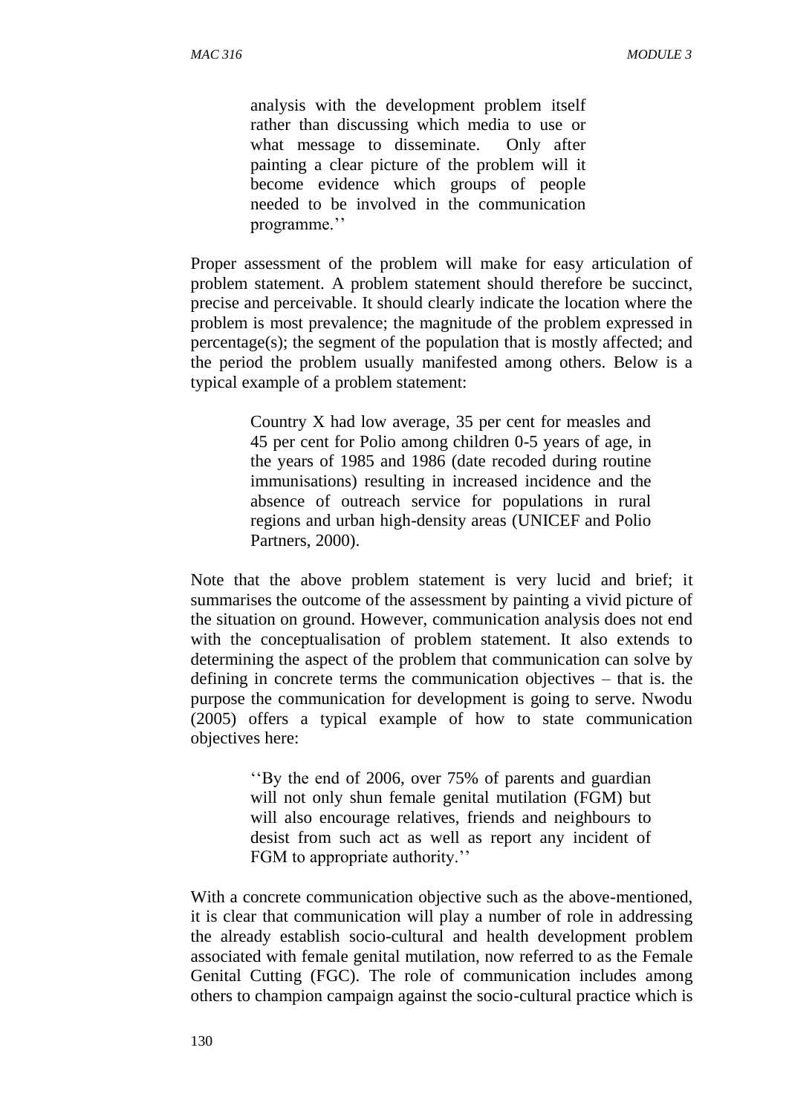analysis with the development problem itself rather than discussing which media to use or what message to disseminate. Only after painting a clear picture of the problem will it become evidence which groups of people needed to be involved in the communication programme.''

Proper assessment of the problem will make for easy articulation of problem statement. A problem statement should therefore be succinct, precise and perceivable. It should clearly indicate the location where the problem is most prevalence; the magnitude of the problem expressed in percentage(s); the segment of the population that is mostly affected; and the period the problem usually manifested among others. Below is a typical example of a problem statement:

> Country X had low average, 35 per cent for measles and 45 per cent for Polio among children 0-5 years of age, in the years of 1985 and 1986 (date recoded during routine immunisations) resulting in increased incidence and the absence of outreach service for populations in rural regions and urban high-density areas (UNICEF and Polio Partners, 2000).

Note that the above problem statement is very lucid and brief; it summarises the outcome of the assessment by painting a vivid picture of the situation on ground. However, communication analysis does not end with the conceptualisation of problem statement. It also extends to determining the aspect of the problem that communication can solve by defining in concrete terms the communication objectives – that is. the purpose the communication for development is going to serve. Nwodu (2005) offers a typical example of how to state communication objectives here:

> ''By the end of 2006, over 75% of parents and guardian will not only shun female genital mutilation (FGM) but will also encourage relatives, friends and neighbours to desist from such act as well as report any incident of FGM to appropriate authority.''

With a concrete communication objective such as the above-mentioned, it is clear that communication will play a number of role in addressing the already establish socio-cultural and health development problem associated with female genital mutilation, now referred to as the Female Genital Cutting (FGC). The role of communication includes among others to champion campaign against the socio-cultural practice which is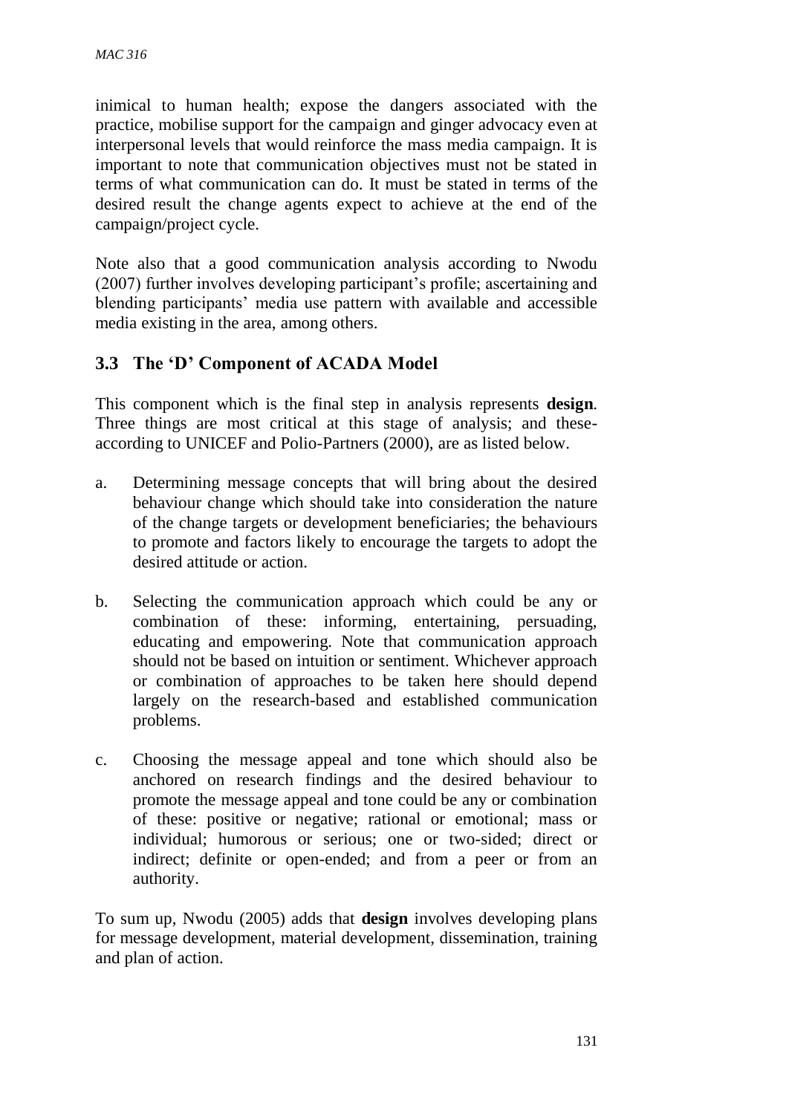inimical to human health; expose the dangers associated with the practice, mobilise support for the campaign and ginger advocacy even at interpersonal levels that would reinforce the mass media campaign. It is important to note that communication objectives must not be stated in terms of what communication can do. It must be stated in terms of the desired result the change agents expect to achieve at the end of the campaign/project cycle.

Note also that a good communication analysis according to Nwodu (2007) further involves developing participant's profile; ascertaining and blending participants' media use pattern with available and accessible media existing in the area, among others.

## **3.3 The 'D' Component of ACADA Model**

This component which is the final step in analysis represents **design**. Three things are most critical at this stage of analysis; and theseaccording to UNICEF and Polio-Partners (2000), are as listed below.

- a. Determining message concepts that will bring about the desired behaviour change which should take into consideration the nature of the change targets or development beneficiaries; the behaviours to promote and factors likely to encourage the targets to adopt the desired attitude or action.
- b. Selecting the communication approach which could be any or combination of these: informing, entertaining, persuading, educating and empowering. Note that communication approach should not be based on intuition or sentiment. Whichever approach or combination of approaches to be taken here should depend largely on the research-based and established communication problems.
- c. Choosing the message appeal and tone which should also be anchored on research findings and the desired behaviour to promote the message appeal and tone could be any or combination of these: positive or negative; rational or emotional; mass or individual; humorous or serious; one or two-sided; direct or indirect; definite or open-ended; and from a peer or from an authority.

To sum up, Nwodu (2005) adds that **design** involves developing plans for message development, material development, dissemination, training and plan of action.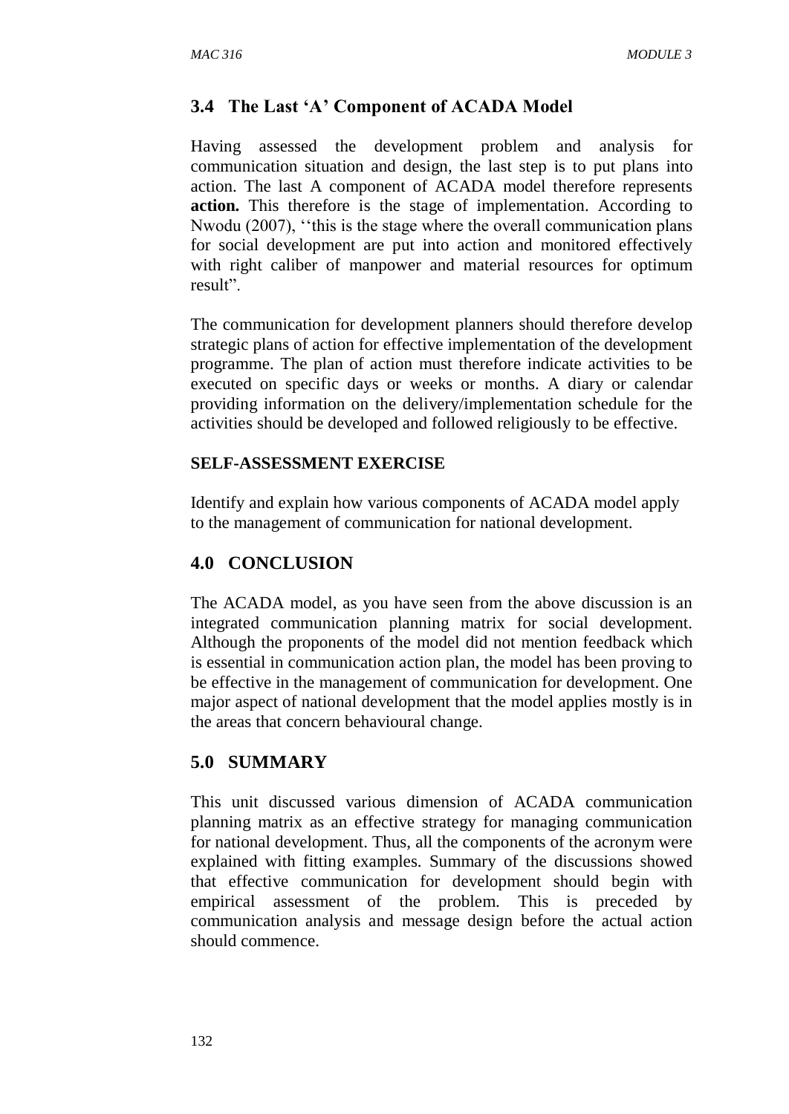# **3.4 The Last 'A' Component of ACADA Model**

Having assessed the development problem and analysis for communication situation and design, the last step is to put plans into action. The last A component of ACADA model therefore represents **action.** This therefore is the stage of implementation. According to Nwodu (2007), ''this is the stage where the overall communication plans for social development are put into action and monitored effectively with right caliber of manpower and material resources for optimum result".

The communication for development planners should therefore develop strategic plans of action for effective implementation of the development programme. The plan of action must therefore indicate activities to be executed on specific days or weeks or months. A diary or calendar providing information on the delivery/implementation schedule for the activities should be developed and followed religiously to be effective.

## **SELF-ASSESSMENT EXERCISE**

Identify and explain how various components of ACADA model apply to the management of communication for national development.

# **4.0 CONCLUSION**

The ACADA model, as you have seen from the above discussion is an integrated communication planning matrix for social development. Although the proponents of the model did not mention feedback which is essential in communication action plan, the model has been proving to be effective in the management of communication for development. One major aspect of national development that the model applies mostly is in the areas that concern behavioural change.

# **5.0 SUMMARY**

This unit discussed various dimension of ACADA communication planning matrix as an effective strategy for managing communication for national development. Thus, all the components of the acronym were explained with fitting examples. Summary of the discussions showed that effective communication for development should begin with empirical assessment of the problem. This is preceded by communication analysis and message design before the actual action should commence.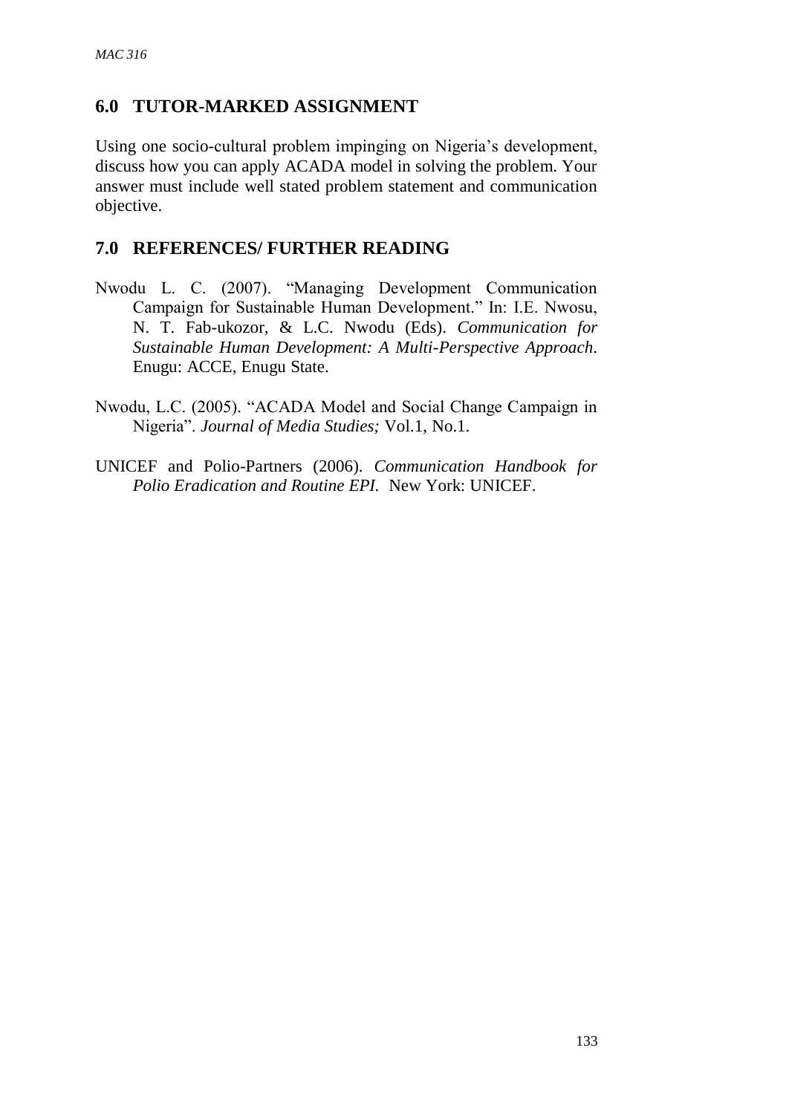## **6.0 TUTOR-MARKED ASSIGNMENT**

Using one socio-cultural problem impinging on Nigeria's development, discuss how you can apply ACADA model in solving the problem. Your answer must include well stated problem statement and communication objective.

### **7.0 REFERENCES/ FURTHER READING**

- Nwodu L. C. (2007). "Managing Development Communication Campaign for Sustainable Human Development." In: I.E. Nwosu, N. T. Fab-ukozor, & L.C. Nwodu (Eds). *Communication for Sustainable Human Development: A Multi-Perspective Approach*. Enugu: ACCE, Enugu State.
- Nwodu, L.C. (2005). "ACADA Model and Social Change Campaign in Nigeria". *Journal of Media Studies;* Vol.1, No.1.
- UNICEF and Polio-Partners (2006). *Communication Handbook for Polio Eradication and Routine EPI.* New York: UNICEF.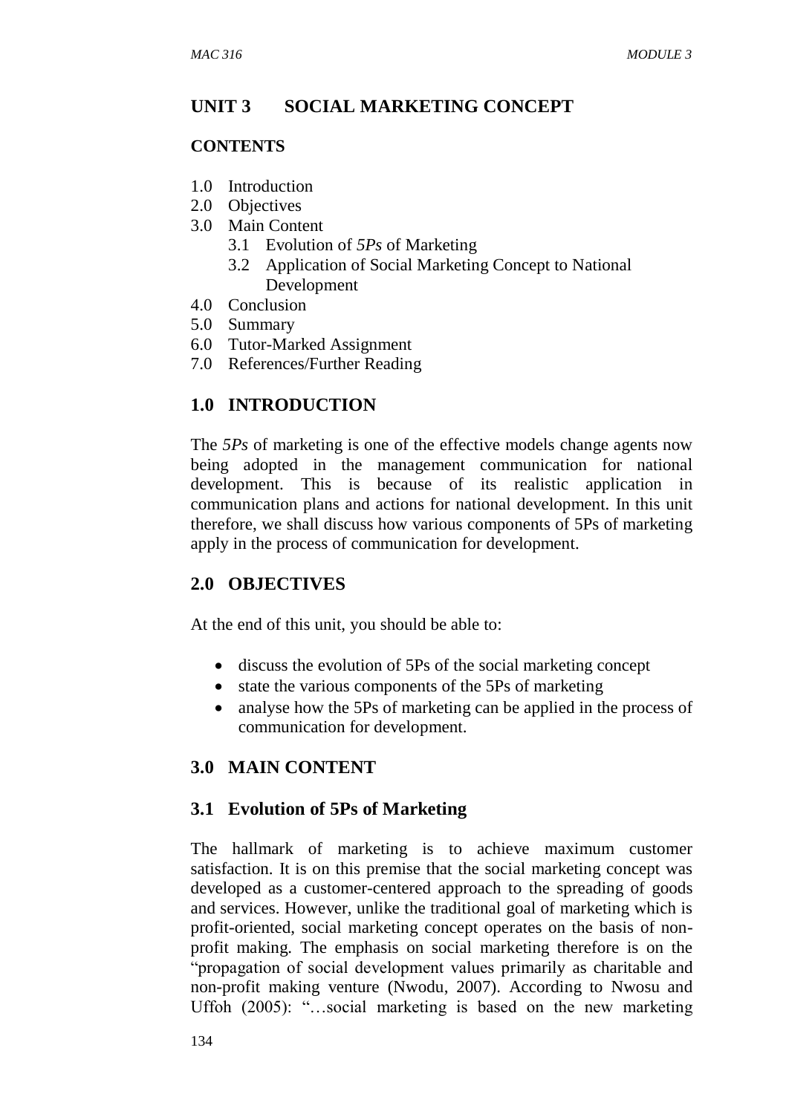### **UNIT 3 SOCIAL MARKETING CONCEPT**

### **CONTENTS**

- 1.0 Introduction
- 2.0 Objectives
- 3.0 Main Content
	- 3.1 Evolution of *5Ps* of Marketing
	- 3.2 Application of Social Marketing Concept to National Development
- 4.0 Conclusion
- 5.0 Summary
- 6.0 Tutor-Marked Assignment
- 7.0 References/Further Reading

## **1.0 INTRODUCTION**

The *5Ps* of marketing is one of the effective models change agents now being adopted in the management communication for national development. This is because of its realistic application in communication plans and actions for national development. In this unit therefore, we shall discuss how various components of 5Ps of marketing apply in the process of communication for development.

## **2.0 OBJECTIVES**

At the end of this unit, you should be able to:

- discuss the evolution of 5Ps of the social marketing concept
- state the various components of the 5Ps of marketing
- analyse how the 5Ps of marketing can be applied in the process of communication for development.

## **3.0 MAIN CONTENT**

### **3.1 Evolution of 5Ps of Marketing**

The hallmark of marketing is to achieve maximum customer satisfaction. It is on this premise that the social marketing concept was developed as a customer-centered approach to the spreading of goods and services. However, unlike the traditional goal of marketing which is profit-oriented, social marketing concept operates on the basis of nonprofit making. The emphasis on social marketing therefore is on the "propagation of social development values primarily as charitable and non-profit making venture (Nwodu, 2007). According to Nwosu and Uffoh (2005): "…social marketing is based on the new marketing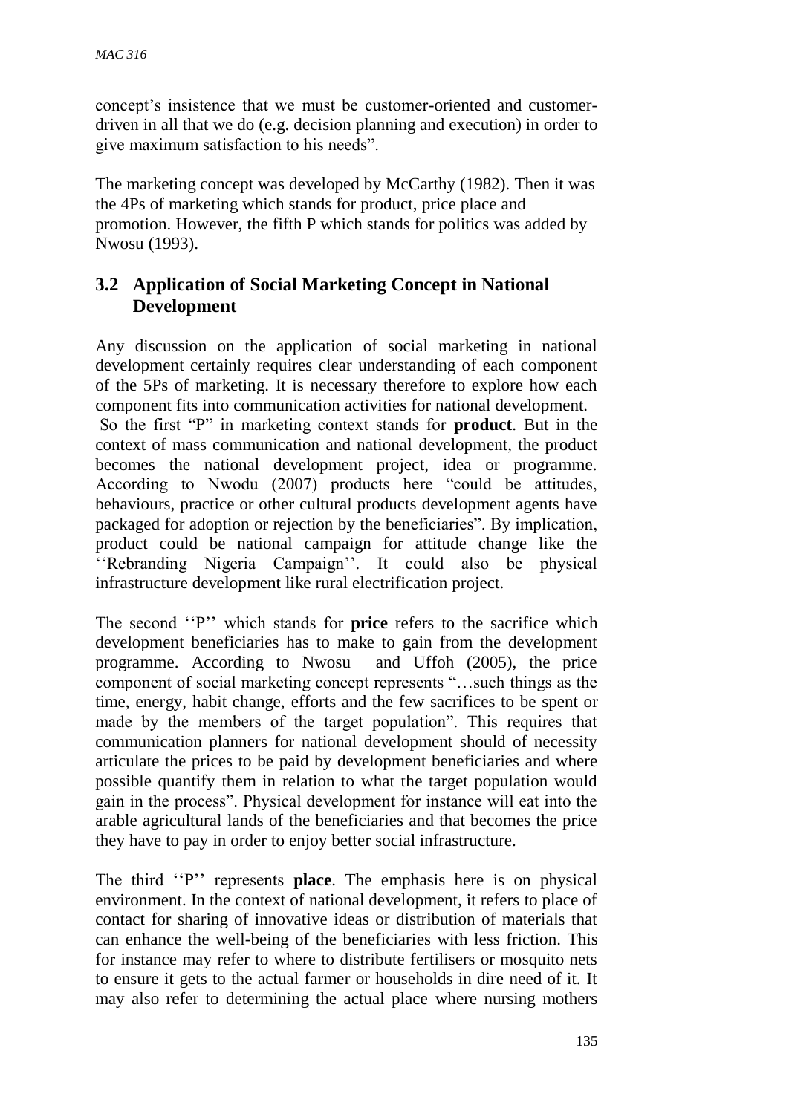concept's insistence that we must be customer-oriented and customerdriven in all that we do (e.g. decision planning and execution) in order to give maximum satisfaction to his needs".

The marketing concept was developed by McCarthy (1982). Then it was the 4Ps of marketing which stands for product, price place and promotion. However, the fifth P which stands for politics was added by Nwosu (1993).

# **3.2 Application of Social Marketing Concept in National Development**

Any discussion on the application of social marketing in national development certainly requires clear understanding of each component of the 5Ps of marketing. It is necessary therefore to explore how each component fits into communication activities for national development. So the first "P" in marketing context stands for **product**. But in the context of mass communication and national development, the product becomes the national development project, idea or programme. According to Nwodu (2007) products here "could be attitudes, behaviours, practice or other cultural products development agents have packaged for adoption or rejection by the beneficiaries". By implication, product could be national campaign for attitude change like the ''Rebranding Nigeria Campaign''. It could also be physical infrastructure development like rural electrification project.

The second ''P'' which stands for **price** refers to the sacrifice which development beneficiaries has to make to gain from the development programme. According to Nwosu and Uffoh (2005), the price component of social marketing concept represents "…such things as the time, energy, habit change, efforts and the few sacrifices to be spent or made by the members of the target population". This requires that communication planners for national development should of necessity articulate the prices to be paid by development beneficiaries and where possible quantify them in relation to what the target population would gain in the process". Physical development for instance will eat into the arable agricultural lands of the beneficiaries and that becomes the price they have to pay in order to enjoy better social infrastructure.

The third ''P'' represents **place**. The emphasis here is on physical environment. In the context of national development, it refers to place of contact for sharing of innovative ideas or distribution of materials that can enhance the well-being of the beneficiaries with less friction. This for instance may refer to where to distribute fertilisers or mosquito nets to ensure it gets to the actual farmer or households in dire need of it. It may also refer to determining the actual place where nursing mothers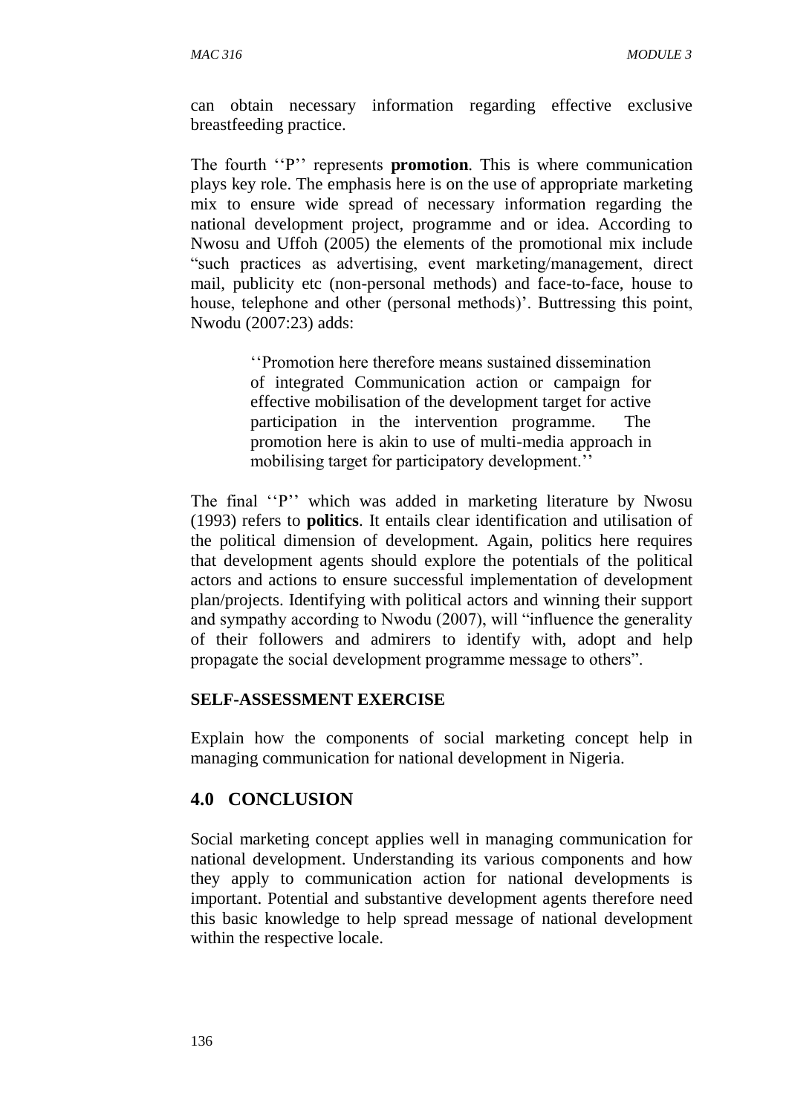can obtain necessary information regarding effective exclusive breastfeeding practice.

The fourth ''P'' represents **promotion**. This is where communication plays key role. The emphasis here is on the use of appropriate marketing mix to ensure wide spread of necessary information regarding the national development project, programme and or idea. According to Nwosu and Uffoh (2005) the elements of the promotional mix include "such practices as advertising, event marketing/management, direct mail, publicity etc (non-personal methods) and face-to-face, house to house, telephone and other (personal methods)'. Buttressing this point, Nwodu (2007:23) adds:

> ''Promotion here therefore means sustained dissemination of integrated Communication action or campaign for effective mobilisation of the development target for active participation in the intervention programme. The promotion here is akin to use of multi-media approach in mobilising target for participatory development.''

The final "P" which was added in marketing literature by Nwosu (1993) refers to **politics**. It entails clear identification and utilisation of the political dimension of development. Again, politics here requires that development agents should explore the potentials of the political actors and actions to ensure successful implementation of development plan/projects. Identifying with political actors and winning their support and sympathy according to Nwodu (2007), will "influence the generality of their followers and admirers to identify with, adopt and help propagate the social development programme message to others".

#### **SELF-ASSESSMENT EXERCISE**

Explain how the components of social marketing concept help in managing communication for national development in Nigeria.

## **4.0 CONCLUSION**

Social marketing concept applies well in managing communication for national development. Understanding its various components and how they apply to communication action for national developments is important. Potential and substantive development agents therefore need this basic knowledge to help spread message of national development within the respective locale.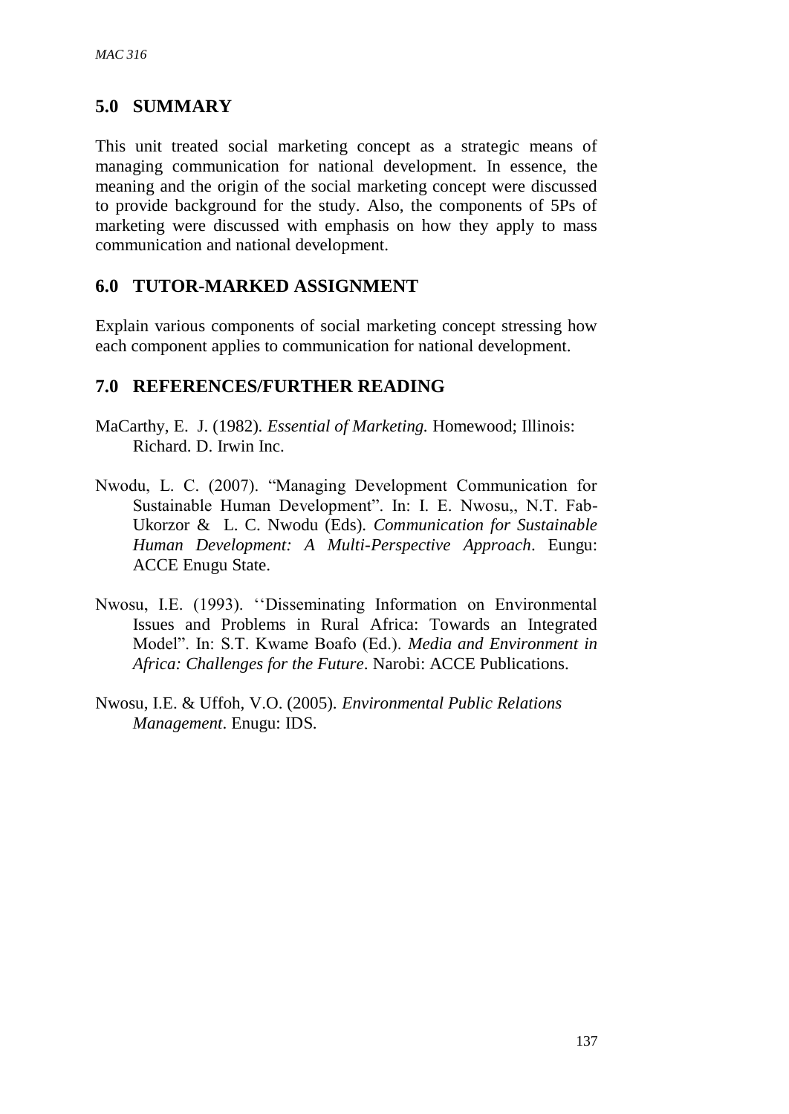## **5.0 SUMMARY**

This unit treated social marketing concept as a strategic means of managing communication for national development. In essence, the meaning and the origin of the social marketing concept were discussed to provide background for the study. Also, the components of 5Ps of marketing were discussed with emphasis on how they apply to mass communication and national development.

### **6.0 TUTOR-MARKED ASSIGNMENT**

Explain various components of social marketing concept stressing how each component applies to communication for national development.

### **7.0 REFERENCES/FURTHER READING**

- MaCarthy, E. J. (1982). *Essential of Marketing.* Homewood; Illinois: Richard. D. Irwin Inc.
- Nwodu, L. C. (2007). "Managing Development Communication for Sustainable Human Development". In: I. E. Nwosu,, N.T. Fab-Ukorzor & L. C. Nwodu (Eds). *Communication for Sustainable Human Development: A Multi-Perspective Approach*. Eungu: ACCE Enugu State.
- Nwosu, I.E. (1993). ''Disseminating Information on Environmental Issues and Problems in Rural Africa: Towards an Integrated Model". In: S.T. Kwame Boafo (Ed.). *Media and Environment in Africa: Challenges for the Future*. Narobi: ACCE Publications.
- Nwosu, I.E. & Uffoh, V.O. (2005). *Environmental Public Relations Management*. Enugu: IDS.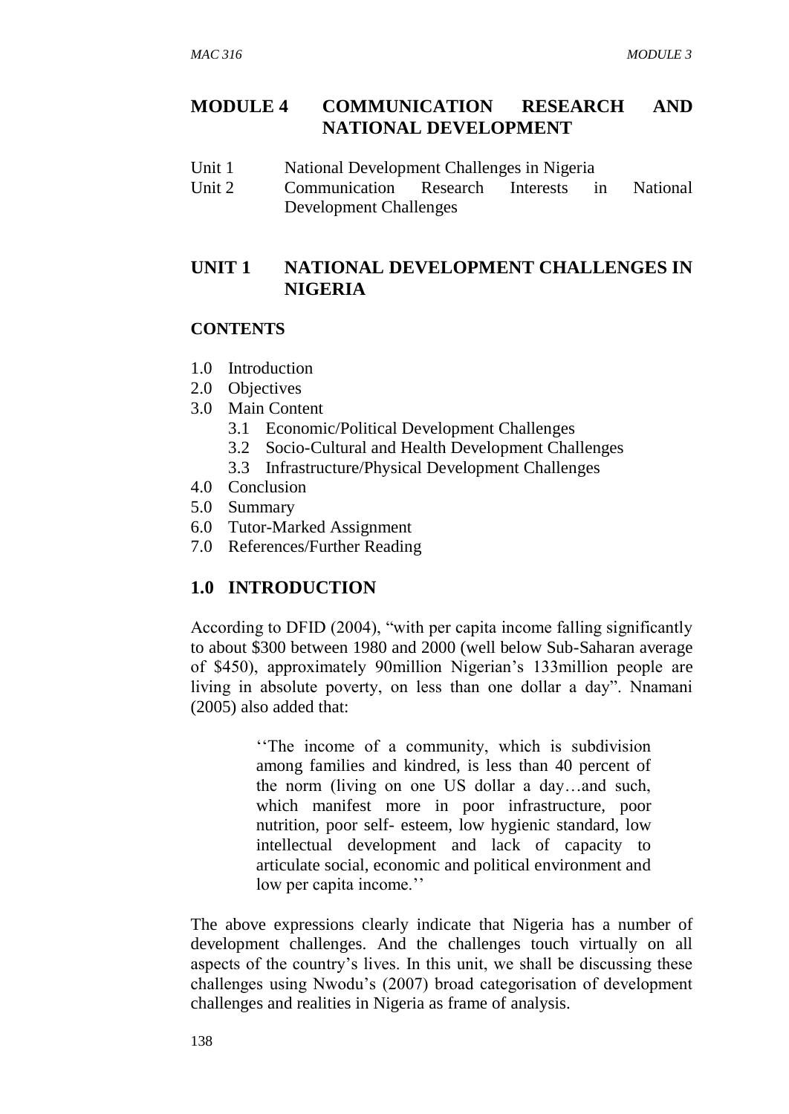### **MODULE 4 COMMUNICATION RESEARCH AND NATIONAL DEVELOPMENT**

- Unit 1 National Development Challenges in Nigeria
- Unit 2 Communication Research Interests in National Development Challenges

# **UNIT 1 NATIONAL DEVELOPMENT CHALLENGES IN NIGERIA**

#### **CONTENTS**

- 1.0 Introduction
- 2.0 Objectives
- 3.0 Main Content
	- 3.1 Economic/Political Development Challenges
	- 3.2 Socio-Cultural and Health Development Challenges
	- 3.3 Infrastructure/Physical Development Challenges
- 4.0 Conclusion
- 5.0 Summary
- 6.0 Tutor-Marked Assignment
- 7.0 References/Further Reading

### **1.0 INTRODUCTION**

According to DFID (2004), "with per capita income falling significantly to about \$300 between 1980 and 2000 (well below Sub-Saharan average of \$450), approximately 90million Nigerian's 133million people are living in absolute poverty, on less than one dollar a day". Nnamani (2005) also added that:

> ''The income of a community, which is subdivision among families and kindred, is less than 40 percent of the norm (living on one US dollar a day…and such, which manifest more in poor infrastructure, poor nutrition, poor self- esteem, low hygienic standard, low intellectual development and lack of capacity to articulate social, economic and political environment and low per capita income.''

The above expressions clearly indicate that Nigeria has a number of development challenges. And the challenges touch virtually on all aspects of the country's lives. In this unit, we shall be discussing these challenges using Nwodu's (2007) broad categorisation of development challenges and realities in Nigeria as frame of analysis.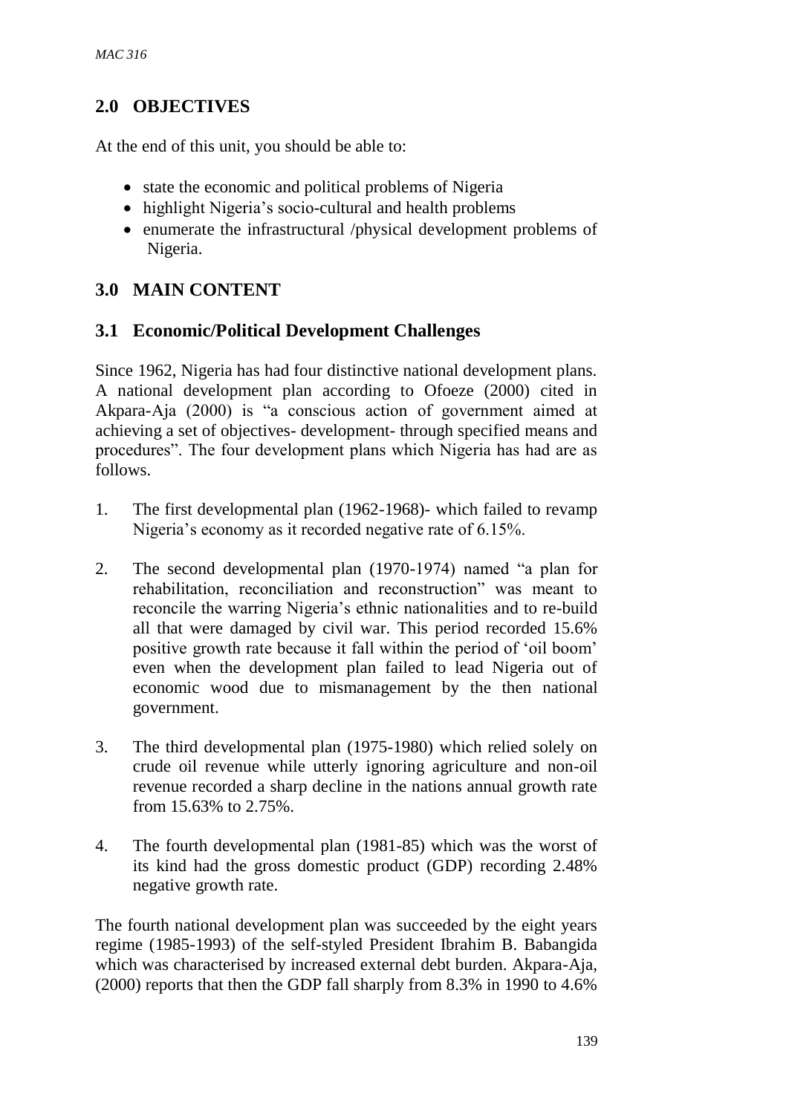## **2.0 OBJECTIVES**

At the end of this unit, you should be able to:

- state the economic and political problems of Nigeria
- highlight Nigeria's socio-cultural and health problems
- enumerate the infrastructural /physical development problems of Nigeria.

# **3.0 MAIN CONTENT**

## **3.1 Economic/Political Development Challenges**

Since 1962, Nigeria has had four distinctive national development plans. A national development plan according to Ofoeze (2000) cited in Akpara-Aja (2000) is "a conscious action of government aimed at achieving a set of objectives- development- through specified means and procedures". The four development plans which Nigeria has had are as follows.

- 1. The first developmental plan (1962-1968)- which failed to revamp Nigeria's economy as it recorded negative rate of 6.15%.
- 2. The second developmental plan (1970-1974) named "a plan for rehabilitation, reconciliation and reconstruction" was meant to reconcile the warring Nigeria's ethnic nationalities and to re-build all that were damaged by civil war. This period recorded 15.6% positive growth rate because it fall within the period of 'oil boom' even when the development plan failed to lead Nigeria out of economic wood due to mismanagement by the then national government.
- 3. The third developmental plan (1975-1980) which relied solely on crude oil revenue while utterly ignoring agriculture and non-oil revenue recorded a sharp decline in the nations annual growth rate from 15.63% to 2.75%.
- 4. The fourth developmental plan (1981-85) which was the worst of its kind had the gross domestic product (GDP) recording 2.48% negative growth rate.

The fourth national development plan was succeeded by the eight years regime (1985-1993) of the self-styled President Ibrahim B. Babangida which was characterised by increased external debt burden. Akpara-Aja, (2000) reports that then the GDP fall sharply from 8.3% in 1990 to 4.6%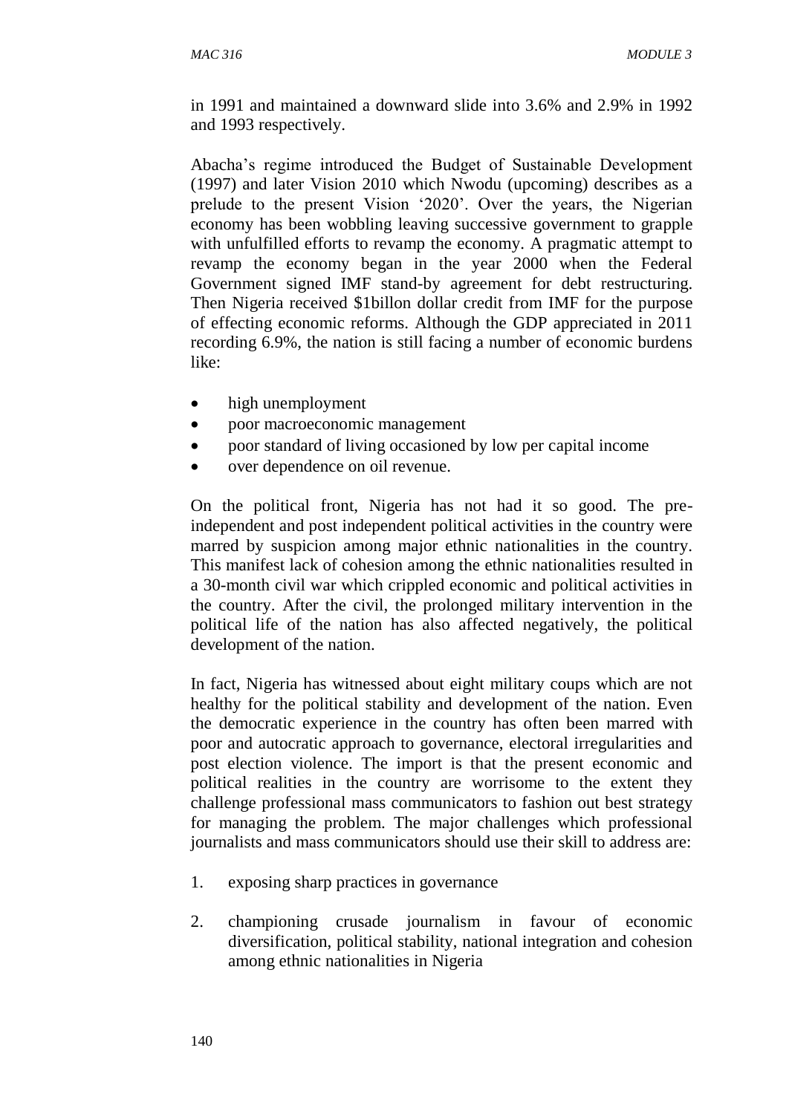in 1991 and maintained a downward slide into 3.6% and 2.9% in 1992 and 1993 respectively.

Abacha's regime introduced the Budget of Sustainable Development (1997) and later Vision 2010 which Nwodu (upcoming) describes as a prelude to the present Vision '2020'. Over the years, the Nigerian economy has been wobbling leaving successive government to grapple with unfulfilled efforts to revamp the economy. A pragmatic attempt to revamp the economy began in the year 2000 when the Federal Government signed IMF stand-by agreement for debt restructuring. Then Nigeria received \$1billon dollar credit from IMF for the purpose of effecting economic reforms. Although the GDP appreciated in 2011 recording 6.9%, the nation is still facing a number of economic burdens like:

- high unemployment
- poor macroeconomic management
- poor standard of living occasioned by low per capital income
- over dependence on oil revenue.

On the political front, Nigeria has not had it so good. The preindependent and post independent political activities in the country were marred by suspicion among major ethnic nationalities in the country. This manifest lack of cohesion among the ethnic nationalities resulted in a 30-month civil war which crippled economic and political activities in the country. After the civil, the prolonged military intervention in the political life of the nation has also affected negatively, the political development of the nation.

In fact, Nigeria has witnessed about eight military coups which are not healthy for the political stability and development of the nation. Even the democratic experience in the country has often been marred with poor and autocratic approach to governance, electoral irregularities and post election violence. The import is that the present economic and political realities in the country are worrisome to the extent they challenge professional mass communicators to fashion out best strategy for managing the problem. The major challenges which professional journalists and mass communicators should use their skill to address are:

- 1. exposing sharp practices in governance
- 2. championing crusade journalism in favour of economic diversification, political stability, national integration and cohesion among ethnic nationalities in Nigeria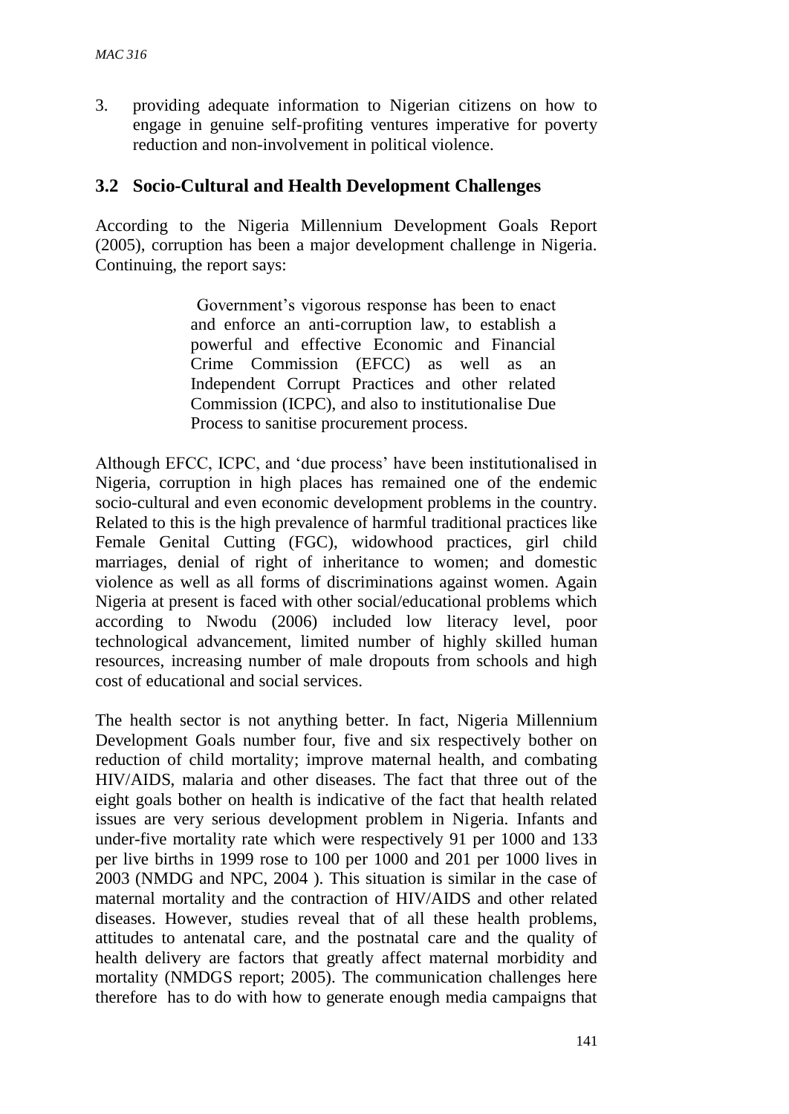3. providing adequate information to Nigerian citizens on how to engage in genuine self-profiting ventures imperative for poverty reduction and non-involvement in political violence.

### **3.2 Socio-Cultural and Health Development Challenges**

According to the Nigeria Millennium Development Goals Report (2005), corruption has been a major development challenge in Nigeria. Continuing, the report says:

> Government's vigorous response has been to enact and enforce an anti-corruption law, to establish a powerful and effective Economic and Financial Crime Commission (EFCC) as well as an Independent Corrupt Practices and other related Commission (ICPC), and also to institutionalise Due Process to sanitise procurement process.

Although EFCC, ICPC, and 'due process' have been institutionalised in Nigeria, corruption in high places has remained one of the endemic socio-cultural and even economic development problems in the country. Related to this is the high prevalence of harmful traditional practices like Female Genital Cutting (FGC), widowhood practices, girl child marriages, denial of right of inheritance to women; and domestic violence as well as all forms of discriminations against women. Again Nigeria at present is faced with other social/educational problems which according to Nwodu (2006) included low literacy level, poor technological advancement, limited number of highly skilled human resources, increasing number of male dropouts from schools and high cost of educational and social services.

The health sector is not anything better. In fact, Nigeria Millennium Development Goals number four, five and six respectively bother on reduction of child mortality; improve maternal health, and combating HIV/AIDS, malaria and other diseases. The fact that three out of the eight goals bother on health is indicative of the fact that health related issues are very serious development problem in Nigeria. Infants and under-five mortality rate which were respectively 91 per 1000 and 133 per live births in 1999 rose to 100 per 1000 and 201 per 1000 lives in 2003 (NMDG and NPC, 2004 ). This situation is similar in the case of maternal mortality and the contraction of HIV/AIDS and other related diseases. However, studies reveal that of all these health problems, attitudes to antenatal care, and the postnatal care and the quality of health delivery are factors that greatly affect maternal morbidity and mortality (NMDGS report; 2005). The communication challenges here therefore has to do with how to generate enough media campaigns that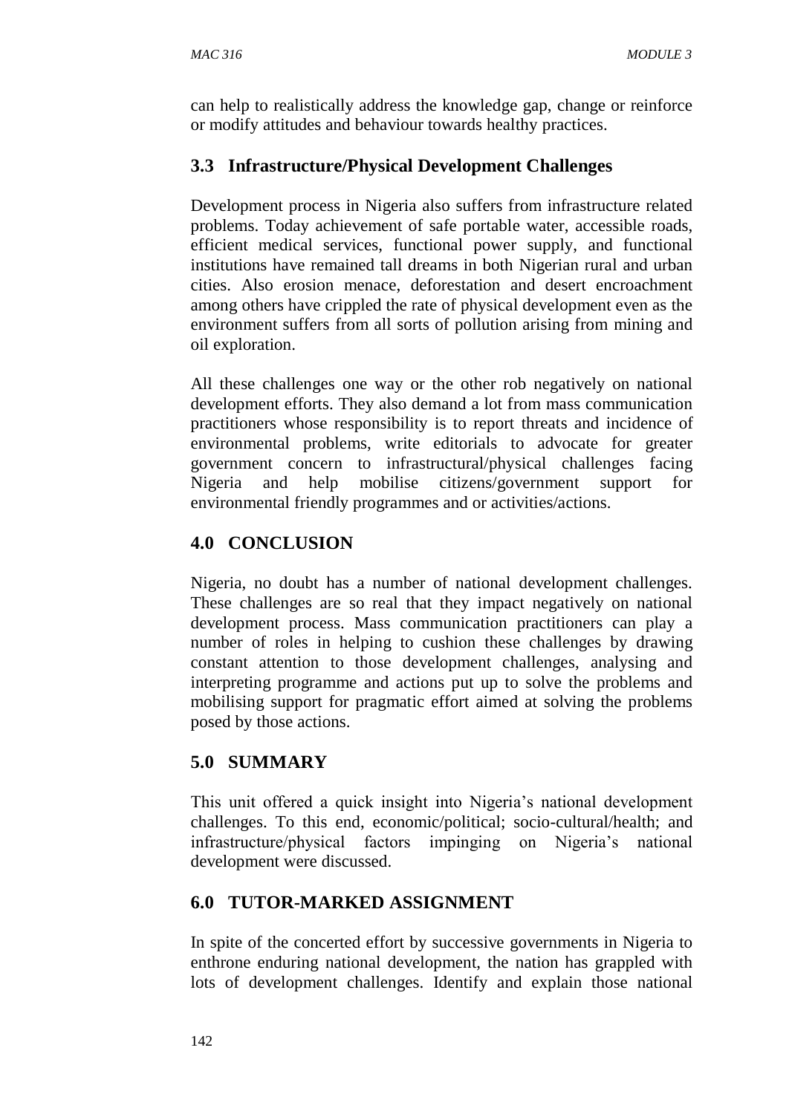can help to realistically address the knowledge gap, change or reinforce or modify attitudes and behaviour towards healthy practices.

# **3.3 Infrastructure/Physical Development Challenges**

Development process in Nigeria also suffers from infrastructure related problems. Today achievement of safe portable water, accessible roads, efficient medical services, functional power supply, and functional institutions have remained tall dreams in both Nigerian rural and urban cities. Also erosion menace, deforestation and desert encroachment among others have crippled the rate of physical development even as the environment suffers from all sorts of pollution arising from mining and oil exploration.

All these challenges one way or the other rob negatively on national development efforts. They also demand a lot from mass communication practitioners whose responsibility is to report threats and incidence of environmental problems, write editorials to advocate for greater government concern to infrastructural/physical challenges facing Nigeria and help mobilise citizens/government support for environmental friendly programmes and or activities/actions.

## **4.0 CONCLUSION**

Nigeria, no doubt has a number of national development challenges. These challenges are so real that they impact negatively on national development process. Mass communication practitioners can play a number of roles in helping to cushion these challenges by drawing constant attention to those development challenges, analysing and interpreting programme and actions put up to solve the problems and mobilising support for pragmatic effort aimed at solving the problems posed by those actions.

# **5.0 SUMMARY**

This unit offered a quick insight into Nigeria's national development challenges. To this end, economic/political; socio-cultural/health; and infrastructure/physical factors impinging on Nigeria's national development were discussed.

# **6.0 TUTOR-MARKED ASSIGNMENT**

In spite of the concerted effort by successive governments in Nigeria to enthrone enduring national development, the nation has grappled with lots of development challenges. Identify and explain those national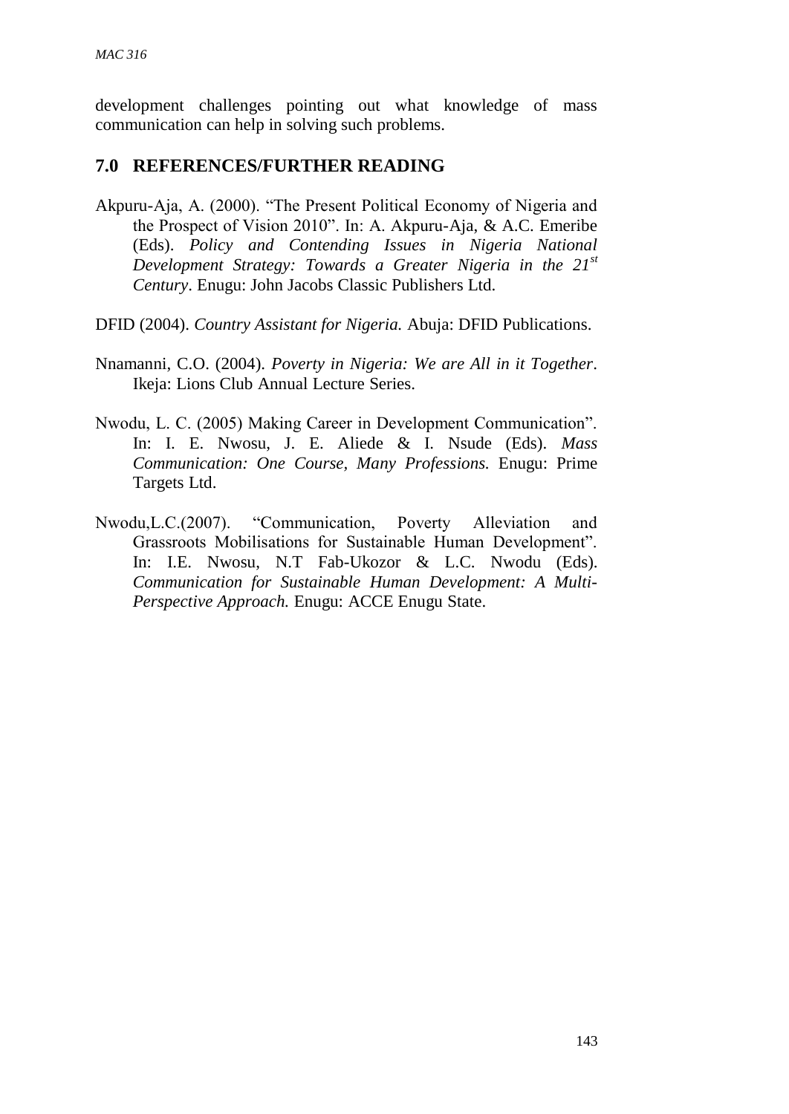development challenges pointing out what knowledge of mass communication can help in solving such problems.

### **7.0 REFERENCES/FURTHER READING**

- Akpuru-Aja, A. (2000). "The Present Political Economy of Nigeria and the Prospect of Vision 2010". In: A. Akpuru-Aja, & A.C. Emeribe (Eds). *Policy and Contending Issues in Nigeria National Development Strategy: Towards a Greater Nigeria in the 21st Century*. Enugu: John Jacobs Classic Publishers Ltd.
- DFID (2004). *Country Assistant for Nigeria.* Abuja: DFID Publications.
- Nnamanni, C.O. (2004). *Poverty in Nigeria: We are All in it Together*. Ikeja: Lions Club Annual Lecture Series.
- Nwodu, L. C. (2005) Making Career in Development Communication". In: I. E. Nwosu, J. E. Aliede & I. Nsude (Eds). *Mass Communication: One Course, Many Professions.* Enugu: Prime Targets Ltd.
- Nwodu,L.C.(2007). "Communication, Poverty Alleviation and Grassroots Mobilisations for Sustainable Human Development". In: I.E. Nwosu, N.T Fab-Ukozor & L.C. Nwodu (Eds). *Communication for Sustainable Human Development: A Multi-Perspective Approach.* Enugu: ACCE Enugu State.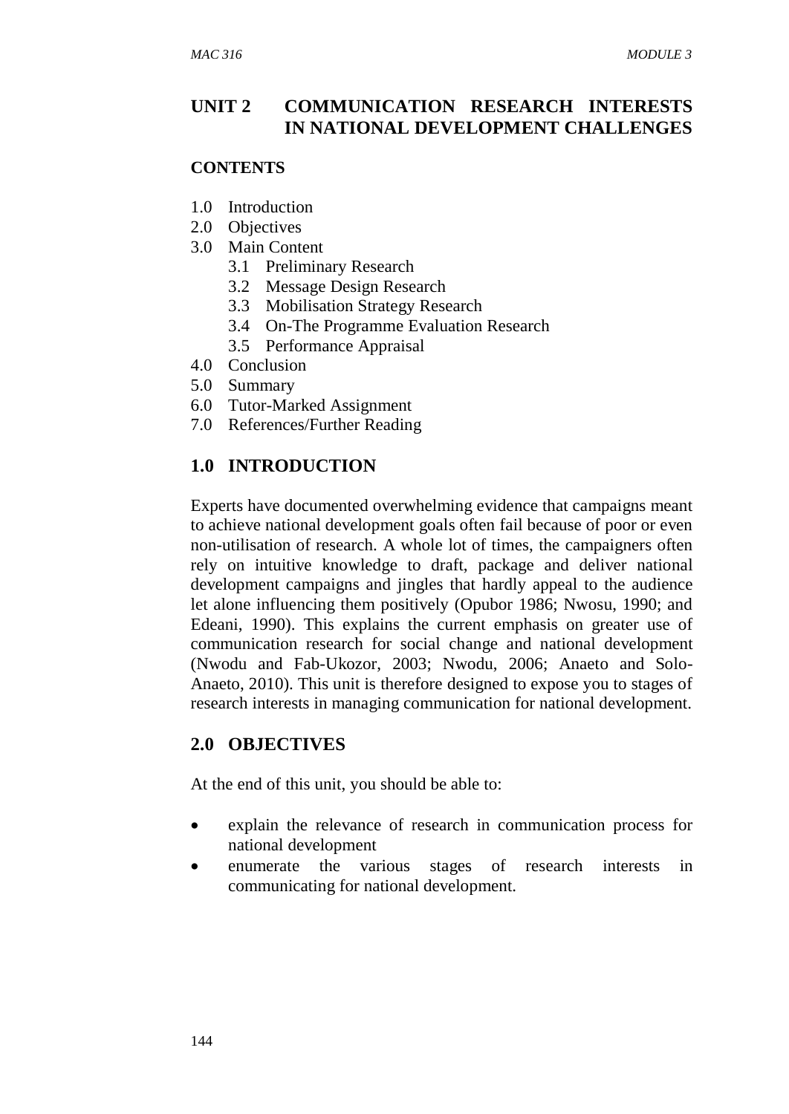### **UNIT 2 COMMUNICATION RESEARCH INTERESTS IN NATIONAL DEVELOPMENT CHALLENGES**

#### **CONTENTS**

- 1.0 Introduction
- 2.0 Objectives
- 3.0 Main Content
	- 3.1 Preliminary Research
	- 3.2 Message Design Research
	- 3.3 Mobilisation Strategy Research
	- 3.4 On-The Programme Evaluation Research
	- 3.5 Performance Appraisal
- 4.0 Conclusion
- 5.0 Summary
- 6.0 Tutor-Marked Assignment
- 7.0 References/Further Reading

### **1.0 INTRODUCTION**

Experts have documented overwhelming evidence that campaigns meant to achieve national development goals often fail because of poor or even non-utilisation of research. A whole lot of times, the campaigners often rely on intuitive knowledge to draft, package and deliver national development campaigns and jingles that hardly appeal to the audience let alone influencing them positively (Opubor 1986; Nwosu, 1990; and Edeani, 1990). This explains the current emphasis on greater use of communication research for social change and national development (Nwodu and Fab-Ukozor, 2003; Nwodu, 2006; Anaeto and Solo-Anaeto, 2010). This unit is therefore designed to expose you to stages of research interests in managing communication for national development.

#### **2.0 OBJECTIVES**

At the end of this unit, you should be able to:

- explain the relevance of research in communication process for national development
- enumerate the various stages of research interests in communicating for national development.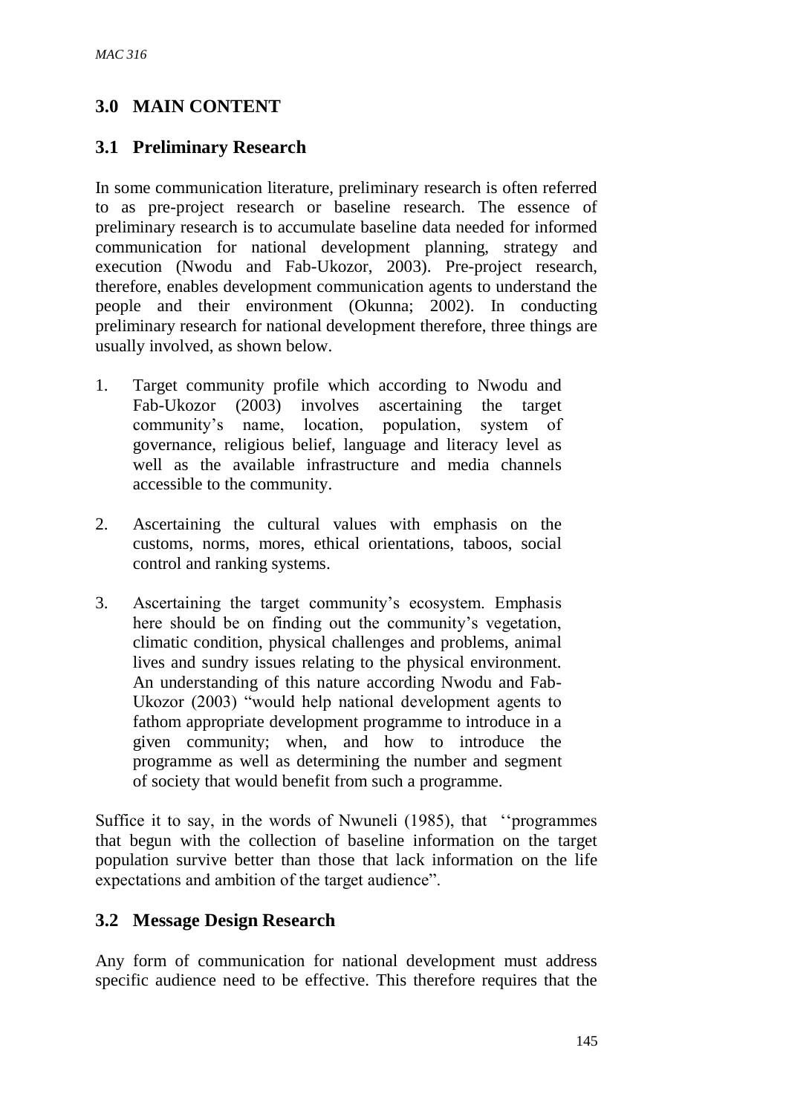# **3.0 MAIN CONTENT**

## **3.1 Preliminary Research**

In some communication literature, preliminary research is often referred to as pre-project research or baseline research. The essence of preliminary research is to accumulate baseline data needed for informed communication for national development planning, strategy and execution (Nwodu and Fab-Ukozor, 2003). Pre-project research, therefore, enables development communication agents to understand the people and their environment (Okunna; 2002). In conducting preliminary research for national development therefore, three things are usually involved, as shown below.

- 1. Target community profile which according to Nwodu and Fab-Ukozor (2003) involves ascertaining the target community's name, location, population, system of governance, religious belief, language and literacy level as well as the available infrastructure and media channels accessible to the community.
- 2. Ascertaining the cultural values with emphasis on the customs, norms, mores, ethical orientations, taboos, social control and ranking systems.
- 3. Ascertaining the target community's ecosystem. Emphasis here should be on finding out the community's vegetation, climatic condition, physical challenges and problems, animal lives and sundry issues relating to the physical environment. An understanding of this nature according Nwodu and Fab-Ukozor (2003) "would help national development agents to fathom appropriate development programme to introduce in a given community; when, and how to introduce the programme as well as determining the number and segment of society that would benefit from such a programme.

Suffice it to say, in the words of Nwuneli (1985), that ''programmes that begun with the collection of baseline information on the target population survive better than those that lack information on the life expectations and ambition of the target audience".

#### **3.2 Message Design Research**

Any form of communication for national development must address specific audience need to be effective. This therefore requires that the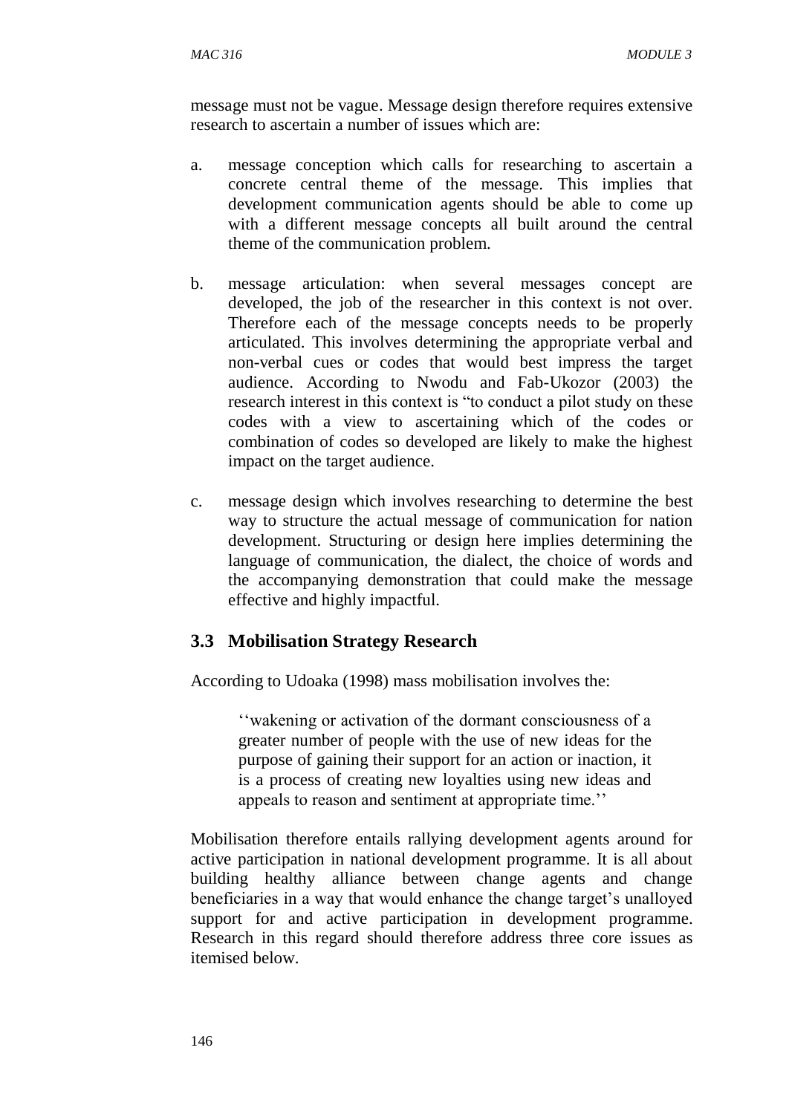message must not be vague. Message design therefore requires extensive research to ascertain a number of issues which are:

- a. message conception which calls for researching to ascertain a concrete central theme of the message. This implies that development communication agents should be able to come up with a different message concepts all built around the central theme of the communication problem.
- b. message articulation: when several messages concept are developed, the job of the researcher in this context is not over. Therefore each of the message concepts needs to be properly articulated. This involves determining the appropriate verbal and non-verbal cues or codes that would best impress the target audience. According to Nwodu and Fab-Ukozor (2003) the research interest in this context is "to conduct a pilot study on these codes with a view to ascertaining which of the codes or combination of codes so developed are likely to make the highest impact on the target audience.
- c. message design which involves researching to determine the best way to structure the actual message of communication for nation development. Structuring or design here implies determining the language of communication, the dialect, the choice of words and the accompanying demonstration that could make the message effective and highly impactful.

## **3.3 Mobilisation Strategy Research**

According to Udoaka (1998) mass mobilisation involves the:

''wakening or activation of the dormant consciousness of a greater number of people with the use of new ideas for the purpose of gaining their support for an action or inaction, it is a process of creating new loyalties using new ideas and appeals to reason and sentiment at appropriate time.''

Mobilisation therefore entails rallying development agents around for active participation in national development programme. It is all about building healthy alliance between change agents and change beneficiaries in a way that would enhance the change target's unalloyed support for and active participation in development programme. Research in this regard should therefore address three core issues as itemised below.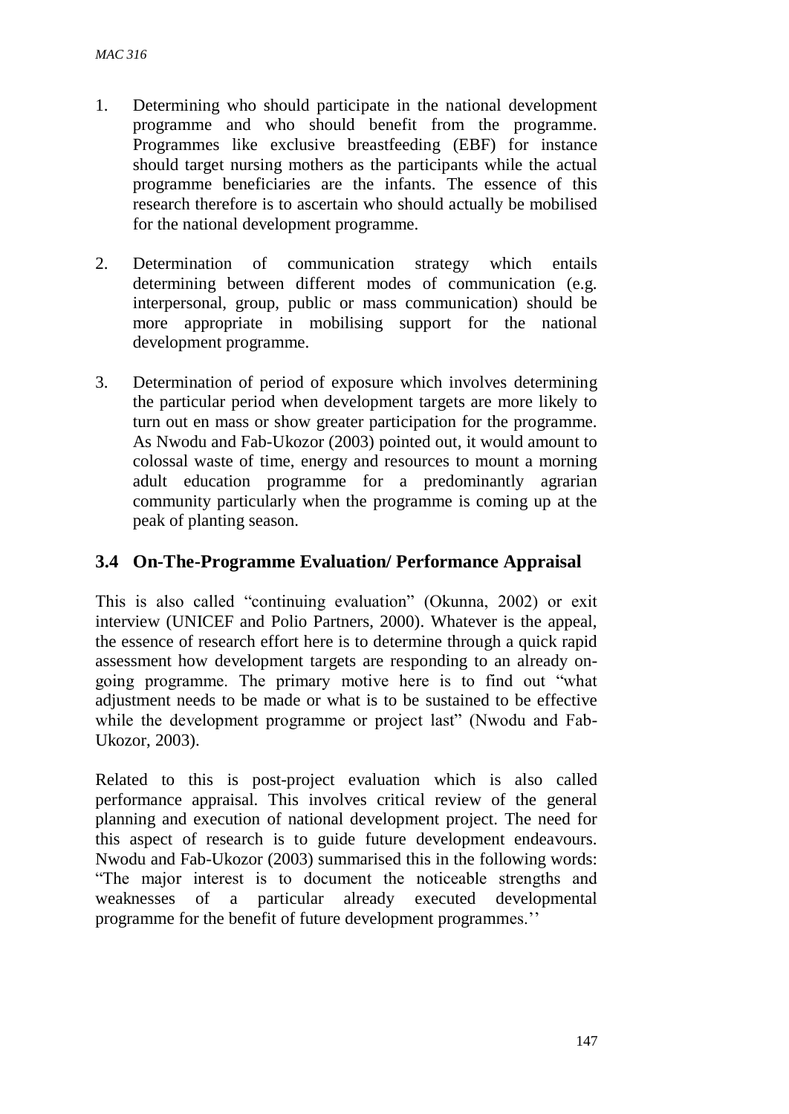- 1. Determining who should participate in the national development programme and who should benefit from the programme. Programmes like exclusive breastfeeding (EBF) for instance should target nursing mothers as the participants while the actual programme beneficiaries are the infants. The essence of this research therefore is to ascertain who should actually be mobilised for the national development programme.
- 2. Determination of communication strategy which entails determining between different modes of communication (e.g. interpersonal, group, public or mass communication) should be more appropriate in mobilising support for the national development programme.
- 3. Determination of period of exposure which involves determining the particular period when development targets are more likely to turn out en mass or show greater participation for the programme. As Nwodu and Fab-Ukozor (2003) pointed out, it would amount to colossal waste of time, energy and resources to mount a morning adult education programme for a predominantly agrarian community particularly when the programme is coming up at the peak of planting season.

### **3.4 On-The-Programme Evaluation/ Performance Appraisal**

This is also called "continuing evaluation" (Okunna, 2002) or exit interview (UNICEF and Polio Partners, 2000). Whatever is the appeal, the essence of research effort here is to determine through a quick rapid assessment how development targets are responding to an already ongoing programme. The primary motive here is to find out "what adjustment needs to be made or what is to be sustained to be effective while the development programme or project last" (Nwodu and Fab-Ukozor, 2003).

Related to this is post-project evaluation which is also called performance appraisal. This involves critical review of the general planning and execution of national development project. The need for this aspect of research is to guide future development endeavours. Nwodu and Fab-Ukozor (2003) summarised this in the following words: "The major interest is to document the noticeable strengths and weaknesses of a particular already executed developmental programme for the benefit of future development programmes.''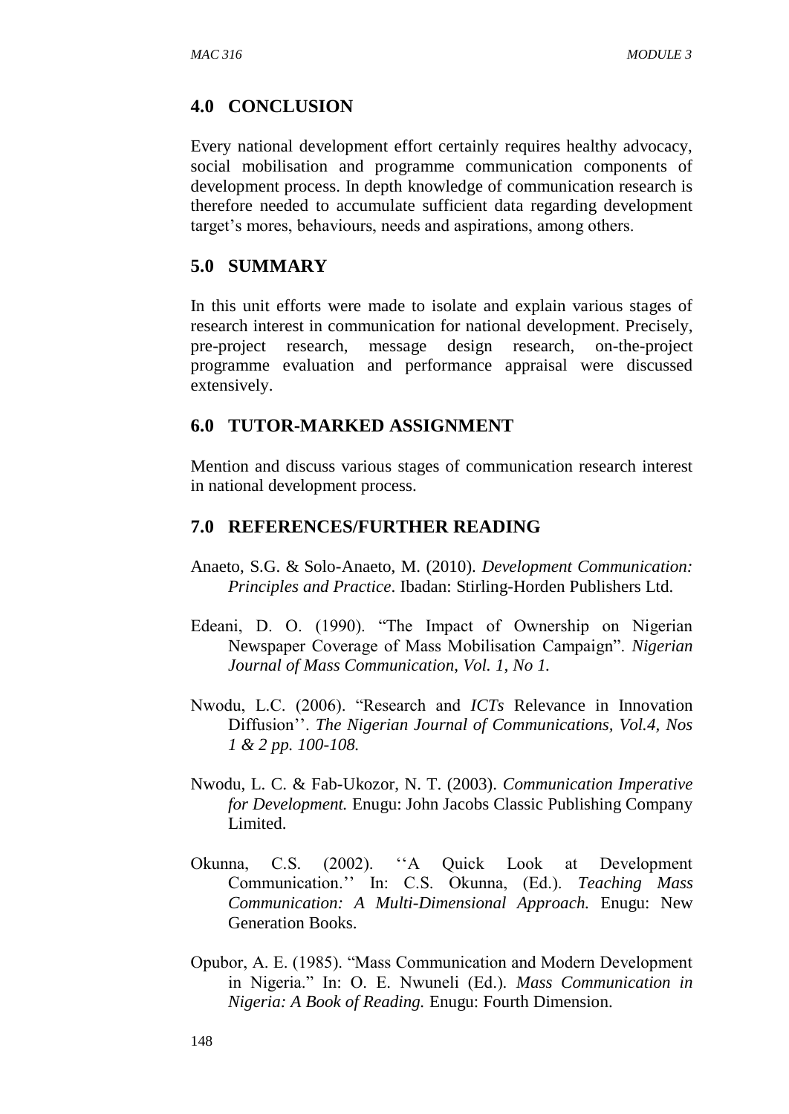#### **4.0 CONCLUSION**

Every national development effort certainly requires healthy advocacy, social mobilisation and programme communication components of development process. In depth knowledge of communication research is therefore needed to accumulate sufficient data regarding development target's mores, behaviours, needs and aspirations, among others.

#### **5.0 SUMMARY**

In this unit efforts were made to isolate and explain various stages of research interest in communication for national development. Precisely, pre-project research, message design research, on-the-project programme evaluation and performance appraisal were discussed extensively.

#### **6.0 TUTOR-MARKED ASSIGNMENT**

Mention and discuss various stages of communication research interest in national development process.

#### **7.0 REFERENCES/FURTHER READING**

- Anaeto, S.G. & Solo-Anaeto, M. (2010). *Development Communication: Principles and Practice*. Ibadan: Stirling-Horden Publishers Ltd.
- Edeani, D. O. (1990). "The Impact of Ownership on Nigerian Newspaper Coverage of Mass Mobilisation Campaign". *Nigerian Journal of Mass Communication*, *Vol. 1, No 1.*
- Nwodu, L.C. (2006). "Research and *ICTs* Relevance in Innovation Diffusion''. *The Nigerian Journal of Communications, Vol.4, Nos 1 & 2 pp. 100-108.*
- Nwodu, L. C. & Fab-Ukozor, N. T. (2003). *Communication Imperative for Development.* Enugu: John Jacobs Classic Publishing Company Limited.
- Okunna, C.S. (2002). ''A Quick Look at Development Communication.'' In: C.S. Okunna, (Ed.). *Teaching Mass Communication: A Multi-Dimensional Approach.* Enugu: New Generation Books.
- Opubor, A. E. (1985). "Mass Communication and Modern Development in Nigeria." In: O. E. Nwuneli (Ed.). *Mass Communication in Nigeria: A Book of Reading.* Enugu: Fourth Dimension.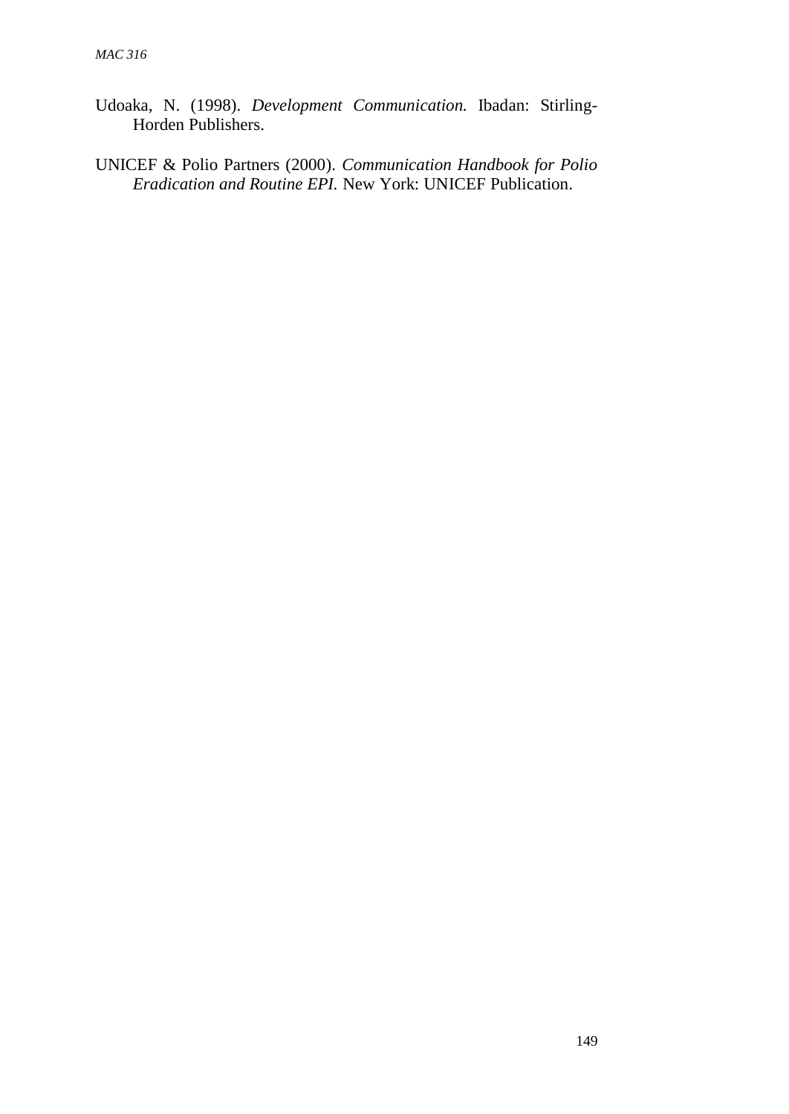- Udoaka, N. (1998). *Development Communication.* Ibadan: Stirling-Horden Publishers.
- UNICEF & Polio Partners (2000). *Communication Handbook for Polio Eradication and Routine EPI.* New York: UNICEF Publication.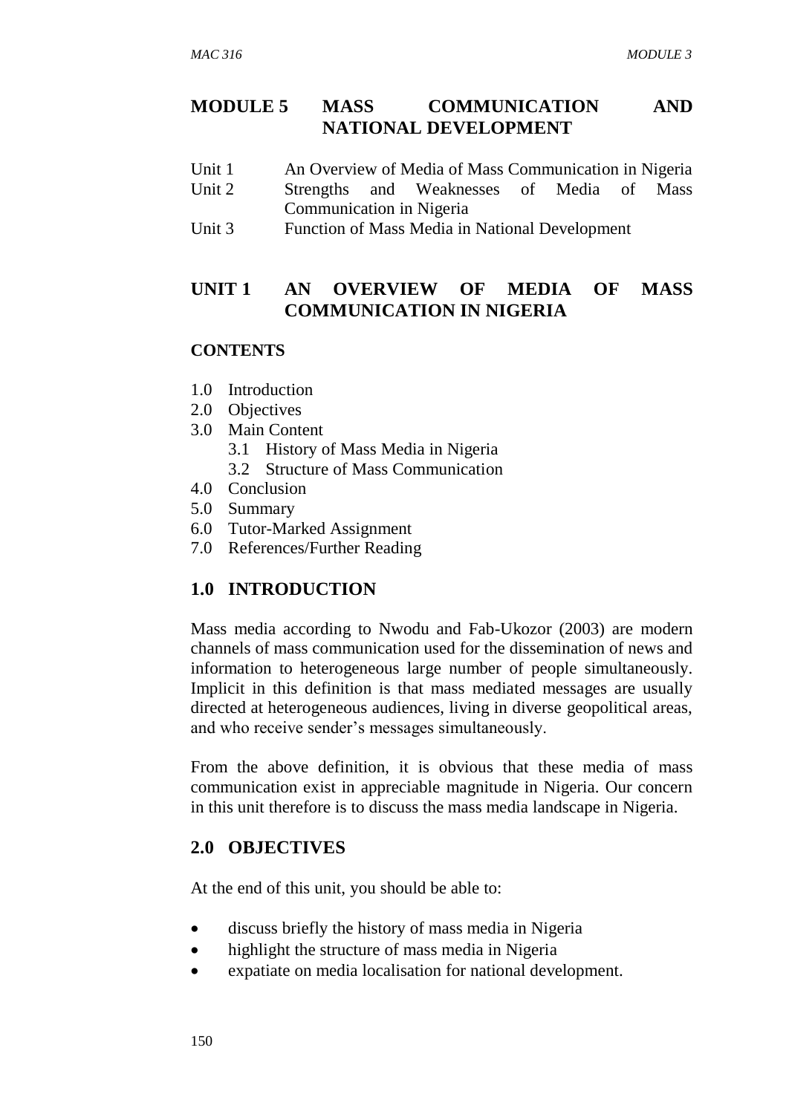### **MODULE 5 MASS COMMUNICATION AND NATIONAL DEVELOPMENT**

- Unit 1 An Overview of Media of Mass Communication in Nigeria Unit 2 Strengths and Weaknesses of Media of Mass
- Communication in Nigeria
- Unit 3 Function of Mass Media in National Development

## **UNIT 1 AN OVERVIEW OF MEDIA OF MASS COMMUNICATION IN NIGERIA**

#### **CONTENTS**

- 1.0 Introduction
- 2.0 Objectives
- 3.0 Main Content
	- 3.1 History of Mass Media in Nigeria
	- 3.2 Structure of Mass Communication
- 4.0 Conclusion
- 5.0 Summary
- 6.0 Tutor-Marked Assignment
- 7.0 References/Further Reading

# **1.0 INTRODUCTION**

Mass media according to Nwodu and Fab-Ukozor (2003) are modern channels of mass communication used for the dissemination of news and information to heterogeneous large number of people simultaneously. Implicit in this definition is that mass mediated messages are usually directed at heterogeneous audiences, living in diverse geopolitical areas, and who receive sender's messages simultaneously.

From the above definition, it is obvious that these media of mass communication exist in appreciable magnitude in Nigeria. Our concern in this unit therefore is to discuss the mass media landscape in Nigeria.

# **2.0 OBJECTIVES**

At the end of this unit, you should be able to:

- discuss briefly the history of mass media in Nigeria
- highlight the structure of mass media in Nigeria
- expatiate on media localisation for national development.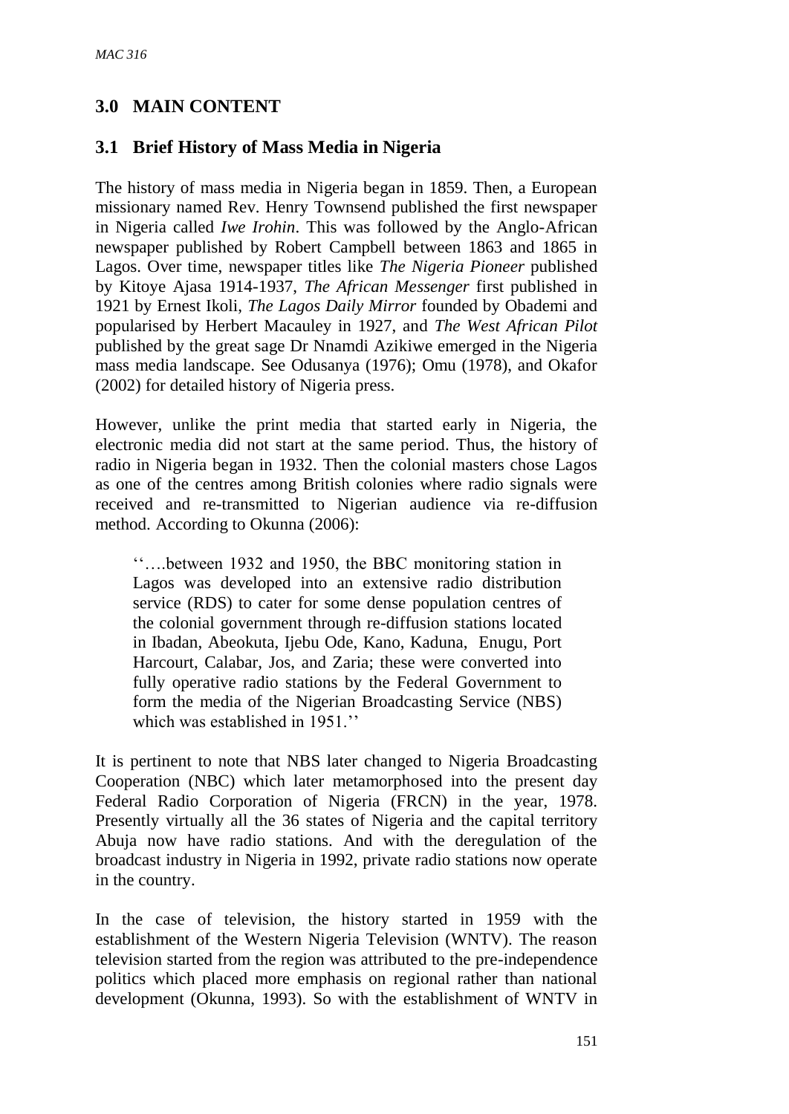# **3.0 MAIN CONTENT**

### **3.1 Brief History of Mass Media in Nigeria**

The history of mass media in Nigeria began in 1859. Then, a European missionary named Rev. Henry Townsend published the first newspaper in Nigeria called *Iwe Irohin*. This was followed by the Anglo-African newspaper published by Robert Campbell between 1863 and 1865 in Lagos. Over time, newspaper titles like *The Nigeria Pioneer* published by Kitoye Ajasa 1914-1937, *The African Messenger* first published in 1921 by Ernest Ikoli, *The Lagos Daily Mirror* founded by Obademi and popularised by Herbert Macauley in 1927, and *The West African Pilot* published by the great sage Dr Nnamdi Azikiwe emerged in the Nigeria mass media landscape. See Odusanya (1976); Omu (1978), and Okafor (2002) for detailed history of Nigeria press.

However, unlike the print media that started early in Nigeria, the electronic media did not start at the same period. Thus, the history of radio in Nigeria began in 1932. Then the colonial masters chose Lagos as one of the centres among British colonies where radio signals were received and re-transmitted to Nigerian audience via re-diffusion method. According to Okunna (2006):

''….between 1932 and 1950, the BBC monitoring station in Lagos was developed into an extensive radio distribution service (RDS) to cater for some dense population centres of the colonial government through re-diffusion stations located in Ibadan, Abeokuta, Ijebu Ode, Kano, Kaduna, Enugu, Port Harcourt, Calabar, Jos, and Zaria; these were converted into fully operative radio stations by the Federal Government to form the media of the Nigerian Broadcasting Service (NBS) which was established in 1951.''

It is pertinent to note that NBS later changed to Nigeria Broadcasting Cooperation (NBC) which later metamorphosed into the present day Federal Radio Corporation of Nigeria (FRCN) in the year, 1978. Presently virtually all the 36 states of Nigeria and the capital territory Abuja now have radio stations. And with the deregulation of the broadcast industry in Nigeria in 1992, private radio stations now operate in the country.

In the case of television, the history started in 1959 with the establishment of the Western Nigeria Television (WNTV). The reason television started from the region was attributed to the pre-independence politics which placed more emphasis on regional rather than national development (Okunna, 1993). So with the establishment of WNTV in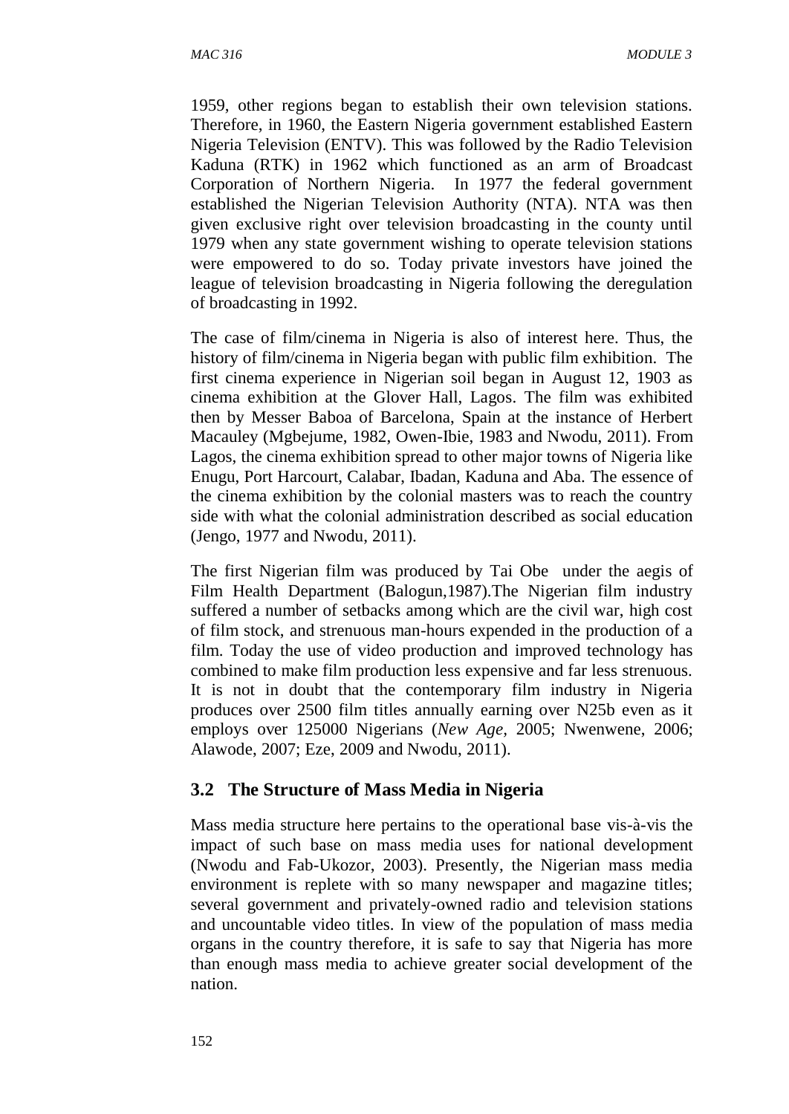1959, other regions began to establish their own television stations. Therefore, in 1960, the Eastern Nigeria government established Eastern Nigeria Television (ENTV). This was followed by the Radio Television Kaduna (RTK) in 1962 which functioned as an arm of Broadcast Corporation of Northern Nigeria. In 1977 the federal government established the Nigerian Television Authority (NTA). NTA was then given exclusive right over television broadcasting in the county until 1979 when any state government wishing to operate television stations were empowered to do so. Today private investors have joined the league of television broadcasting in Nigeria following the deregulation of broadcasting in 1992.

The case of film/cinema in Nigeria is also of interest here. Thus, the history of film/cinema in Nigeria began with public film exhibition. The first cinema experience in Nigerian soil began in August 12, 1903 as cinema exhibition at the Glover Hall, Lagos. The film was exhibited then by Messer Baboa of Barcelona, Spain at the instance of Herbert Macauley (Mgbejume, 1982, Owen-Ibie, 1983 and Nwodu, 2011). From Lagos, the cinema exhibition spread to other major towns of Nigeria like Enugu, Port Harcourt, Calabar, Ibadan, Kaduna and Aba. The essence of the cinema exhibition by the colonial masters was to reach the country side with what the colonial administration described as social education (Jengo, 1977 and Nwodu, 2011).

The first Nigerian film was produced by Tai Obe under the aegis of Film Health Department (Balogun,1987).The Nigerian film industry suffered a number of setbacks among which are the civil war, high cost of film stock, and strenuous man-hours expended in the production of a film. Today the use of video production and improved technology has combined to make film production less expensive and far less strenuous. It is not in doubt that the contemporary film industry in Nigeria produces over 2500 film titles annually earning over N25b even as it employs over 125000 Nigerians (*New Age,* 2005; Nwenwene, 2006; Alawode, 2007; Eze, 2009 and Nwodu, 2011).

#### **3.2 The Structure of Mass Media in Nigeria**

Mass media structure here pertains to the operational base vis-à-vis the impact of such base on mass media uses for national development (Nwodu and Fab-Ukozor, 2003). Presently, the Nigerian mass media environment is replete with so many newspaper and magazine titles; several government and privately-owned radio and television stations and uncountable video titles. In view of the population of mass media organs in the country therefore, it is safe to say that Nigeria has more than enough mass media to achieve greater social development of the nation.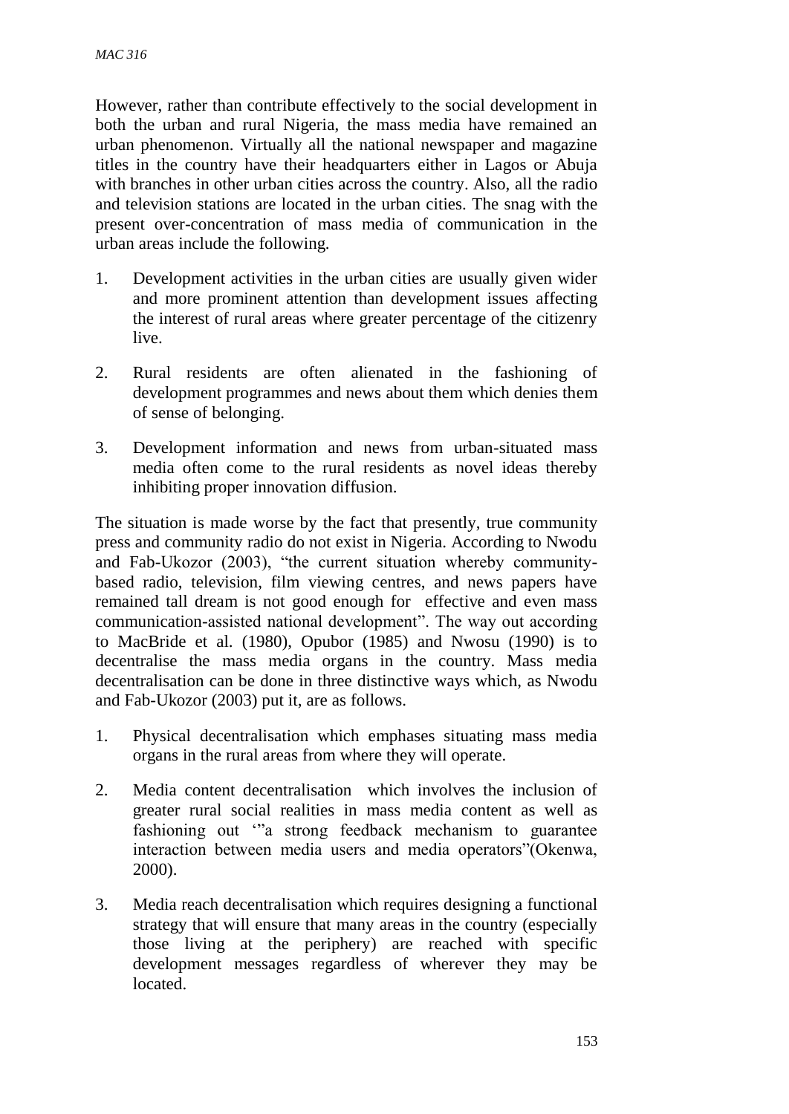However, rather than contribute effectively to the social development in both the urban and rural Nigeria, the mass media have remained an urban phenomenon. Virtually all the national newspaper and magazine titles in the country have their headquarters either in Lagos or Abuja with branches in other urban cities across the country. Also, all the radio and television stations are located in the urban cities. The snag with the present over-concentration of mass media of communication in the urban areas include the following.

- 1. Development activities in the urban cities are usually given wider and more prominent attention than development issues affecting the interest of rural areas where greater percentage of the citizenry live.
- 2. Rural residents are often alienated in the fashioning of development programmes and news about them which denies them of sense of belonging.
- 3. Development information and news from urban-situated mass media often come to the rural residents as novel ideas thereby inhibiting proper innovation diffusion.

The situation is made worse by the fact that presently, true community press and community radio do not exist in Nigeria. According to Nwodu and Fab-Ukozor (2003), "the current situation whereby communitybased radio, television, film viewing centres, and news papers have remained tall dream is not good enough for effective and even mass communication-assisted national development". The way out according to MacBride et al. (1980), Opubor (1985) and Nwosu (1990) is to decentralise the mass media organs in the country. Mass media decentralisation can be done in three distinctive ways which, as Nwodu and Fab-Ukozor (2003) put it, are as follows.

- 1. Physical decentralisation which emphases situating mass media organs in the rural areas from where they will operate.
- 2. Media content decentralisation which involves the inclusion of greater rural social realities in mass media content as well as fashioning out '"a strong feedback mechanism to guarantee interaction between media users and media operators"(Okenwa, 2000).
- 3. Media reach decentralisation which requires designing a functional strategy that will ensure that many areas in the country (especially those living at the periphery) are reached with specific development messages regardless of wherever they may be located.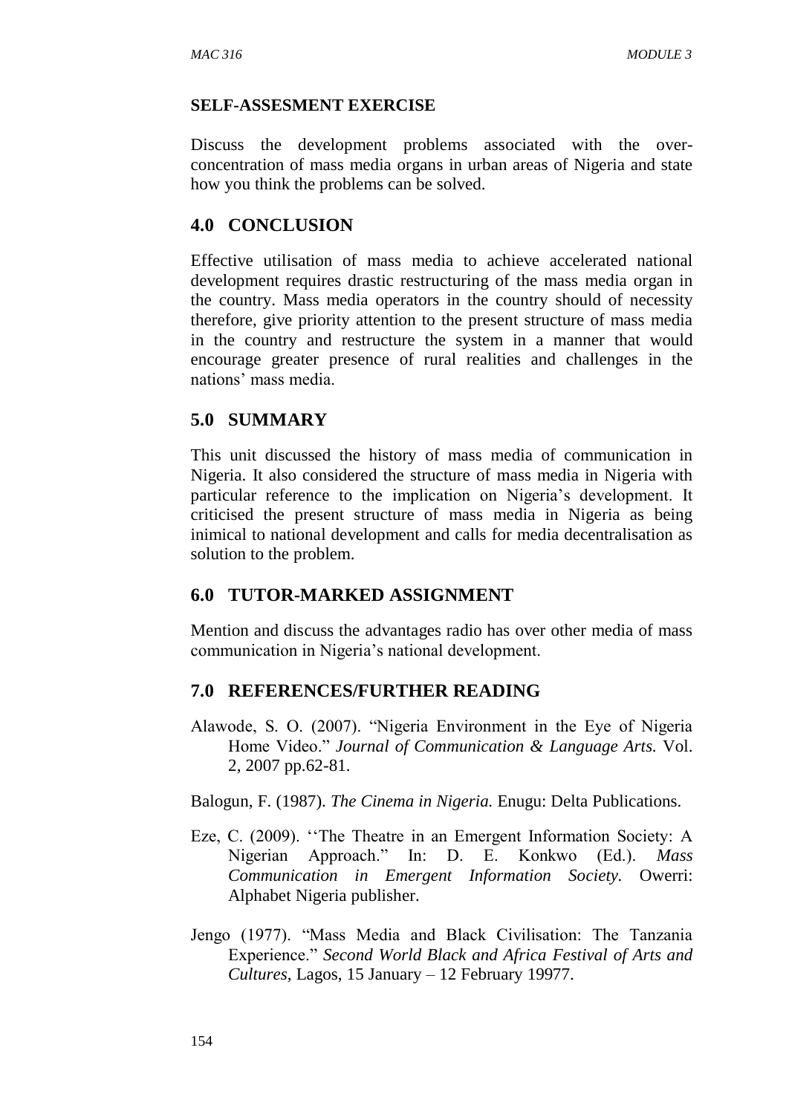#### **SELF-ASSESMENT EXERCISE**

Discuss the development problems associated with the overconcentration of mass media organs in urban areas of Nigeria and state how you think the problems can be solved.

### **4.0 CONCLUSION**

Effective utilisation of mass media to achieve accelerated national development requires drastic restructuring of the mass media organ in the country. Mass media operators in the country should of necessity therefore, give priority attention to the present structure of mass media in the country and restructure the system in a manner that would encourage greater presence of rural realities and challenges in the nations' mass media.

### **5.0 SUMMARY**

This unit discussed the history of mass media of communication in Nigeria. It also considered the structure of mass media in Nigeria with particular reference to the implication on Nigeria's development. It criticised the present structure of mass media in Nigeria as being inimical to national development and calls for media decentralisation as solution to the problem.

## **6.0 TUTOR-MARKED ASSIGNMENT**

Mention and discuss the advantages radio has over other media of mass communication in Nigeria's national development.

## **7.0 REFERENCES/FURTHER READING**

Alawode, S. O. (2007). "Nigeria Environment in the Eye of Nigeria Home Video." *Journal of Communication & Language Arts.* Vol. 2, 2007 pp.62-81.

Balogun, F. (1987). *The Cinema in Nigeria.* Enugu: Delta Publications.

- Eze, C. (2009). ''The Theatre in an Emergent Information Society: A Nigerian Approach." In: D. E. Konkwo (Ed.). *Mass Communication in Emergent Information Society.* Owerri: Alphabet Nigeria publisher.
- Jengo (1977). "Mass Media and Black Civilisation: The Tanzania Experience." *Second World Black and Africa Festival of Arts and Cultures,* Lagos, 15 January – 12 February 19977.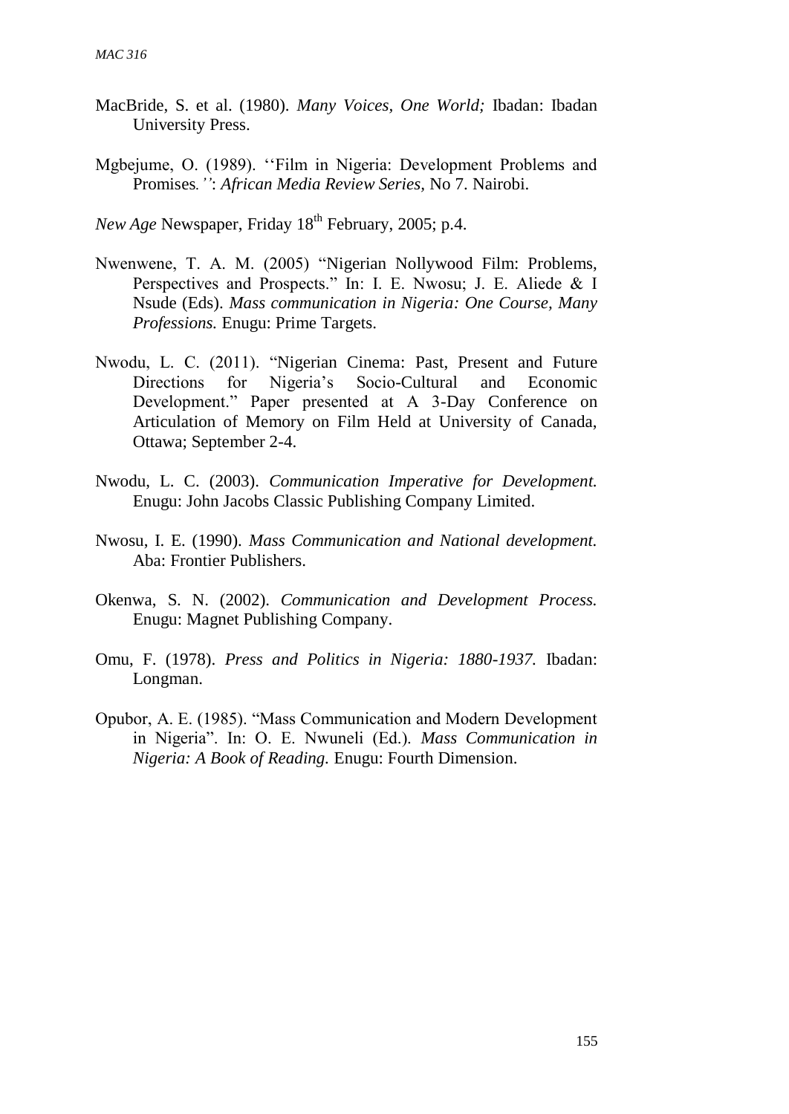- MacBride, S. et al. (1980). *Many Voices, One World;* Ibadan: Ibadan University Press.
- Mgbejume, O. (1989). ''Film in Nigeria: Development Problems and Promises*.''*: *African Media Review Series,* No 7. Nairobi.

*New Age* Newspaper, Friday 18<sup>th</sup> February, 2005; p.4.

- Nwenwene, T. A. M. (2005) "Nigerian Nollywood Film: Problems, Perspectives and Prospects." In: I. E. Nwosu; J. E. Aliede & I Nsude (Eds). *Mass communication in Nigeria: One Course, Many Professions.* Enugu: Prime Targets.
- Nwodu, L. C. (2011). "Nigerian Cinema: Past, Present and Future Directions for Nigeria's Socio-Cultural and Economic Development." Paper presented at A 3-Day Conference on Articulation of Memory on Film Held at University of Canada, Ottawa; September 2-4.
- Nwodu, L. C. (2003). *Communication Imperative for Development.*  Enugu: John Jacobs Classic Publishing Company Limited.
- Nwosu, I. E. (1990). *Mass Communication and National development.*  Aba: Frontier Publishers.
- Okenwa, S. N. (2002). *Communication and Development Process.*  Enugu: Magnet Publishing Company.
- Omu, F. (1978). *Press and Politics in Nigeria: 1880-1937.* Ibadan: Longman.
- Opubor, A. E. (1985). "Mass Communication and Modern Development in Nigeria". In: O. E. Nwuneli (Ed.). *Mass Communication in Nigeria: A Book of Reading.* Enugu: Fourth Dimension.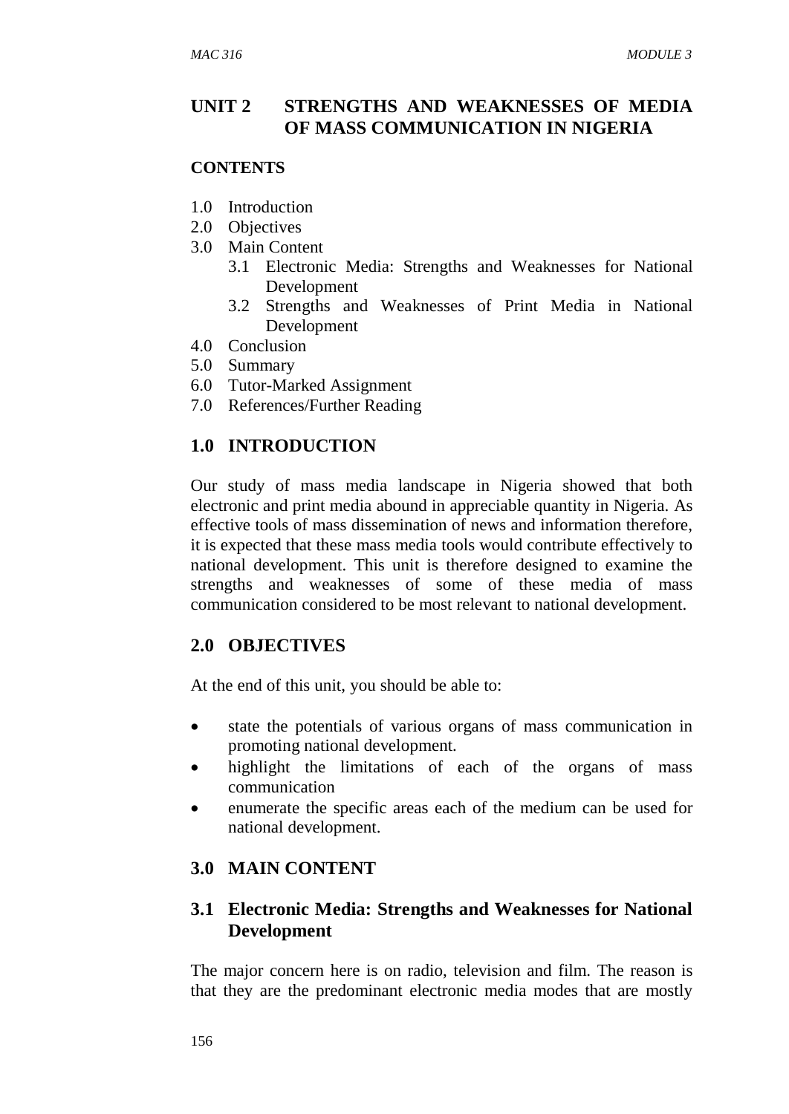### **UNIT 2 STRENGTHS AND WEAKNESSES OF MEDIA OF MASS COMMUNICATION IN NIGERIA**

#### **CONTENTS**

- 1.0 Introduction
- 2.0 Objectives
- 3.0 Main Content
	- 3.1 Electronic Media: Strengths and Weaknesses for National Development
	- 3.2 Strengths and Weaknesses of Print Media in National Development
- 4.0 Conclusion
- 5.0 Summary
- 6.0 Tutor-Marked Assignment
- 7.0 References/Further Reading

### **1.0 INTRODUCTION**

Our study of mass media landscape in Nigeria showed that both electronic and print media abound in appreciable quantity in Nigeria. As effective tools of mass dissemination of news and information therefore, it is expected that these mass media tools would contribute effectively to national development. This unit is therefore designed to examine the strengths and weaknesses of some of these media of mass communication considered to be most relevant to national development.

#### **2.0 OBJECTIVES**

At the end of this unit, you should be able to:

- state the potentials of various organs of mass communication in promoting national development.
- highlight the limitations of each of the organs of mass communication
- enumerate the specific areas each of the medium can be used for national development.

## **3.0 MAIN CONTENT**

### **3.1 Electronic Media: Strengths and Weaknesses for National Development**

The major concern here is on radio, television and film. The reason is that they are the predominant electronic media modes that are mostly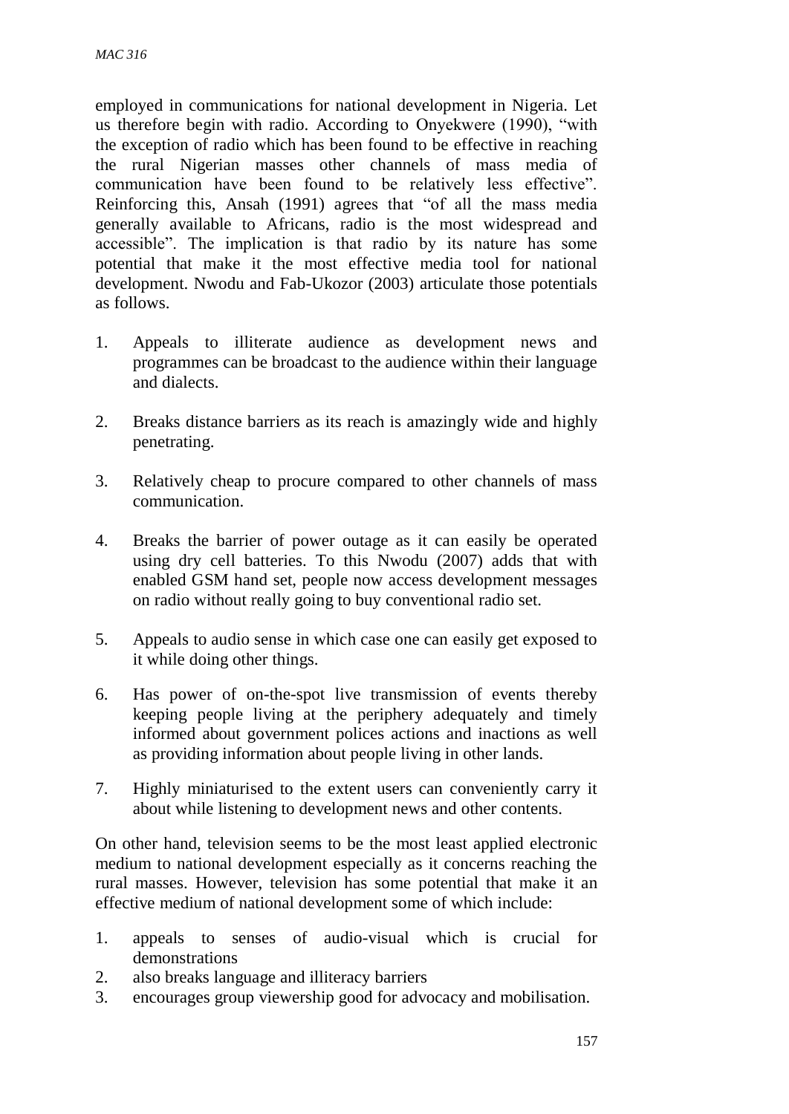employed in communications for national development in Nigeria. Let us therefore begin with radio. According to Onyekwere (1990), "with the exception of radio which has been found to be effective in reaching the rural Nigerian masses other channels of mass media of communication have been found to be relatively less effective". Reinforcing this, Ansah (1991) agrees that "of all the mass media generally available to Africans, radio is the most widespread and accessible". The implication is that radio by its nature has some potential that make it the most effective media tool for national development. Nwodu and Fab-Ukozor (2003) articulate those potentials as follows.

- 1. Appeals to illiterate audience as development news and programmes can be broadcast to the audience within their language and dialects.
- 2. Breaks distance barriers as its reach is amazingly wide and highly penetrating.
- 3. Relatively cheap to procure compared to other channels of mass communication.
- 4. Breaks the barrier of power outage as it can easily be operated using dry cell batteries. To this Nwodu (2007) adds that with enabled GSM hand set, people now access development messages on radio without really going to buy conventional radio set.
- 5. Appeals to audio sense in which case one can easily get exposed to it while doing other things.
- 6. Has power of on-the-spot live transmission of events thereby keeping people living at the periphery adequately and timely informed about government polices actions and inactions as well as providing information about people living in other lands.
- 7. Highly miniaturised to the extent users can conveniently carry it about while listening to development news and other contents.

On other hand, television seems to be the most least applied electronic medium to national development especially as it concerns reaching the rural masses. However, television has some potential that make it an effective medium of national development some of which include:

- 1. appeals to senses of audio-visual which is crucial for demonstrations
- 2. also breaks language and illiteracy barriers
- 3. encourages group viewership good for advocacy and mobilisation.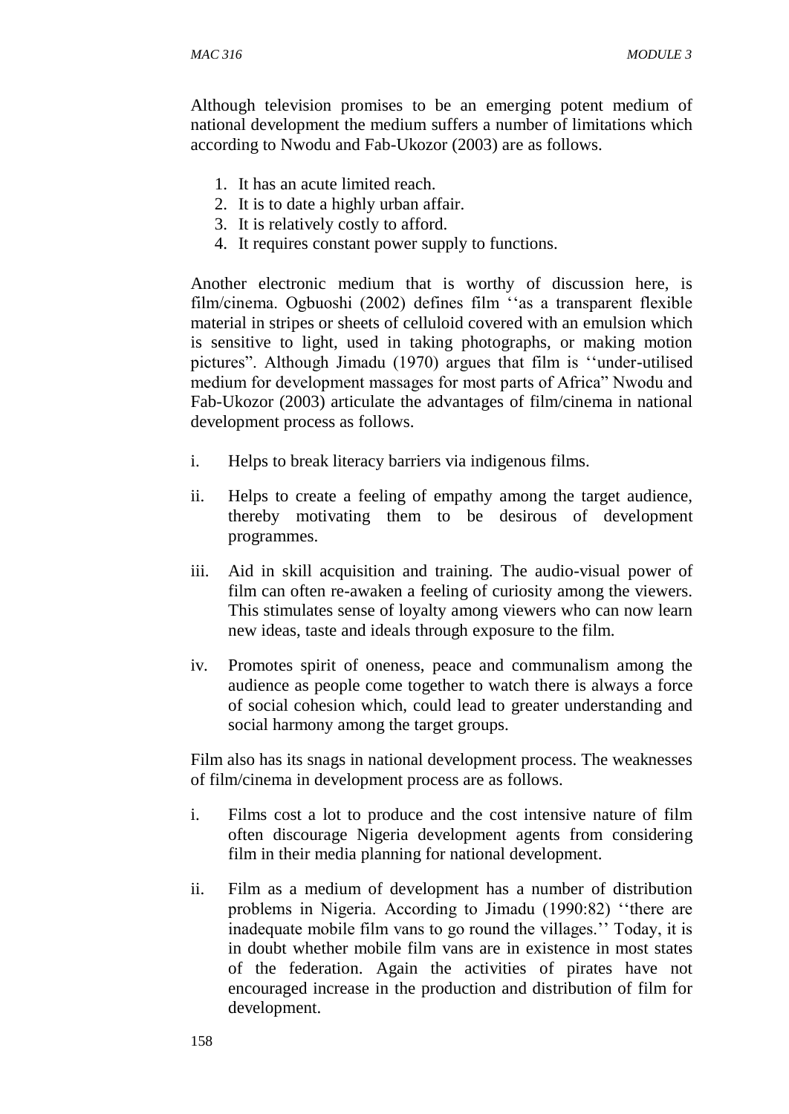Although television promises to be an emerging potent medium of national development the medium suffers a number of limitations which according to Nwodu and Fab-Ukozor (2003) are as follows.

- 1. It has an acute limited reach.
- 2. It is to date a highly urban affair.
- 3. It is relatively costly to afford.
- 4. It requires constant power supply to functions.

Another electronic medium that is worthy of discussion here, is film/cinema. Ogbuoshi (2002) defines film ''as a transparent flexible material in stripes or sheets of celluloid covered with an emulsion which is sensitive to light, used in taking photographs, or making motion pictures". Although Jimadu (1970) argues that film is ''under-utilised medium for development massages for most parts of Africa" Nwodu and Fab-Ukozor (2003) articulate the advantages of film/cinema in national development process as follows.

- i. Helps to break literacy barriers via indigenous films.
- ii. Helps to create a feeling of empathy among the target audience, thereby motivating them to be desirous of development programmes.
- iii. Aid in skill acquisition and training. The audio-visual power of film can often re-awaken a feeling of curiosity among the viewers. This stimulates sense of loyalty among viewers who can now learn new ideas, taste and ideals through exposure to the film.
- iv. Promotes spirit of oneness, peace and communalism among the audience as people come together to watch there is always a force of social cohesion which, could lead to greater understanding and social harmony among the target groups.

Film also has its snags in national development process. The weaknesses of film/cinema in development process are as follows.

- i. Films cost a lot to produce and the cost intensive nature of film often discourage Nigeria development agents from considering film in their media planning for national development.
- ii. Film as a medium of development has a number of distribution problems in Nigeria. According to Jimadu (1990:82) ''there are inadequate mobile film vans to go round the villages.'' Today, it is in doubt whether mobile film vans are in existence in most states of the federation. Again the activities of pirates have not encouraged increase in the production and distribution of film for development.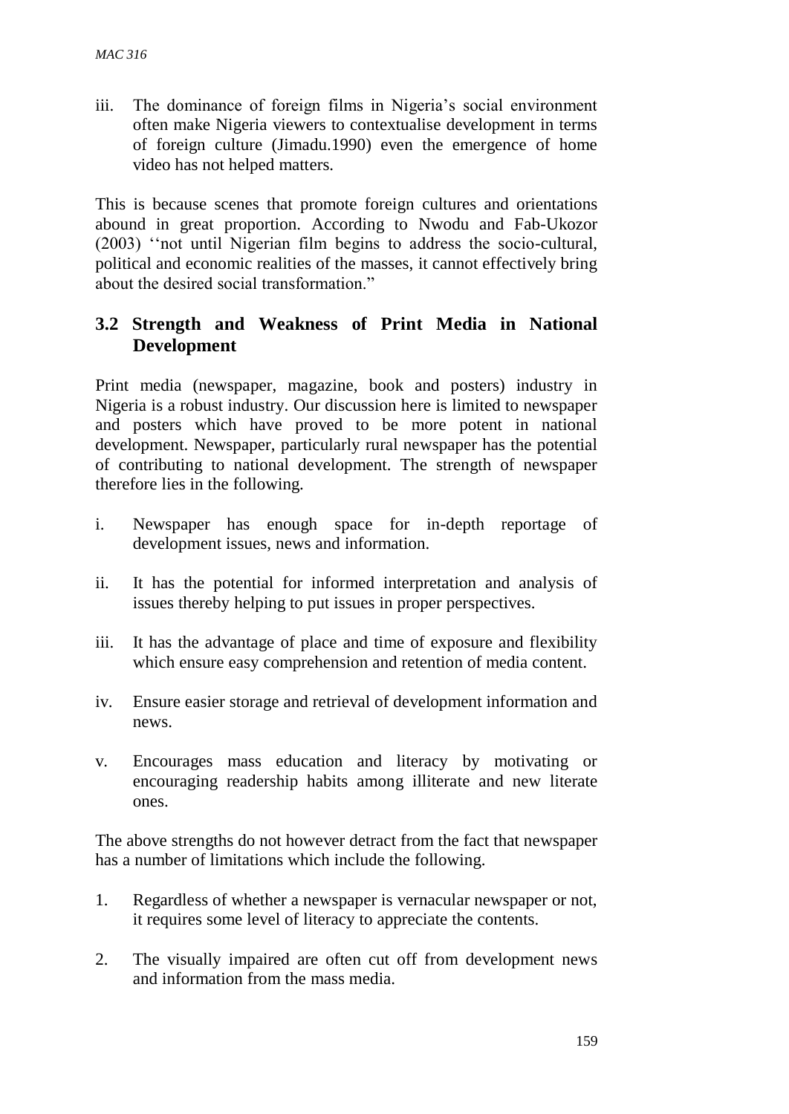iii. The dominance of foreign films in Nigeria's social environment often make Nigeria viewers to contextualise development in terms of foreign culture (Jimadu.1990) even the emergence of home video has not helped matters.

This is because scenes that promote foreign cultures and orientations abound in great proportion. According to Nwodu and Fab-Ukozor (2003) ''not until Nigerian film begins to address the socio-cultural, political and economic realities of the masses, it cannot effectively bring about the desired social transformation."

## **3.2 Strength and Weakness of Print Media in National Development**

Print media (newspaper, magazine, book and posters) industry in Nigeria is a robust industry. Our discussion here is limited to newspaper and posters which have proved to be more potent in national development. Newspaper, particularly rural newspaper has the potential of contributing to national development. The strength of newspaper therefore lies in the following.

- i. Newspaper has enough space for in-depth reportage of development issues, news and information.
- ii. It has the potential for informed interpretation and analysis of issues thereby helping to put issues in proper perspectives.
- iii. It has the advantage of place and time of exposure and flexibility which ensure easy comprehension and retention of media content.
- iv. Ensure easier storage and retrieval of development information and news.
- v. Encourages mass education and literacy by motivating or encouraging readership habits among illiterate and new literate ones.

The above strengths do not however detract from the fact that newspaper has a number of limitations which include the following.

- 1. Regardless of whether a newspaper is vernacular newspaper or not, it requires some level of literacy to appreciate the contents.
- 2. The visually impaired are often cut off from development news and information from the mass media.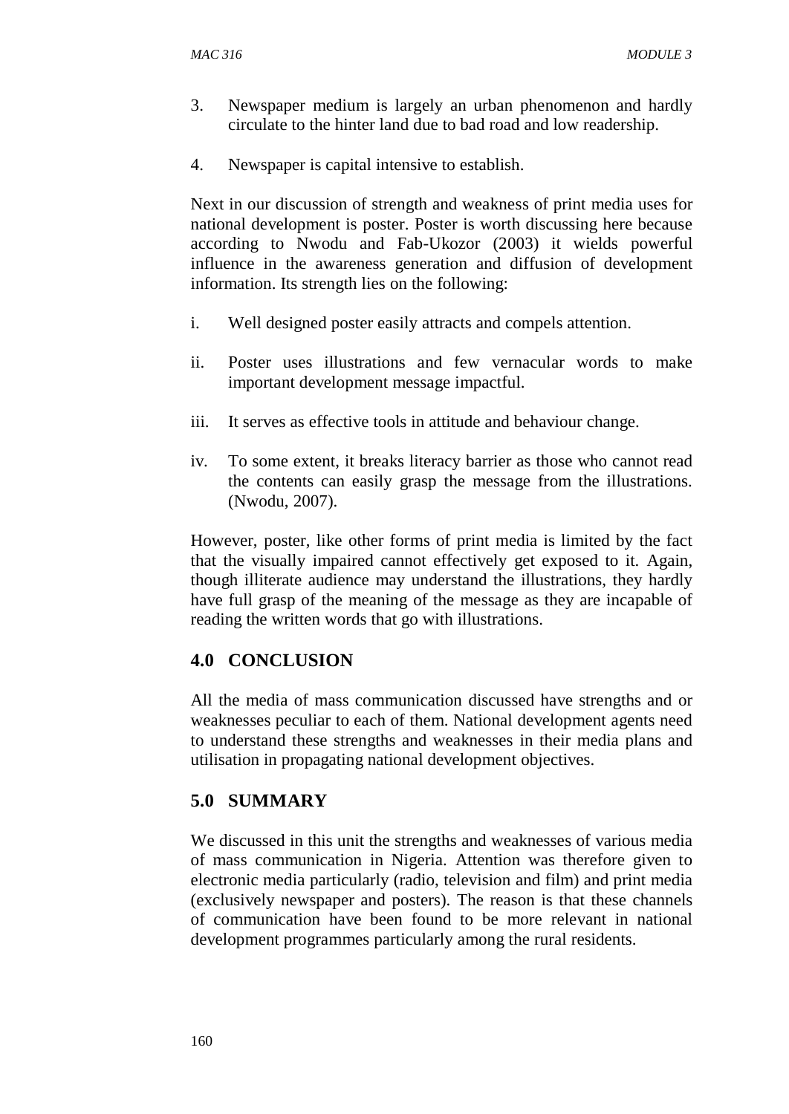- 3. Newspaper medium is largely an urban phenomenon and hardly circulate to the hinter land due to bad road and low readership.
- 4. Newspaper is capital intensive to establish.

Next in our discussion of strength and weakness of print media uses for national development is poster. Poster is worth discussing here because according to Nwodu and Fab-Ukozor (2003) it wields powerful influence in the awareness generation and diffusion of development information. Its strength lies on the following:

- i. Well designed poster easily attracts and compels attention.
- ii. Poster uses illustrations and few vernacular words to make important development message impactful.
- iii. It serves as effective tools in attitude and behaviour change.
- iv. To some extent, it breaks literacy barrier as those who cannot read the contents can easily grasp the message from the illustrations. (Nwodu, 2007).

However, poster, like other forms of print media is limited by the fact that the visually impaired cannot effectively get exposed to it. Again, though illiterate audience may understand the illustrations, they hardly have full grasp of the meaning of the message as they are incapable of reading the written words that go with illustrations.

# **4.0 CONCLUSION**

All the media of mass communication discussed have strengths and or weaknesses peculiar to each of them. National development agents need to understand these strengths and weaknesses in their media plans and utilisation in propagating national development objectives.

## **5.0 SUMMARY**

We discussed in this unit the strengths and weaknesses of various media of mass communication in Nigeria. Attention was therefore given to electronic media particularly (radio, television and film) and print media (exclusively newspaper and posters). The reason is that these channels of communication have been found to be more relevant in national development programmes particularly among the rural residents.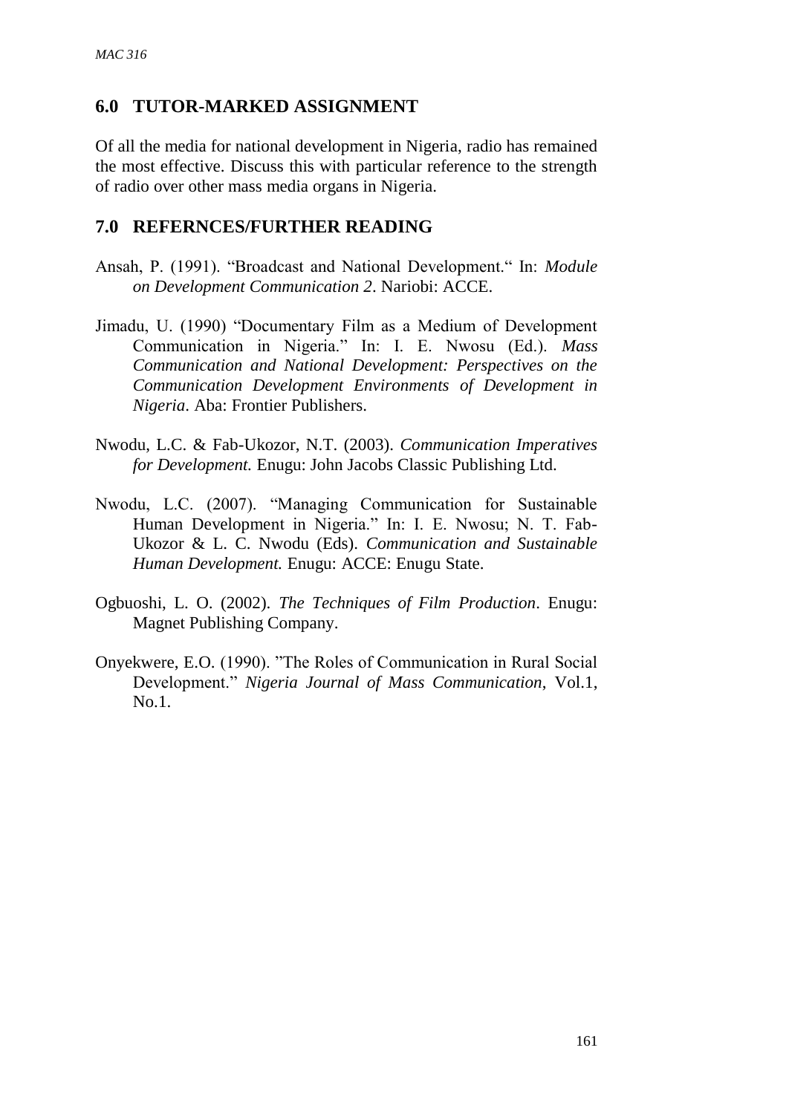## **6.0 TUTOR-MARKED ASSIGNMENT**

Of all the media for national development in Nigeria, radio has remained the most effective. Discuss this with particular reference to the strength of radio over other mass media organs in Nigeria.

### **7.0 REFERNCES/FURTHER READING**

- Ansah, P. (1991). "Broadcast and National Development." In: *Module on Development Communication 2*. Nariobi: ACCE.
- Jimadu, U. (1990) "Documentary Film as a Medium of Development Communication in Nigeria." In: I. E. Nwosu (Ed.). *Mass Communication and National Development: Perspectives on the Communication Development Environments of Development in Nigeria*. Aba: Frontier Publishers.
- Nwodu, L.C. & Fab-Ukozor, N.T. (2003). *Communication Imperatives for Development.* Enugu: John Jacobs Classic Publishing Ltd.
- Nwodu, L.C. (2007). "Managing Communication for Sustainable Human Development in Nigeria." In: I. E. Nwosu; N. T. Fab-Ukozor & L. C. Nwodu (Eds). *Communication and Sustainable Human Development.* Enugu: ACCE: Enugu State.
- Ogbuoshi, L. O. (2002). *The Techniques of Film Production*. Enugu: Magnet Publishing Company.
- Onyekwere, E.O. (1990). "The Roles of Communication in Rural Social Development." *Nigeria Journal of Mass Communication*, Vol.1, No.1.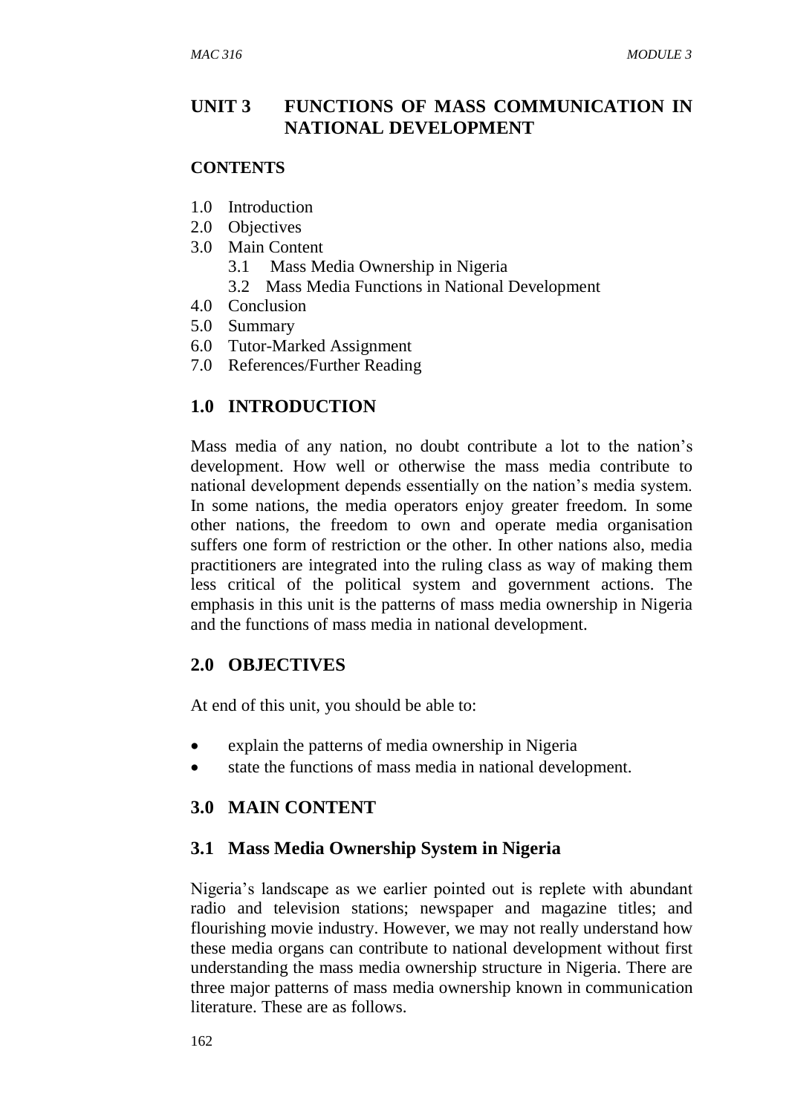### **UNIT 3 FUNCTIONS OF MASS COMMUNICATION IN NATIONAL DEVELOPMENT**

#### **CONTENTS**

- 1.0 Introduction
- 2.0 Objectives
- 3.0 Main Content
	- 3.1 Mass Media Ownership in Nigeria
	- 3.2 Mass Media Functions in National Development
- 4.0 Conclusion
- 5.0 Summary
- 6.0 Tutor-Marked Assignment
- 7.0 References/Further Reading

## **1.0 INTRODUCTION**

Mass media of any nation, no doubt contribute a lot to the nation's development. How well or otherwise the mass media contribute to national development depends essentially on the nation's media system. In some nations, the media operators enjoy greater freedom. In some other nations, the freedom to own and operate media organisation suffers one form of restriction or the other. In other nations also, media practitioners are integrated into the ruling class as way of making them less critical of the political system and government actions. The emphasis in this unit is the patterns of mass media ownership in Nigeria and the functions of mass media in national development.

#### **2.0 OBJECTIVES**

At end of this unit, you should be able to:

- explain the patterns of media ownership in Nigeria
- state the functions of mass media in national development.

## **3.0 MAIN CONTENT**

## **3.1 Mass Media Ownership System in Nigeria**

Nigeria's landscape as we earlier pointed out is replete with abundant radio and television stations; newspaper and magazine titles; and flourishing movie industry. However, we may not really understand how these media organs can contribute to national development without first understanding the mass media ownership structure in Nigeria. There are three major patterns of mass media ownership known in communication literature. These are as follows.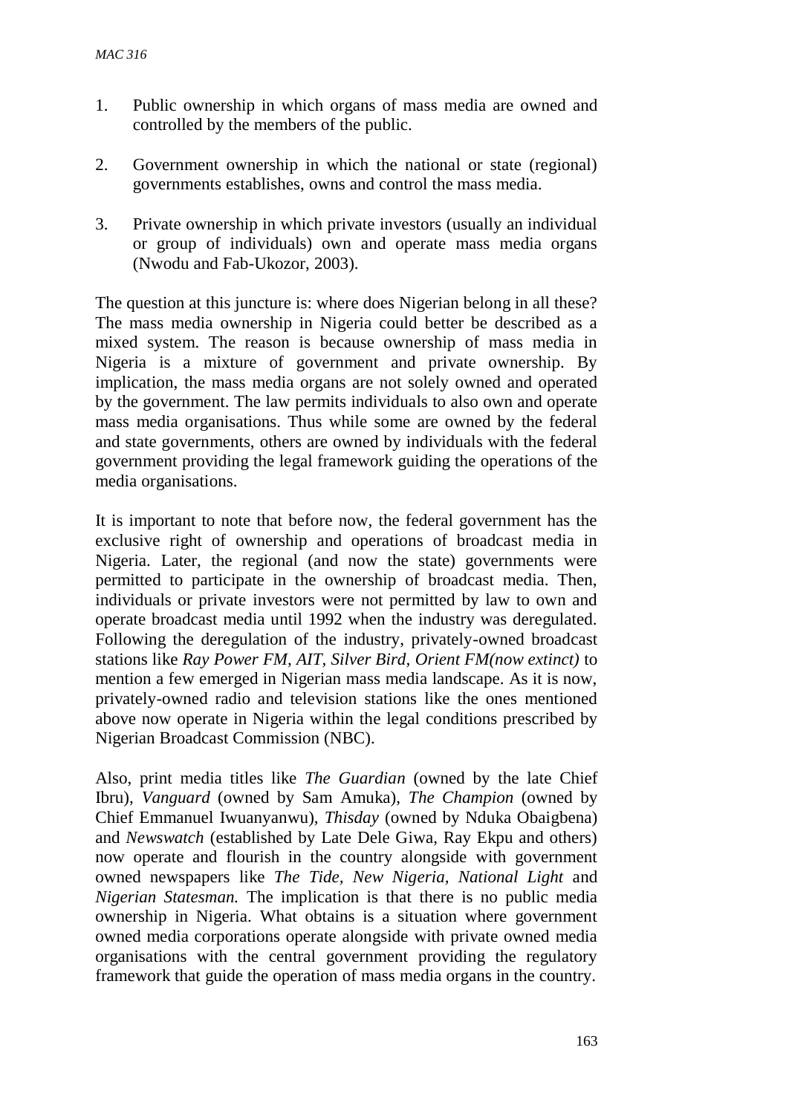- 1. Public ownership in which organs of mass media are owned and controlled by the members of the public.
- 2. Government ownership in which the national or state (regional) governments establishes, owns and control the mass media.
- 3. Private ownership in which private investors (usually an individual or group of individuals) own and operate mass media organs (Nwodu and Fab-Ukozor, 2003).

The question at this juncture is: where does Nigerian belong in all these? The mass media ownership in Nigeria could better be described as a mixed system. The reason is because ownership of mass media in Nigeria is a mixture of government and private ownership. By implication, the mass media organs are not solely owned and operated by the government. The law permits individuals to also own and operate mass media organisations. Thus while some are owned by the federal and state governments, others are owned by individuals with the federal government providing the legal framework guiding the operations of the media organisations.

It is important to note that before now, the federal government has the exclusive right of ownership and operations of broadcast media in Nigeria. Later, the regional (and now the state) governments were permitted to participate in the ownership of broadcast media. Then, individuals or private investors were not permitted by law to own and operate broadcast media until 1992 when the industry was deregulated. Following the deregulation of the industry, privately-owned broadcast stations like *Ray Power FM, AIT, Silver Bird, Orient FM(now extinct)* to mention a few emerged in Nigerian mass media landscape. As it is now, privately-owned radio and television stations like the ones mentioned above now operate in Nigeria within the legal conditions prescribed by Nigerian Broadcast Commission (NBC).

Also, print media titles like *The Guardian* (owned by the late Chief Ibru), *Vanguard* (owned by Sam Amuka), *The Champion* (owned by Chief Emmanuel Iwuanyanwu), *Thisday* (owned by Nduka Obaigbena) and *Newswatch* (established by Late Dele Giwa, Ray Ekpu and others) now operate and flourish in the country alongside with government owned newspapers like *The Tide, New Nigeria, National Light* and *Nigerian Statesman.* The implication is that there is no public media ownership in Nigeria. What obtains is a situation where government owned media corporations operate alongside with private owned media organisations with the central government providing the regulatory framework that guide the operation of mass media organs in the country.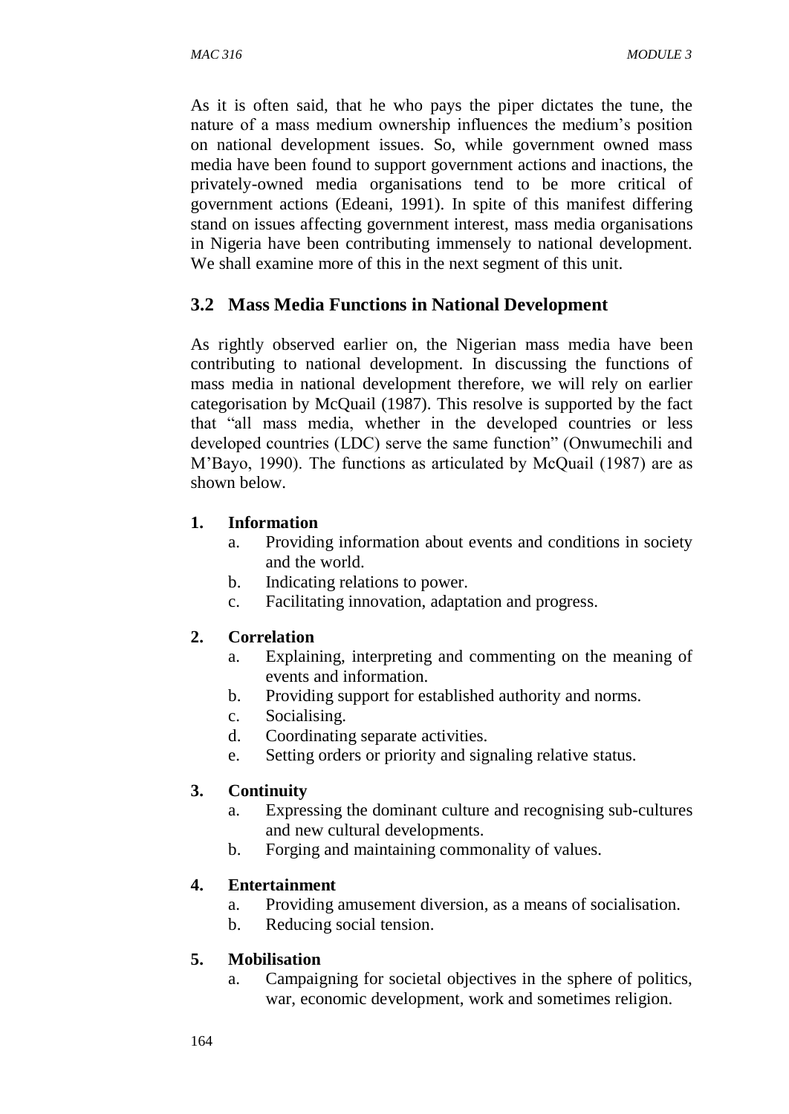As it is often said, that he who pays the piper dictates the tune, the nature of a mass medium ownership influences the medium's position on national development issues. So, while government owned mass media have been found to support government actions and inactions, the privately-owned media organisations tend to be more critical of government actions (Edeani, 1991). In spite of this manifest differing stand on issues affecting government interest, mass media organisations in Nigeria have been contributing immensely to national development. We shall examine more of this in the next segment of this unit.

## **3.2 Mass Media Functions in National Development**

As rightly observed earlier on, the Nigerian mass media have been contributing to national development. In discussing the functions of mass media in national development therefore, we will rely on earlier categorisation by McQuail (1987). This resolve is supported by the fact that "all mass media, whether in the developed countries or less developed countries (LDC) serve the same function" (Onwumechili and M'Bayo, 1990). The functions as articulated by McQuail (1987) are as shown below.

#### **1. Information**

- a. Providing information about events and conditions in society and the world.
- b. Indicating relations to power.
- c. Facilitating innovation, adaptation and progress.

#### **2. Correlation**

- a. Explaining, interpreting and commenting on the meaning of events and information.
- b. Providing support for established authority and norms.
- c. Socialising.
- d. Coordinating separate activities.
- e. Setting orders or priority and signaling relative status.

#### **3. Continuity**

- a. Expressing the dominant culture and recognising sub-cultures and new cultural developments.
- b. Forging and maintaining commonality of values.

## **4. Entertainment**

- a. Providing amusement diversion, as a means of socialisation.
- b. Reducing social tension.

#### **5. Mobilisation**

a. Campaigning for societal objectives in the sphere of politics, war, economic development, work and sometimes religion.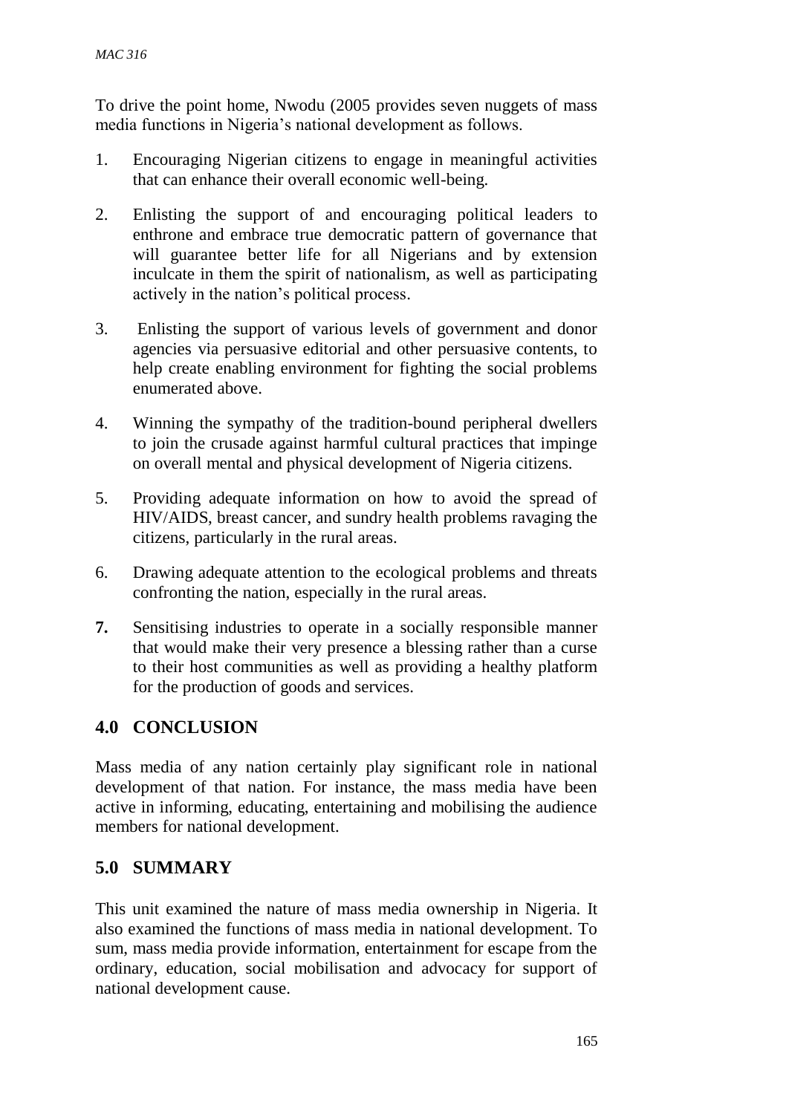To drive the point home, Nwodu (2005 provides seven nuggets of mass media functions in Nigeria's national development as follows.

- 1. Encouraging Nigerian citizens to engage in meaningful activities that can enhance their overall economic well-being.
- 2. Enlisting the support of and encouraging political leaders to enthrone and embrace true democratic pattern of governance that will guarantee better life for all Nigerians and by extension inculcate in them the spirit of nationalism, as well as participating actively in the nation's political process.
- 3. Enlisting the support of various levels of government and donor agencies via persuasive editorial and other persuasive contents, to help create enabling environment for fighting the social problems enumerated above.
- 4. Winning the sympathy of the tradition-bound peripheral dwellers to join the crusade against harmful cultural practices that impinge on overall mental and physical development of Nigeria citizens.
- 5. Providing adequate information on how to avoid the spread of HIV/AIDS, breast cancer, and sundry health problems ravaging the citizens, particularly in the rural areas.
- 6. Drawing adequate attention to the ecological problems and threats confronting the nation, especially in the rural areas.
- **7.** Sensitising industries to operate in a socially responsible manner that would make their very presence a blessing rather than a curse to their host communities as well as providing a healthy platform for the production of goods and services.

# **4.0 CONCLUSION**

Mass media of any nation certainly play significant role in national development of that nation. For instance, the mass media have been active in informing, educating, entertaining and mobilising the audience members for national development.

## **5.0 SUMMARY**

This unit examined the nature of mass media ownership in Nigeria. It also examined the functions of mass media in national development. To sum, mass media provide information, entertainment for escape from the ordinary, education, social mobilisation and advocacy for support of national development cause.